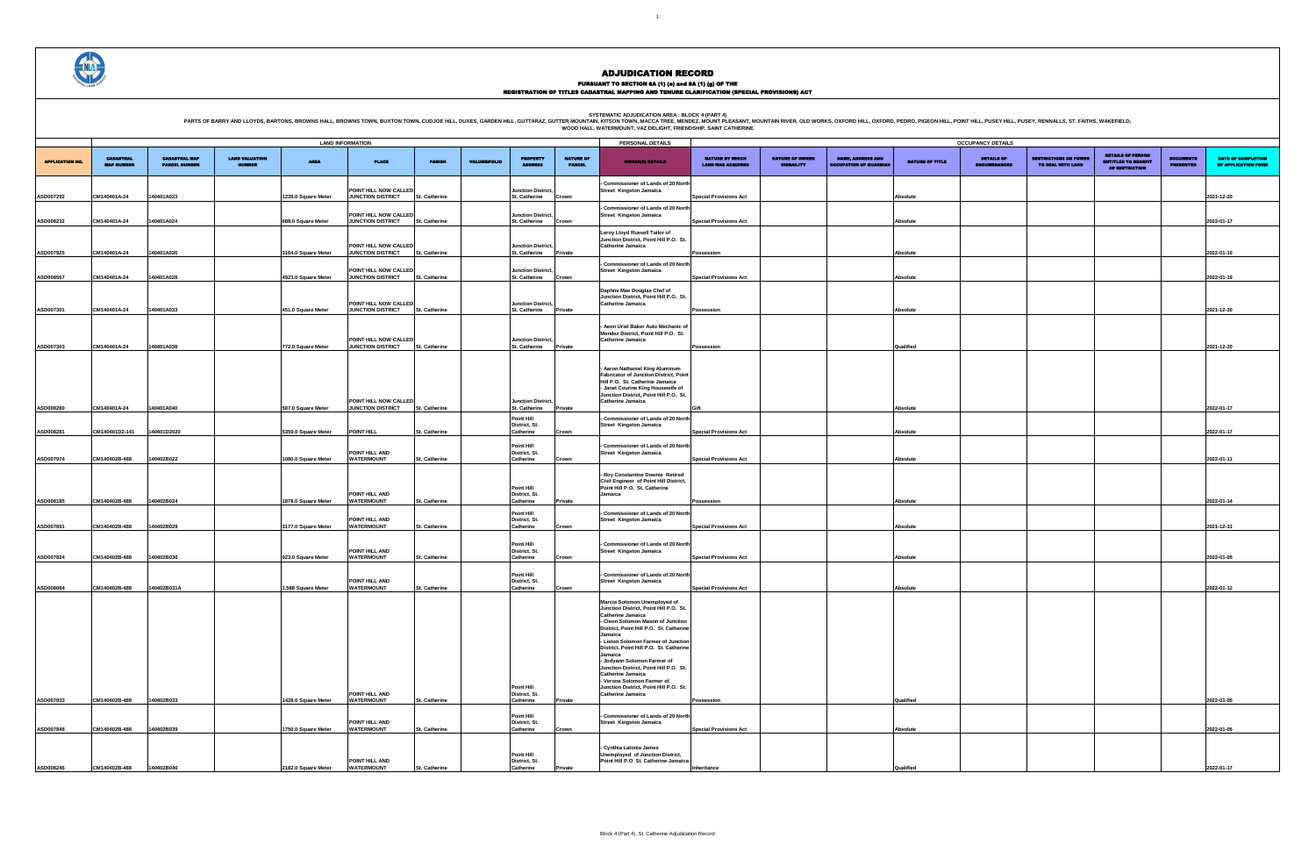### PURSUANT TO SECTION 8A (1) (0) and 8A (1) (g) OF THE<br>REGISTRATION OF TITLES CADASTRAL MAPPING AND TENURE CLARIFICATION (SPECIAL PROVISIONS) ACT

SYSTEMATIC ADJUDICATION AREA : BLOCK 4 (PART 4)<br>PARTS OF BARRY AND LLOYDS, BARTONS, BROWNS HALL, BROWNS HALL, BROWNS TOWN, BUXTON TOWN, CUDJOE HILL, DUXES, GARDEN HILL, GUTTARAZ, GUTTER MOUNTAIN (KITSON TOWN, MACCA TREE, M

|                                             |                                             |                                                           |                        | <b>OCCUPANCY DETAILS</b>                 |                                                   |                                                                          |                                      |                                           |
|---------------------------------------------|---------------------------------------------|-----------------------------------------------------------|------------------------|------------------------------------------|---------------------------------------------------|--------------------------------------------------------------------------|--------------------------------------|-------------------------------------------|
| NATURE BY WHICH<br><b>LAND WAS ACQUIRED</b> | <b>NATURE OF OWNER</b><br><b>DISBAILITY</b> | <b>NAME, ADDRESS AND</b><br><b>OCCUPATION OF GUARDIAN</b> | <b>NATURE OF TITLE</b> | <b>DETAILS OF</b><br><b>ENCUMBRANCES</b> | <b>RESTRICTIONS ON POWER</b><br>TO DEAL WITH LAND | <b>DETAILS OF PERSON</b><br><b>ENTITLED TO BENEFIT</b><br>OF RESTRICTION | <b>DOCUMENTS</b><br><b>PRESENTED</b> | DATE OF COMPLETION<br>OF APPLICATION FORM |
|                                             |                                             |                                                           |                        |                                          |                                                   |                                                                          |                                      |                                           |
| <b>Special Provisions Act</b>               |                                             |                                                           | Absolute               |                                          |                                                   |                                                                          |                                      | 2021-12-20                                |
| <b>Special Provisions Act</b>               |                                             |                                                           | Absolute               |                                          |                                                   |                                                                          |                                      | 2022-01-17                                |
|                                             |                                             |                                                           |                        |                                          |                                                   |                                                                          |                                      |                                           |
| Possession                                  |                                             |                                                           | Absolute               |                                          |                                                   |                                                                          |                                      | 2022-01-10                                |
| <b>Special Provisions Act</b>               |                                             |                                                           | Absolute               |                                          |                                                   |                                                                          |                                      | 2022-01-19                                |
|                                             |                                             |                                                           |                        |                                          |                                                   |                                                                          |                                      |                                           |
| Possession                                  |                                             |                                                           | Absolute               |                                          |                                                   |                                                                          |                                      | 2021-12-20                                |
|                                             |                                             |                                                           |                        |                                          |                                                   |                                                                          |                                      |                                           |
| Possession                                  |                                             |                                                           | Qualified              |                                          |                                                   |                                                                          |                                      | 2021-12-20                                |
|                                             |                                             |                                                           |                        |                                          |                                                   |                                                                          |                                      |                                           |
|                                             |                                             |                                                           |                        |                                          |                                                   |                                                                          |                                      |                                           |
| Gift                                        |                                             |                                                           | Absolute               |                                          |                                                   |                                                                          |                                      | 2022-01-17                                |
| <b>Special Provisions Act</b>               |                                             |                                                           | Absolute               |                                          |                                                   |                                                                          |                                      | 2022-01-17                                |
|                                             |                                             |                                                           |                        |                                          |                                                   |                                                                          |                                      |                                           |
| <b>Special Provisions Act</b>               |                                             |                                                           | Absolute               |                                          |                                                   |                                                                          |                                      | 2022-01-11                                |
|                                             |                                             |                                                           |                        |                                          |                                                   |                                                                          |                                      |                                           |
| Possession                                  |                                             |                                                           | Absolute               |                                          |                                                   |                                                                          |                                      | 2022-01-14                                |
|                                             |                                             |                                                           |                        |                                          |                                                   |                                                                          |                                      |                                           |
| <b>Special Provisions Act</b>               |                                             |                                                           | Absolute               |                                          |                                                   |                                                                          |                                      | 2021-12-31                                |
| <b>Special Provisions Act</b>               |                                             |                                                           | Absolute               |                                          |                                                   |                                                                          |                                      | 2022-01-05                                |
|                                             |                                             |                                                           |                        |                                          |                                                   |                                                                          |                                      |                                           |
| <b>Special Provisions Act</b>               |                                             |                                                           | Absolute               |                                          |                                                   |                                                                          |                                      | 2022-01-12                                |
|                                             |                                             |                                                           |                        |                                          |                                                   |                                                                          |                                      |                                           |
|                                             |                                             |                                                           |                        |                                          |                                                   |                                                                          |                                      |                                           |
|                                             |                                             |                                                           |                        |                                          |                                                   |                                                                          |                                      |                                           |
|                                             |                                             |                                                           |                        |                                          |                                                   |                                                                          |                                      |                                           |
|                                             |                                             |                                                           |                        |                                          |                                                   |                                                                          |                                      |                                           |
| Possession                                  |                                             |                                                           | Qualified              |                                          |                                                   |                                                                          |                                      | 2022-01-05                                |
|                                             |                                             |                                                           |                        |                                          |                                                   |                                                                          |                                      |                                           |
| <b>Special Provisions Act</b>               |                                             |                                                           | Absolute               |                                          |                                                   |                                                                          |                                      | 2022-01-05                                |
|                                             |                                             |                                                           |                        |                                          |                                                   |                                                                          |                                      |                                           |
| Inheritance                                 |                                             |                                                           | Qualified              |                                          |                                                   |                                                                          |                                      | 2022-01-17                                |

| <b>APPLICATION NO.</b> | <b>CADASTRAL</b><br><b>MAP NUMBER</b> | <b>CADASTRAL MAP</b><br><b>PARCEL NUMBER</b> | <b>LAND VALUATION</b><br>NUMBER | <b>AREA</b>         | <b>LAND INFORMATION</b><br><b>PLACE</b>           | <b>PARISH</b>        | <b>VOLUME/FOLIO</b> | <b>PROPERTY</b><br><b>TAR</b>                   | <b>NATURE OF</b><br><b>PARCEL</b> | PERSONAL DETAILS<br><b>OWNER(8) DETAILS</b>                                                                                                                                                                                                                                                                                                                                                                                                                      | <b>NATURE BY WHICH</b><br><b>LAND WAS ACQUIRED</b> | <b>NATURE OF OWNER</b><br><b>DISBAILITY</b> | <b>NAME, ADDRESS AND</b><br><b>OCCUPATION OF GUARDIA</b> | <b>NATURE OF TITLE</b> | <b>OCCUPANCY DETAILS</b><br><b>DETAILS OF</b><br>ENCUMBRANCES | <b>RESTRICTIONS ON POWER</b><br>TO DEAL WITH LAND | <b>DETAILS OF PERSON</b><br><b>ENTITLED TO BENEFIT</b><br><b>OF RESTRICTION</b> | <b>DOCUMENTS</b><br><b>PRESENTED</b> | <b>DATE</b><br><b>OF API</b> |
|------------------------|---------------------------------------|----------------------------------------------|---------------------------------|---------------------|---------------------------------------------------|----------------------|---------------------|-------------------------------------------------|-----------------------------------|------------------------------------------------------------------------------------------------------------------------------------------------------------------------------------------------------------------------------------------------------------------------------------------------------------------------------------------------------------------------------------------------------------------------------------------------------------------|----------------------------------------------------|---------------------------------------------|----------------------------------------------------------|------------------------|---------------------------------------------------------------|---------------------------------------------------|---------------------------------------------------------------------------------|--------------------------------------|------------------------------|
| ASD007292              | CM140401A-24                          | 140401A023                                   |                                 | 1239.0 Square Meter | POINT HILL NOW CALLED<br><b>JUNCTION DISTRICT</b> | St. Catherine        |                     | Junction District,<br>St. Catherine             | Crown                             | - Commissioner of Lands of 20 North<br>Street Kingston Jamaica                                                                                                                                                                                                                                                                                                                                                                                                   | <b>Special Provisions Act</b>                      |                                             |                                                          | Absolute               |                                                               |                                                   |                                                                                 |                                      | 2021-12-20                   |
| ASD008232              | CM140401A-24                          | 140401A024                                   |                                 | 688.0 Square Meter  | POINT HILL NOW CALLED<br><b>JUNCTION DISTRICT</b> | St. Catherine        |                     | Junction District,<br>St. Catherine             | Crown                             | - Commissioner of Lands of 20 North<br><b>Street Kingston Jamaica</b>                                                                                                                                                                                                                                                                                                                                                                                            | <b>Special Provisions Act</b>                      |                                             |                                                          | Absolute               |                                                               |                                                   |                                                                                 |                                      | 2022-01-17                   |
|                        |                                       |                                              |                                 |                     | POINT HILL NOW CALLED                             |                      |                     | <b>Junction District,</b>                       |                                   | Leroy Lloyd Russell Tailor of<br>Junction District, Point Hill P.O. St.<br>Catherine Jamaica                                                                                                                                                                                                                                                                                                                                                                     |                                                    |                                             |                                                          |                        |                                                               |                                                   |                                                                                 |                                      |                              |
| ASD007925              | CM140401A-24                          | 140401A026                                   |                                 | 3164.0 Square Meter | <b>JUNCTION DISTRICT</b><br>POINT HILL NOW CALLED | St. Catherine        |                     | St. Catherine<br><b>Junction District,</b>      | Private                           | - Commissioner of Lands of 20 North<br><b>Street Kingston Jamaica</b>                                                                                                                                                                                                                                                                                                                                                                                            | Possession                                         |                                             |                                                          | Absolute               |                                                               |                                                   |                                                                                 |                                      | 2022-01-10                   |
| ASD008567              | CM140401A-24                          | 140401A028                                   |                                 | 4923.0 Square Meter | <b>JUNCTION DISTRICT</b>                          | St. Catherine        |                     | St. Catherine                                   | Crown                             | Daphne Mae Douglas Chef of                                                                                                                                                                                                                                                                                                                                                                                                                                       | <b>Special Provisions Act</b>                      |                                             |                                                          | Absolute               |                                                               |                                                   |                                                                                 |                                      | 2022-01-19                   |
| ASD007301              | CM140401A-24                          | 140401A033                                   |                                 | 451.0 Square Meter  | POINT HILL NOW CALLED<br><b>JUNCTION DISTRICT</b> | St. Catherine        |                     | Junction District,<br>St. Catherine             | Private                           | Junction District, Point Hill P.O. St.<br>Catherine Jamaica                                                                                                                                                                                                                                                                                                                                                                                                      | Possession                                         |                                             |                                                          | Absolute               |                                                               |                                                   |                                                                                 |                                      | 2021-12-20                   |
| ASD007303              | CM140401A-24                          | 140401A038                                   |                                 | 772.0 Square Meter  | POINT HILL NOW CALLED<br><b>JUNCTION DISTRICT</b> | <b>St. Catherine</b> |                     | <b>Junction District,</b><br>St. Catherine      | Private                           | Aeon Uriel Baker Auto Mechanic of<br>Mendez District, Point Hill P.O. St.<br>Catherine Jamaica                                                                                                                                                                                                                                                                                                                                                                   | Possession                                         |                                             |                                                          | Qualified              |                                                               |                                                   |                                                                                 |                                      | 2021-12-20                   |
|                        |                                       |                                              |                                 |                     |                                                   |                      |                     |                                                 |                                   | - Aaron Nathaniel King Aluminum<br><b>Fabricator of Junction District, Point</b><br>Hill P.O. St. Catherine Jamaica<br>- Janet Courine King Housewife of                                                                                                                                                                                                                                                                                                         |                                                    |                                             |                                                          |                        |                                                               |                                                   |                                                                                 |                                      |                              |
| ASD008260              | CM140401A-24                          | 140401A040                                   |                                 | 587.0 Square Meter  | POINT HILL NOW CALLED<br><b>JUNCTION DISTRICT</b> | St. Catherine        |                     | <b>Junction District,</b><br>St. Catherine      | Private                           | Junction District, Point Hill P.O. St.<br>Catherine Jamaica                                                                                                                                                                                                                                                                                                                                                                                                      | <b>Gift</b>                                        |                                             |                                                          | Absolute               |                                                               |                                                   |                                                                                 |                                      | 2022-01-17                   |
| ASD008281              | CM140401D2-141                        | 40401D2020                                   |                                 | 5359.0 Square Meter | POINT HILL                                        | St. Catherine        |                     | <b>Point Hill</b><br>District, St.<br>Catherine | Crown                             | - Commissioner of Lands of 20 North<br>Street Kingston Jamaica                                                                                                                                                                                                                                                                                                                                                                                                   | <b>Special Provisions Act</b>                      |                                             |                                                          | Absolute               |                                                               |                                                   |                                                                                 |                                      | 2022-01-17                   |
| ASD007974              | CM140402B-488                         | 140402B022                                   |                                 | 1080.0 Square Meter | POINT HILL AND<br><b>WATERMOUNT</b>               | St. Catherine        |                     | Point Hill<br>District, St.<br>Catherine        | Crown                             | - Commissioner of Lands of 20 North<br><b>Street Kingston Jamaica</b>                                                                                                                                                                                                                                                                                                                                                                                            | <b>Special Provisions Act</b>                      |                                             |                                                          | Absolute               |                                                               |                                                   |                                                                                 |                                      | 2022-01-11                   |
|                        |                                       |                                              |                                 |                     |                                                   |                      |                     | Point Hill                                      |                                   | - Roy Constantine Downie Retired<br>Civil Engineer of Point Hill District,<br>Point Hill P.O. St. Catherine                                                                                                                                                                                                                                                                                                                                                      |                                                    |                                             |                                                          |                        |                                                               |                                                   |                                                                                 |                                      |                              |
| ASD008185              | CM140402B-488                         | 140402B024                                   |                                 | 1878.0 Square Meter | POINT HILL AND<br><b>WATERMOUNT</b>               | t. Catherine         |                     | District, St.<br>Catherine<br>Point Hill        | Private                           | Jamaica<br>Commissioner of Lands of 20 North                                                                                                                                                                                                                                                                                                                                                                                                                     | Possession                                         |                                             |                                                          | Absolute               |                                                               |                                                   |                                                                                 |                                      | 2022-01-14                   |
| ASD007691              | CM140402B-488                         | 140402B029                                   |                                 | 3177.0 Square Meter | POINT HILL AND<br><b>WATERMOUNT</b>               | St. Catherine        |                     | District, St.<br>Catherine                      | Crown                             | Street Kingston Jamaica                                                                                                                                                                                                                                                                                                                                                                                                                                          | <b>Special Provisions Act</b>                      |                                             |                                                          | Absolute               |                                                               |                                                   |                                                                                 |                                      | 2021-12-31                   |
| ASD007824              | CM140402B-488                         | 140402B030                                   |                                 | 923.0 Square Meter  | POINT HILL AND<br><b>WATERMOUNT</b>               | St. Catherine        |                     | Point Hill<br>District, St.<br>Catherine        | Crown                             | - Commissioner of Lands of 20 North<br><b>Street Kingston Jamaica</b>                                                                                                                                                                                                                                                                                                                                                                                            | <b>Special Provisions Act</b>                      |                                             |                                                          | Absolute               |                                                               |                                                   |                                                                                 |                                      | 2022-01-05                   |
| ASD008084              | CM140402B-488                         | 140402B031A                                  |                                 | 1.588 Square Meter  | POINT HILL AND<br><b>WATERMOUNT</b>               | St. Catherine        |                     | <b>Point Hill</b><br>District. St.<br>Catherine | Crown                             | - Commissioner of Lands of 20 North<br><b>Street Kingston Jamaica</b>                                                                                                                                                                                                                                                                                                                                                                                            | <b>Special Provisions Act</b>                      |                                             |                                                          | Absolute               |                                                               |                                                   |                                                                                 |                                      | 2022-01-12                   |
|                        |                                       |                                              |                                 |                     |                                                   |                      |                     | Point Hill                                      |                                   | Marcia Solomon Unemployed of<br>Junction District. Point Hill P.O. St.<br><b>Catherine Jamaica</b><br>- Cleon Solomon Mason of Junction<br>District, Point Hill P.O. St. Catherine<br>Jamaica<br>- Liston Solomon Farmer of Junction<br>District, Point Hill P.O. St. Catherine<br>Jamaica<br>- Jodyann Solomon Farmer of<br>Junction District, Point Hill P.O. St.<br>Catherine Jamaica<br>- Verona Solomon Farmer of<br>Junction District, Point Hill P.O. St. |                                                    |                                             |                                                          |                        |                                                               |                                                   |                                                                                 |                                      |                              |
| ASD007833              | CM140402B-488                         | 140402B033                                   |                                 | 1428.0 Square Meter | POINT HILL AND<br><b>WATERMOUNT</b>               | St. Catherine        |                     | District, St.<br>Catherine<br><b>Point Hill</b> | Private                           | Catherine Jamaica<br>- Commissioner of Lands of 20 North                                                                                                                                                                                                                                                                                                                                                                                                         | Possession                                         |                                             |                                                          | Qualified              |                                                               |                                                   |                                                                                 |                                      | 2022-01-05                   |
| ASD007848              | CM140402B-488                         | 140402B039                                   |                                 | 1750.0 Square Meter | POINT HILL AND<br><b>WATERMOUNT</b>               | St. Catherine        |                     | District, St.<br>Catherine                      | Crown                             | <b>Street Kingston Jamaica</b>                                                                                                                                                                                                                                                                                                                                                                                                                                   | <b>Special Provisions Act</b>                      |                                             |                                                          | Absolute               |                                                               |                                                   |                                                                                 |                                      | 2022-01-05                   |
| ASD008246              | CM140402B-488                         | 140402B040                                   |                                 | 2182.0 Square Meter | POINT HILL AND<br><b>WATERMOUNT</b>               | St. Catherine        |                     | <b>Point Hill</b><br>District, St.<br>Catherine | Private                           | - Cynthia Latonia James<br>Unemployed of Junction District,<br>Point Hill P.O St. Catherine Jamaica                                                                                                                                                                                                                                                                                                                                                              | Inheritance                                        |                                             |                                                          | Qualified              |                                                               |                                                   |                                                                                 |                                      | 2022-01-17                   |

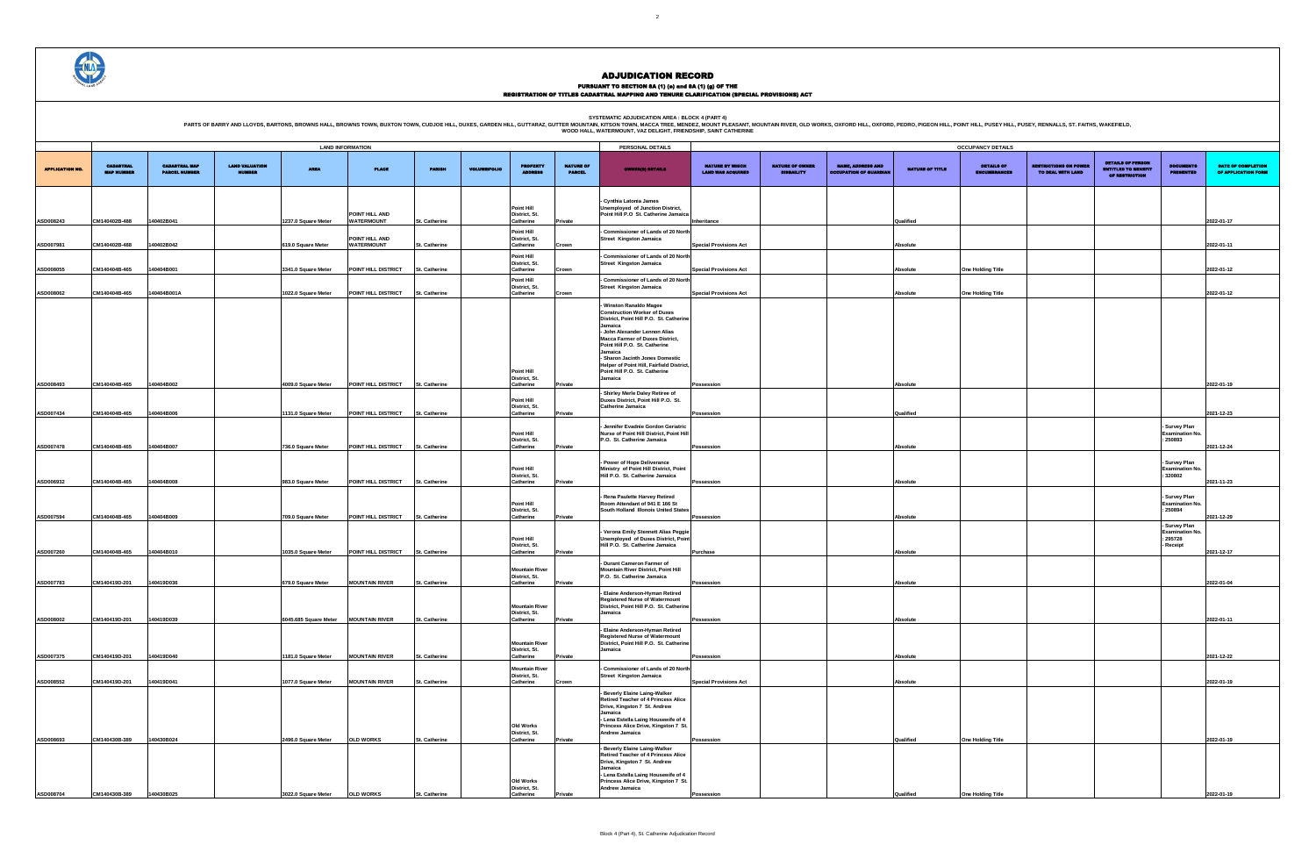PURSUANT TO SECTION 8A (1) (0) and 8A (1) (g) OF THE<br>REGISTRATION OF TITLES CADASTRAL MAPPING AND TENURE CLARIFICATION (SPECIAL PROVISIONS) ACT

SYSTEMATIC ADJUDICATION AREA : BLOCK 4 (PART 4)<br>PARTS OF BARRY AND LLOYDS, BARTONS, BROWNS HALL, BROWNS HALL, BROWNS TOWN, BUXTON TOWN, CUDJOE HILL, DUXES, GARDEN HILL, GUTTARAZ, GUTTER MOUNTAIN (KITSON TOWN, MACCA TREE, M

|                                                    |                                             |                                                           |                        | <b>OCCUPANCY DETAILS</b>                 |                                                   |                                                                          |                                                 |                                           |
|----------------------------------------------------|---------------------------------------------|-----------------------------------------------------------|------------------------|------------------------------------------|---------------------------------------------------|--------------------------------------------------------------------------|-------------------------------------------------|-------------------------------------------|
| <b>NATURE BY WHICH</b><br><b>LAND WAS ACQUIRED</b> | <b>NATURE OF OWNER</b><br><b>DISBAILITY</b> | <b>NAME, ADDRESS AND</b><br><b>OCCUPATION OF GUARDIAN</b> | <b>NATURE OF TITLE</b> | <b>DETAILS OF</b><br><b>ENCUMBRANCES</b> | <b>RESTRICTIONS ON POWER</b><br>TO DEAL WITH LAND | <b>DETAILS OF PERSON</b><br><b>ENTITLED TO BENEFIT</b><br>OF RESTRICTION | <b>DOCUMENTS</b><br><b>PRESENTED</b>            | DATE OF COMPLETION<br>OF APPLICATION FORM |
|                                                    |                                             |                                                           |                        |                                          |                                                   |                                                                          |                                                 |                                           |
| Inheritance                                        |                                             |                                                           | Qualified              |                                          |                                                   |                                                                          |                                                 | 2022-01-17                                |
| <b>Special Provisions Act</b>                      |                                             |                                                           | Absolute               |                                          |                                                   |                                                                          |                                                 | 2022-01-11                                |
| <b>Special Provisions Act</b>                      |                                             |                                                           | Absolute               | One Holding Title                        |                                                   |                                                                          |                                                 | 2022-01-12                                |
| <b>Special Provisions Act</b>                      |                                             |                                                           | Absolute               | One Holding Title                        |                                                   |                                                                          |                                                 | 2022-01-12                                |
|                                                    |                                             |                                                           |                        |                                          |                                                   |                                                                          |                                                 |                                           |
|                                                    |                                             |                                                           |                        |                                          |                                                   |                                                                          |                                                 |                                           |
|                                                    |                                             |                                                           |                        |                                          |                                                   |                                                                          |                                                 |                                           |
|                                                    |                                             |                                                           |                        |                                          |                                                   |                                                                          |                                                 |                                           |
| Possession                                         |                                             |                                                           | Absolute               |                                          |                                                   |                                                                          |                                                 | 2022-01-19                                |
| Possession                                         |                                             |                                                           | Qualified              |                                          |                                                   |                                                                          |                                                 | 2021-12-23                                |
|                                                    |                                             |                                                           |                        |                                          |                                                   |                                                                          | Survey Plan<br><b>Examination No.</b><br>250893 |                                           |
| Possession                                         |                                             |                                                           | Absolute               |                                          |                                                   |                                                                          | - Survey Plan                                   | 2021-12-24                                |
| Possession                                         |                                             |                                                           | Absolute               |                                          |                                                   |                                                                          | <b>Examination No.</b><br>320802                | 2021-11-23                                |
|                                                    |                                             |                                                           |                        |                                          |                                                   |                                                                          | Survey Plan<br><b>Examination No.</b><br>250894 |                                           |
| Possession                                         |                                             |                                                           | Absolute               |                                          |                                                   |                                                                          | Survey Plan<br><b>Examination No.</b>           | 2021-12-29                                |
| Purchase                                           |                                             |                                                           | Absolute               |                                          |                                                   |                                                                          | 295728<br>Receipt                               | 2021-12-17                                |
|                                                    |                                             |                                                           |                        |                                          |                                                   |                                                                          |                                                 |                                           |
| Possession                                         |                                             |                                                           | Absolute               |                                          |                                                   |                                                                          |                                                 | 2022-01-04                                |
| Possession                                         |                                             |                                                           | Absolute               |                                          |                                                   |                                                                          |                                                 | 2022-01-11                                |
|                                                    |                                             |                                                           |                        |                                          |                                                   |                                                                          |                                                 |                                           |
| Possession                                         |                                             |                                                           | Absolute               |                                          |                                                   |                                                                          |                                                 | 2021-12-22                                |
| <b>Special Provisions Act</b>                      |                                             |                                                           | Absolute               |                                          |                                                   |                                                                          |                                                 | 2022-01-19                                |
|                                                    |                                             |                                                           |                        |                                          |                                                   |                                                                          |                                                 |                                           |
|                                                    |                                             |                                                           |                        |                                          |                                                   |                                                                          |                                                 |                                           |
| Possession                                         |                                             |                                                           | Qualified              | <b>One Holding Title</b>                 |                                                   |                                                                          |                                                 | 2022-01-19                                |
|                                                    |                                             |                                                           |                        |                                          |                                                   |                                                                          |                                                 |                                           |
| Possession                                         |                                             |                                                           | Qualified              | <b>One Holding Title</b>                 |                                                   |                                                                          |                                                 | 2022-01-19                                |



|                        |                   |                      |                       |                     | <b>LAND INFORMATION</b>              |                      |                     |                                        |                  | PERSONAL DETAILS                                                                   |                               |                        |                               |                 | <b>OCCUPANCY DETAILS</b>        |                              |                                                        |                                        |               |
|------------------------|-------------------|----------------------|-----------------------|---------------------|--------------------------------------|----------------------|---------------------|----------------------------------------|------------------|------------------------------------------------------------------------------------|-------------------------------|------------------------|-------------------------------|-----------------|---------------------------------|------------------------------|--------------------------------------------------------|----------------------------------------|---------------|
|                        |                   |                      |                       |                     |                                      |                      |                     |                                        |                  |                                                                                    |                               |                        |                               |                 |                                 |                              |                                                        |                                        |               |
|                        | <b>CADASTRAL</b>  | <b>CADASTRAL MAP</b> | <b>LAND VALUATION</b> | <b>AREA</b>         |                                      | <b>PARISH</b>        | <b>VOLUME/FOLIO</b> | <b>PROPERTY</b>                        | <b>NATURE OF</b> |                                                                                    | <b>NATURE BY WHICH</b>        | <b>NATURE OF OWNER</b> | <b>NAME, ADDRESS AND</b>      | NATURE OF TITLE | <b>DETAILS OF</b>               | <b>RESTRICTIONS ON POWER</b> | <b>DETAILS OF PERSON</b><br><b>ENTITLED TO BENEFIT</b> | <b>DOCUMENTS</b>                       | <b>DATE</b>   |
| <b>APPLICATION NO.</b> | <b>MAP NUMBER</b> | <b>PARCEL NUMBER</b> | NUMBER                |                     | <b>PLACE</b>                         |                      |                     |                                        | <b>PARCEL</b>    | <b>OWNER(8) DETAILS</b>                                                            | <b>LAND WAS ACQUIRED</b>      | <b>DISBAILITY</b>      | <b>OCCUPATION OF GUARDIAL</b> |                 | <b>IBRANCES</b><br><b>ENCUE</b> | TO DEAL WITH LAND            | OF RESTRICTION                                         | PRESENTED                              | <b>OF API</b> |
|                        |                   |                      |                       |                     |                                      |                      |                     |                                        |                  |                                                                                    |                               |                        |                               |                 |                                 |                              |                                                        |                                        |               |
|                        |                   |                      |                       |                     |                                      |                      |                     |                                        |                  |                                                                                    |                               |                        |                               |                 |                                 |                              |                                                        |                                        |               |
|                        |                   |                      |                       |                     |                                      |                      |                     |                                        |                  | - Cynthia Latonia James                                                            |                               |                        |                               |                 |                                 |                              |                                                        |                                        |               |
|                        |                   |                      |                       |                     | POINT HILL AND                       |                      |                     | Point Hill<br>District, St.            |                  | Unemployed of Junction District,<br>Point Hill P.O St. Catherine Jamaica           |                               |                        |                               |                 |                                 |                              |                                                        |                                        |               |
| ASD008243              | CM140402B-488     | 140402B041           |                       | 1237.0 Square Meter | <b>WATERMOUNT</b>                    | St. Catherine        |                     | Catherine                              | Private          |                                                                                    | Inheritance                   |                        |                               | Qualified       |                                 |                              |                                                        |                                        | 2022-01-17    |
|                        |                   |                      |                       |                     |                                      |                      |                     | Point Hill                             |                  | Commissioner of Lands of 20 North                                                  |                               |                        |                               |                 |                                 |                              |                                                        |                                        |               |
| ASD007981              | CM140402B-488     | 40402B042            |                       | 619.0 Square Meter  | POINT HILL AND<br><b>WATERMOUNT</b>  | St. Catherine        |                     | District, St.<br>Catherine             | Crown            | <b>Street Kingston Jamaica</b>                                                     | <b>Special Provisions Act</b> |                        |                               | Absolute        |                                 |                              |                                                        |                                        | 2022-01-11    |
|                        |                   |                      |                       |                     |                                      |                      |                     | Point Hill                             |                  | - Commissioner of Lands of 20 North                                                |                               |                        |                               |                 |                                 |                              |                                                        |                                        |               |
|                        |                   |                      |                       |                     |                                      |                      |                     | District, St.                          |                  | <b>Street Kingston Jamaica</b>                                                     |                               |                        |                               |                 |                                 |                              |                                                        |                                        |               |
| ASD008055              | CM140404B-465     | 140404B001           |                       | 3341.0 Square Meter | POINT HILL DISTRICT                  | St. Catherine        |                     | Catherine                              | Crown            |                                                                                    | <b>Special Provisions Act</b> |                        |                               | Absolute        | <b>One Holding Title</b>        |                              |                                                        |                                        | 2022-01-12    |
|                        |                   |                      |                       |                     |                                      |                      |                     | Point Hill<br>District, St.            |                  | - Commissioner of Lands of 20 North<br><b>Street Kingston Jamaica</b>              |                               |                        |                               |                 |                                 |                              |                                                        |                                        |               |
| ASD008062              | CM140404B-465     | 40404B001A           |                       | 1022.0 Square Meter | POINT HILL DISTRICT                  | St. Catherine        |                     | Catherine                              | Crown            |                                                                                    | <b>Special Provisions Act</b> |                        |                               | Absolute        | <b>One Holding Title</b>        |                              |                                                        |                                        | 2022-01-12    |
|                        |                   |                      |                       |                     |                                      |                      |                     |                                        |                  | <b>Winston Ranaldo Magee</b>                                                       |                               |                        |                               |                 |                                 |                              |                                                        |                                        |               |
|                        |                   |                      |                       |                     |                                      |                      |                     |                                        |                  | <b>Construction Worker of Duxes</b>                                                |                               |                        |                               |                 |                                 |                              |                                                        |                                        |               |
|                        |                   |                      |                       |                     |                                      |                      |                     |                                        |                  | District, Point Hill P.O. St. Catherine<br>Jamaica                                 |                               |                        |                               |                 |                                 |                              |                                                        |                                        |               |
|                        |                   |                      |                       |                     |                                      |                      |                     |                                        |                  | - John Alexander Lennon Alias                                                      |                               |                        |                               |                 |                                 |                              |                                                        |                                        |               |
|                        |                   |                      |                       |                     |                                      |                      |                     |                                        |                  | <b>Macca Farmer of Duxes District,</b><br>Point Hill P.O. St. Catherine            |                               |                        |                               |                 |                                 |                              |                                                        |                                        |               |
|                        |                   |                      |                       |                     |                                      |                      |                     |                                        |                  | Jamaica                                                                            |                               |                        |                               |                 |                                 |                              |                                                        |                                        |               |
|                        |                   |                      |                       |                     |                                      |                      |                     |                                        |                  | - Sharon Jacinth Jones Domestic<br>Helper of Point Hill, Fairfield District,       |                               |                        |                               |                 |                                 |                              |                                                        |                                        |               |
|                        |                   |                      |                       |                     |                                      |                      |                     | <b>Point Hill</b>                      |                  | Point Hill P.O. St. Catherine                                                      |                               |                        |                               |                 |                                 |                              |                                                        |                                        |               |
| ASD008493              | CM140404B-465     | 140404B002           |                       | 4009.0 Square Meter | POINT HILL DISTRICT                  | <b>St. Catherine</b> |                     | District, St.<br>Catherine             | Private          | Jamaica                                                                            | <b>Possession</b>             |                        |                               | Absolute        |                                 |                              |                                                        |                                        | 2022-01-19    |
|                        |                   |                      |                       |                     |                                      |                      |                     |                                        |                  | - Shirley Merle Daley Retiree of                                                   |                               |                        |                               |                 |                                 |                              |                                                        |                                        |               |
|                        |                   |                      |                       |                     |                                      |                      |                     | <b>Point Hill</b>                      |                  | Duxes District, Point Hill P.O. St.                                                |                               |                        |                               |                 |                                 |                              |                                                        |                                        |               |
| ASD007434              | CM140404B-465     | 140404B006           |                       | 1131.0 Square Meter | POINT HILL DISTRICT                  | St. Catherine        |                     | District, St.<br>Catherine             | Private          | <b>Catherine Jamaica</b>                                                           | Possession                    |                        |                               | Qualified       |                                 |                              |                                                        |                                        | 2021-12-23    |
|                        |                   |                      |                       |                     |                                      |                      |                     |                                        |                  |                                                                                    |                               |                        |                               |                 |                                 |                              |                                                        |                                        |               |
|                        |                   |                      |                       |                     |                                      |                      |                     | <b>Point Hill</b>                      |                  | Jennifer Evadnie Gordon Geriatric<br>Nurse of Point Hill District, Point Hill      |                               |                        |                               |                 |                                 |                              |                                                        | - Survey Plan<br><b>Examination No</b> |               |
|                        |                   |                      |                       |                     |                                      |                      |                     | District, St.                          |                  | P.O. St. Catherine Jamaica                                                         |                               |                        |                               |                 |                                 |                              |                                                        | 250893                                 |               |
| ASD007478              | CM140404B-465     | 140404B007           |                       | 736.0 Square Meter  | POINT HILL DISTRICT                  | St. Catherine        |                     | Catherine                              | Private          |                                                                                    | Possession                    |                        |                               | Absolute        |                                 |                              |                                                        |                                        | 2021-12-24    |
|                        |                   |                      |                       |                     |                                      |                      |                     |                                        |                  | - Power of Hope Deliverance                                                        |                               |                        |                               |                 |                                 |                              |                                                        | - Survey Plan                          |               |
|                        |                   |                      |                       |                     |                                      |                      |                     | <b>Point Hill</b>                      |                  | Ministry of Point Hill District, Point                                             |                               |                        |                               |                 |                                 |                              |                                                        | <b>Examination No.</b>                 |               |
| ASD006932              | CM140404B-465     | 140404B008           |                       | 983.0 Square Meter  | POINT HILL DISTRICT                  | St. Catherine        |                     | District, St.                          | Private          | Hill P.O. St. Catherine Jamaica                                                    |                               |                        |                               |                 |                                 |                              |                                                        | 320802                                 |               |
|                        |                   |                      |                       |                     |                                      |                      |                     | Catherine                              |                  |                                                                                    | Possession                    |                        |                               | Absolute        |                                 |                              |                                                        |                                        | 2021-11-23    |
|                        |                   |                      |                       |                     |                                      |                      |                     |                                        |                  | - Rena Paulette Harvey Retired                                                     |                               |                        |                               |                 |                                 |                              |                                                        | - Survey Plan                          |               |
|                        |                   |                      |                       |                     |                                      |                      |                     | <b>Point Hill</b><br>District, St.     |                  | Room Attendant of 941 E 166 St<br>South Holland Illonois United States             |                               |                        |                               |                 |                                 |                              |                                                        | <b>Examination No.</b><br>250894       |               |
| ASD007594              | CM140404B-465     | 140404B009           |                       | 709.0 Square Meter  | POINT HILL DISTRICT                  | St. Catherine        |                     | Catherine                              | Private          |                                                                                    | <b>Possession</b>             |                        |                               | Absolute        |                                 |                              |                                                        |                                        | 2021-12-29    |
|                        |                   |                      |                       |                     |                                      |                      |                     |                                        |                  |                                                                                    |                               |                        |                               |                 |                                 |                              |                                                        | - Survey Plan                          |               |
|                        |                   |                      |                       |                     |                                      |                      |                     | <b>Point Hill</b>                      |                  | - Verona Emily Stennett Alias Peggie<br><b>Unemployed of Duxes District, Point</b> |                               |                        |                               |                 |                                 |                              |                                                        | <b>Examination No.</b><br>: 295728     |               |
|                        |                   |                      |                       |                     |                                      |                      |                     | District, St.                          |                  | Hill P.O. St. Catherine Jamaica                                                    |                               |                        |                               |                 |                                 |                              |                                                        | Receipt                                |               |
| ASD007260              | CM140404B-465     | 140404B010           |                       | 1035.0 Square Meter | POINT HILL DISTRICT                  | St. Catherine        |                     | Catherine                              | Private          |                                                                                    | Purchase                      |                        |                               | Absolute        |                                 |                              |                                                        |                                        | 2021-12-17    |
|                        |                   |                      |                       |                     |                                      |                      |                     |                                        |                  | - Durant Cameron Farmer of                                                         |                               |                        |                               |                 |                                 |                              |                                                        |                                        |               |
|                        |                   |                      |                       |                     |                                      |                      |                     | <b>Mountain River</b><br>District, St. |                  | Mountain River District, Point Hill<br>P.O. St. Catherine Jamaica                  |                               |                        |                               |                 |                                 |                              |                                                        |                                        |               |
| ASD007783              | CM140419D-201     | 140419D036           |                       | 679.0 Square Meter  | <b>MOUNTAIN RIVER</b>                | <b>St. Catherine</b> |                     | Catherine                              | Private          |                                                                                    | Possession                    |                        |                               | Absolute        |                                 |                              |                                                        |                                        | 2022-01-04    |
|                        |                   |                      |                       |                     |                                      |                      |                     |                                        |                  | - Elaine Anderson-Hyman Retired                                                    |                               |                        |                               |                 |                                 |                              |                                                        |                                        |               |
|                        |                   |                      |                       |                     |                                      |                      |                     | <b>Mountain River</b>                  |                  | <b>Registered Nurse of Watermount</b><br>District, Point Hill P.O. St. Catherine   |                               |                        |                               |                 |                                 |                              |                                                        |                                        |               |
|                        |                   |                      |                       |                     |                                      |                      |                     | District, St.                          |                  | Jamaica                                                                            |                               |                        |                               |                 |                                 |                              |                                                        |                                        |               |
| <b>ASD008002</b>       | CM140419D-201     | 140419D039           |                       |                     | 6045.685 Square Meter MOUNTAIN RIVER | <b>St. Catherine</b> |                     | Catherine                              | Private          |                                                                                    | <b>Possession</b>             |                        |                               | Absolute        |                                 |                              |                                                        |                                        | 2022-01-11    |
|                        |                   |                      |                       |                     |                                      |                      |                     |                                        |                  | - Elaine Anderson-Hyman Retired<br><b>Registered Nurse of Watermount</b>           |                               |                        |                               |                 |                                 |                              |                                                        |                                        |               |
|                        |                   |                      |                       |                     |                                      |                      |                     | <b>Mountain River</b>                  |                  | District, Point Hill P.O. St. Catherine                                            |                               |                        |                               |                 |                                 |                              |                                                        |                                        |               |
| ASD007375              | CM140419D-201     | 140419D040           |                       | 1181.0 Square Meter | <b>MOUNTAIN RIVER</b>                | St. Catherine        |                     | District, St.<br>Catherine             | Private          | Jamaica                                                                            | Possession                    |                        |                               | Absolute        |                                 |                              |                                                        |                                        | 2021-12-22    |
|                        |                   |                      |                       |                     |                                      |                      |                     |                                        |                  |                                                                                    |                               |                        |                               |                 |                                 |                              |                                                        |                                        |               |
|                        |                   |                      |                       |                     |                                      |                      |                     | <b>Mountain River</b><br>District, St. |                  | - Commissioner of Lands of 20 North<br><b>Street Kingston Jamaica</b>              |                               |                        |                               |                 |                                 |                              |                                                        |                                        |               |
| ASD008552              | CM140419D-201     | 140419D041           |                       | 1077.0 Square Meter | <b>MOUNTAIN RIVER</b>                | St. Catherine        |                     | Catherine                              | Crown            |                                                                                    | <b>Special Provisions Act</b> |                        |                               | Absolute        |                                 |                              |                                                        |                                        | 2022-01-19    |
|                        |                   |                      |                       |                     |                                      |                      |                     |                                        |                  | - Beverly Elaine Laing-Walker                                                      |                               |                        |                               |                 |                                 |                              |                                                        |                                        |               |
|                        |                   |                      |                       |                     |                                      |                      |                     |                                        |                  | <b>Retired Teacher of 4 Princess Alice</b>                                         |                               |                        |                               |                 |                                 |                              |                                                        |                                        |               |
|                        |                   |                      |                       |                     |                                      |                      |                     |                                        |                  | Drive, Kingston 7 St. Andrew<br>Jamaica                                            |                               |                        |                               |                 |                                 |                              |                                                        |                                        |               |
|                        |                   |                      |                       |                     |                                      |                      |                     |                                        |                  | - Lena Estella Laing Housewife of 4                                                |                               |                        |                               |                 |                                 |                              |                                                        |                                        |               |
|                        |                   |                      |                       |                     |                                      |                      |                     | Old Works<br>District, St.             |                  | Princess Alice Drive, Kingston 7 St.<br>Andrew Jamaica                             |                               |                        |                               |                 |                                 |                              |                                                        |                                        |               |
| ASD008693              | CM140430B-389     | 140430B024           |                       | 2496.0 Square Meter | <b>OLD WORKS</b>                     | St. Catherine        |                     | Catherine                              | Private          |                                                                                    | Possession                    |                        |                               | Qualified       | One Holding Title               |                              |                                                        |                                        | 2022-01-19    |
|                        |                   |                      |                       |                     |                                      |                      |                     |                                        |                  | - Beverly Elaine Laing-Walker                                                      |                               |                        |                               |                 |                                 |                              |                                                        |                                        |               |
|                        |                   |                      |                       |                     |                                      |                      |                     |                                        |                  | <b>Retired Teacher of 4 Princess Alice</b><br>Drive, Kingston 7 St. Andrew         |                               |                        |                               |                 |                                 |                              |                                                        |                                        |               |
|                        |                   |                      |                       |                     |                                      |                      |                     |                                        |                  | Jamaica                                                                            |                               |                        |                               |                 |                                 |                              |                                                        |                                        |               |
|                        |                   |                      |                       |                     |                                      |                      |                     | Old Works                              |                  | - Lena Estella Laing Housewife of 4<br>Princess Alice Drive, Kingston 7 St.        |                               |                        |                               |                 |                                 |                              |                                                        |                                        |               |
|                        |                   |                      |                       |                     |                                      |                      |                     | District, St.                          |                  | Andrew Jamaica                                                                     |                               |                        |                               |                 |                                 |                              |                                                        |                                        |               |
| ASD008704              | CM140430B-389     | 140430B025           |                       | 3022.0 Square Meter | <b>OLD WORKS</b>                     | <b>St. Catherine</b> |                     | Catherine                              |                  |                                                                                    | Possession                    |                        |                               | Qualified       | <b>One Holding Title</b>        |                              |                                                        |                                        | 2022-01-19    |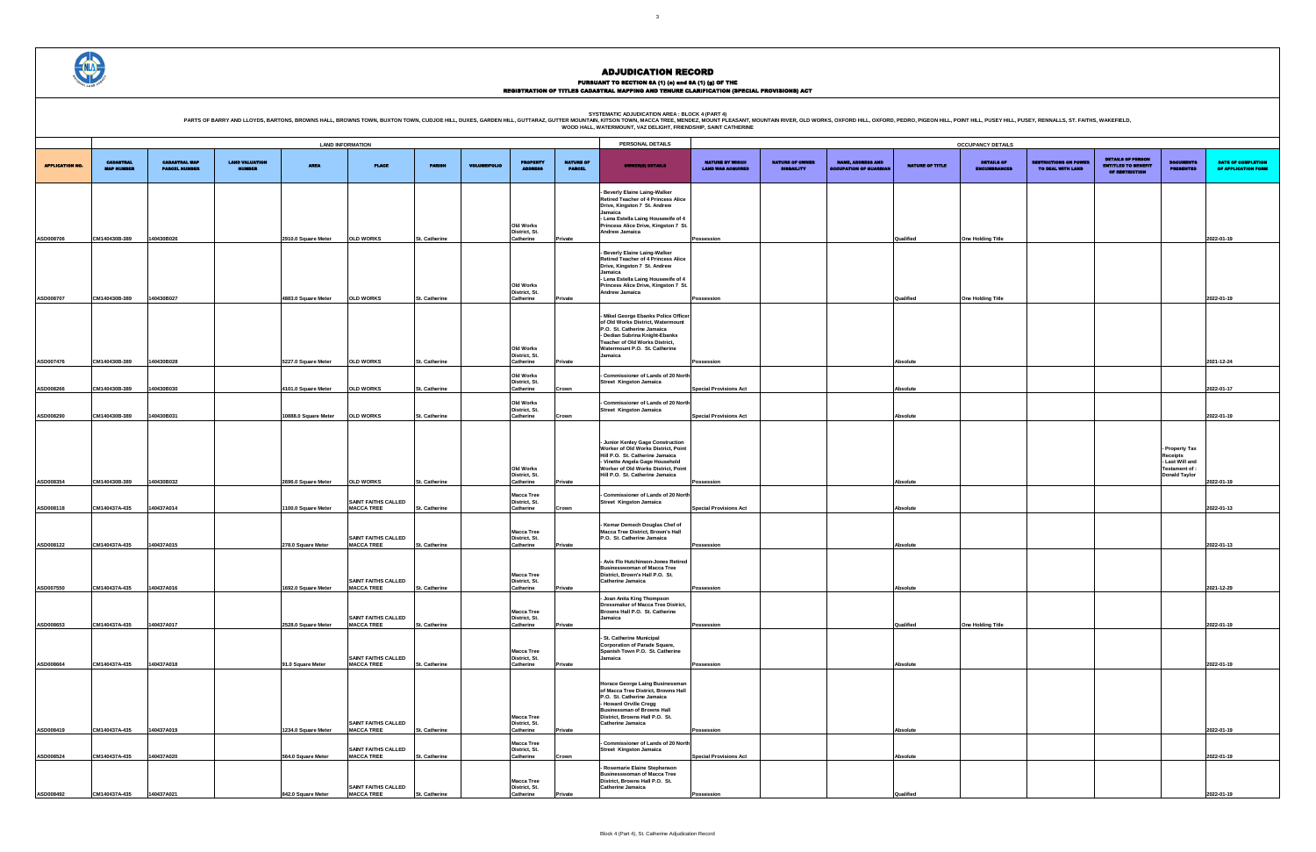### PURSUANT TO SECTION 8A (1) (0) and 8A (1) (g) OF THE<br>REGISTRATION OF TITLES CADASTRAL MAPPING AND TENURE CLARIFICATION (SPECIAL PROVISIONS) ACT

|                                                    |                                             |                                                           |                        | <b>OCCUPANCY DETAILS</b>                 |                                                   |                                                                          |                                               |                                                  |
|----------------------------------------------------|---------------------------------------------|-----------------------------------------------------------|------------------------|------------------------------------------|---------------------------------------------------|--------------------------------------------------------------------------|-----------------------------------------------|--------------------------------------------------|
| <b>NATURE BY WHICH</b><br><b>LAND WAS ACQUIRED</b> | <b>NATURE OF OWNER</b><br><b>DISBAILITY</b> | <b>NAME, ADDRESS AND</b><br><b>OCCUPATION OF GUARDIAN</b> | <b>NATURE OF TITLE</b> | <b>DETAILS OF</b><br><b>ENCUMBRANCES</b> | <b>RESTRICTIONS ON POWER</b><br>TO DEAL WITH LAND | <b>DETAILS OF PERSON</b><br><b>ENTITLED TO BENEFIT</b><br>OF RESTRICTION | <b>DOCUMENTS</b><br><b>PRESENTED</b>          | <b>DATE OF COMPLETION</b><br>OF APPLICATION FORM |
|                                                    |                                             |                                                           |                        |                                          |                                                   |                                                                          |                                               |                                                  |
|                                                    |                                             |                                                           |                        |                                          |                                                   |                                                                          |                                               |                                                  |
|                                                    |                                             |                                                           |                        |                                          |                                                   |                                                                          |                                               |                                                  |
| Possession                                         |                                             |                                                           | Qualified              | One Holding Title                        |                                                   |                                                                          |                                               | 2022-01-19                                       |
|                                                    |                                             |                                                           |                        |                                          |                                                   |                                                                          |                                               |                                                  |
|                                                    |                                             |                                                           |                        |                                          |                                                   |                                                                          |                                               |                                                  |
| Possession                                         |                                             |                                                           | Qualified              | One Holding Title                        |                                                   |                                                                          |                                               | 2022-01-19                                       |
|                                                    |                                             |                                                           |                        |                                          |                                                   |                                                                          |                                               |                                                  |
|                                                    |                                             |                                                           |                        |                                          |                                                   |                                                                          |                                               |                                                  |
| Possession                                         |                                             |                                                           | Absolute               |                                          |                                                   |                                                                          |                                               | 2021-12-24                                       |
|                                                    |                                             |                                                           |                        |                                          |                                                   |                                                                          |                                               |                                                  |
| <b>Special Provisions Act</b>                      |                                             |                                                           | Absolute               |                                          |                                                   |                                                                          |                                               | 2022-01-17                                       |
| <b>Special Provisions Act</b>                      |                                             |                                                           | Absolute               |                                          |                                                   |                                                                          |                                               | 2022-01-19                                       |
|                                                    |                                             |                                                           |                        |                                          |                                                   |                                                                          |                                               |                                                  |
|                                                    |                                             |                                                           |                        |                                          |                                                   |                                                                          | Property Tax                                  |                                                  |
|                                                    |                                             |                                                           |                        |                                          |                                                   |                                                                          | Receipts<br>- Last Will and<br>Testament of : |                                                  |
| Possession                                         |                                             |                                                           | Absolute               |                                          |                                                   |                                                                          | <b>Donald Taylor</b>                          | 2022-01-19                                       |
|                                                    |                                             |                                                           |                        |                                          |                                                   |                                                                          |                                               |                                                  |
| <b>Special Provisions Act</b>                      |                                             |                                                           | Absolute               |                                          |                                                   |                                                                          |                                               | 2022-01-13                                       |
|                                                    |                                             |                                                           |                        |                                          |                                                   |                                                                          |                                               |                                                  |
| Possession                                         |                                             |                                                           | Absolute               |                                          |                                                   |                                                                          |                                               | 2022-01-13                                       |
|                                                    |                                             |                                                           |                        |                                          |                                                   |                                                                          |                                               |                                                  |
| Possession                                         |                                             |                                                           | Absolute               |                                          |                                                   |                                                                          |                                               | 2021-12-29                                       |
|                                                    |                                             |                                                           |                        |                                          |                                                   |                                                                          |                                               |                                                  |
| Possession                                         |                                             |                                                           | Qualified              | One Holding Title                        |                                                   |                                                                          |                                               | 2022-01-19                                       |
|                                                    |                                             |                                                           |                        |                                          |                                                   |                                                                          |                                               |                                                  |
| Possession                                         |                                             |                                                           | Absolute               |                                          |                                                   |                                                                          |                                               | 2022-01-19                                       |
|                                                    |                                             |                                                           |                        |                                          |                                                   |                                                                          |                                               |                                                  |
|                                                    |                                             |                                                           |                        |                                          |                                                   |                                                                          |                                               |                                                  |
|                                                    |                                             |                                                           |                        |                                          |                                                   |                                                                          |                                               |                                                  |
| Possession                                         |                                             |                                                           | Absolute               |                                          |                                                   |                                                                          |                                               | 2022-01-19                                       |
| <b>Special Provisions Act</b>                      |                                             |                                                           | Absolute               |                                          |                                                   |                                                                          |                                               | 2022-01-19                                       |
|                                                    |                                             |                                                           |                        |                                          |                                                   |                                                                          |                                               |                                                  |
| Possession                                         |                                             |                                                           | Qualified              |                                          |                                                   |                                                                          |                                               | 2022-01-19                                       |



### ADJUDICATION RECORD

|                        |                                       |                                              |                                        |                                                                                                                                                                          | <b>LAND INFORMATION</b>                         |                      |                     |                                    |                                   | PERSONAL DETAILS                                                                 |                                                    |                                             |                                                          |                        | <b>OCCUPANCY DETAILS</b>          |                                                   |                                                                          |                                       |                              |
|------------------------|---------------------------------------|----------------------------------------------|----------------------------------------|--------------------------------------------------------------------------------------------------------------------------------------------------------------------------|-------------------------------------------------|----------------------|---------------------|------------------------------------|-----------------------------------|----------------------------------------------------------------------------------|----------------------------------------------------|---------------------------------------------|----------------------------------------------------------|------------------------|-----------------------------------|---------------------------------------------------|--------------------------------------------------------------------------|---------------------------------------|------------------------------|
|                        |                                       |                                              |                                        |                                                                                                                                                                          |                                                 |                      |                     |                                    |                                   |                                                                                  |                                                    |                                             |                                                          |                        |                                   |                                                   |                                                                          |                                       |                              |
| <b>APPLICATION NO.</b> | <b>CADASTRAL</b><br><b>MAP NUMBER</b> | <b>CADASTRAL MAP</b><br><b>PARCEL NUMBER</b> | <b>LAND VALUATION</b><br><b>NUMBER</b> | <b>AREA</b>                                                                                                                                                              | <b>PLACE</b>                                    | <b>PARISH</b>        | <b>VOLUME/FOLIO</b> | <b>PROPERTY</b><br><b>ARRIVES</b>  | <b>NATURE OF</b><br><b>PARCEL</b> | <b>OWNER(8) DETAILS</b>                                                          | <b>NATURE BY WHICH</b><br><b>LAND WAS ACQUIRED</b> | <b>NATURE OF OWNER</b><br><b>DISBAILITY</b> | <b>NAME, ADDRESS AND</b><br><b>OCCUPATION OF GUARDIA</b> | <b>NATURE OF TITLE</b> | <b>DETAILS OF</b><br>ENCUMBRANCES | <b>RESTRICTIONS ON POWEI</b><br>TO DEAL WITH LAND | <b>DETAILS OF PERSON</b><br><b>ENTITLED TO BENEFIT</b><br>OF RESTRICTION | <b>DOCUMENTS</b><br><b>PRESENTED</b>  | <b>DATE</b><br><b>OF API</b> |
|                        |                                       |                                              |                                        |                                                                                                                                                                          |                                                 |                      |                     |                                    |                                   | <b>Beverly Elaine Laing-Walker</b><br><b>Retired Teacher of 4 Princess Alice</b> |                                                    |                                             |                                                          |                        |                                   |                                                   |                                                                          |                                       |                              |
|                        |                                       |                                              |                                        |                                                                                                                                                                          |                                                 |                      |                     |                                    |                                   | Drive, Kingston 7 St. Andrew<br>Jamaica                                          |                                                    |                                             |                                                          |                        |                                   |                                                   |                                                                          |                                       |                              |
|                        |                                       |                                              |                                        |                                                                                                                                                                          |                                                 |                      |                     | Old Works                          |                                   | - Lena Estella Laing Housewife of 4<br>Princess Alice Drive, Kingston 7 St.      |                                                    |                                             |                                                          |                        |                                   |                                                   |                                                                          |                                       |                              |
| ASD008706              | CM140430B-389                         | 140430B026                                   |                                        | <b>OLD WORKS</b><br>2910.0 Square Meter<br><b>OLD WORKS</b><br>4883.0 Square Meter<br>5227.0 Square Meter<br><b>OLD WORKS</b><br>4101.0 Square Meter<br><b>OLD WORKS</b> |                                                 |                      |                     | District, St.<br>Catherine         | Private                           | Andrew Jamaica                                                                   | Possession                                         |                                             |                                                          | Qualified              | One Holding Title                 |                                                   |                                                                          |                                       | 2022-01-19                   |
|                        |                                       |                                              |                                        |                                                                                                                                                                          |                                                 |                      |                     |                                    |                                   | - Beverly Elaine Laing-Walker                                                    |                                                    |                                             |                                                          |                        |                                   |                                                   |                                                                          |                                       |                              |
|                        |                                       |                                              |                                        |                                                                                                                                                                          |                                                 |                      |                     |                                    |                                   | Retired Teacher of 4 Princess Alice<br>Drive, Kingston 7 St. Andrew              |                                                    |                                             |                                                          |                        |                                   |                                                   |                                                                          |                                       |                              |
|                        |                                       |                                              |                                        |                                                                                                                                                                          |                                                 |                      |                     |                                    |                                   | Jamaica<br>- Lena Estella Laing Housewife of 4                                   |                                                    |                                             |                                                          |                        |                                   |                                                   |                                                                          |                                       |                              |
|                        |                                       |                                              |                                        |                                                                                                                                                                          |                                                 |                      |                     | Old Works<br>District, St.         |                                   | Princess Alice Drive, Kingston 7 St.<br>Andrew Jamaica                           |                                                    |                                             |                                                          |                        |                                   |                                                   |                                                                          |                                       |                              |
| ASD008707              | CM140430B-389                         | 140430B027                                   |                                        |                                                                                                                                                                          |                                                 | <b>St. Catherine</b> |                     | Catherine                          | Private                           |                                                                                  | Possession                                         |                                             |                                                          | Qualified              | One Holding Title                 |                                                   |                                                                          |                                       | 2022-01-19                   |
|                        |                                       |                                              |                                        |                                                                                                                                                                          |                                                 |                      |                     |                                    |                                   | - Mikel George Ebanks Police Officer<br>of Old Works District, Watermount        |                                                    |                                             |                                                          |                        |                                   |                                                   |                                                                          |                                       |                              |
|                        |                                       |                                              |                                        |                                                                                                                                                                          |                                                 |                      |                     |                                    |                                   | P.O. St. Catherine Jamaica<br>- Dedian Subrina Knight-Ebanks                     |                                                    |                                             |                                                          |                        |                                   |                                                   |                                                                          |                                       |                              |
|                        |                                       |                                              |                                        |                                                                                                                                                                          |                                                 |                      |                     | Old Works                          |                                   | Teacher of Old Works District,<br>Watermount P.O. St. Catherine                  |                                                    |                                             |                                                          |                        |                                   |                                                   |                                                                          |                                       |                              |
| ASD007476              | CM140430B-389                         | 140430B028                                   |                                        |                                                                                                                                                                          |                                                 | St. Catherine        |                     | District, St.<br>Catherine         | Private                           | Jamaica                                                                          | Possession                                         |                                             |                                                          | Absolute               |                                   |                                                   |                                                                          |                                       | 2021-12-24                   |
|                        |                                       |                                              |                                        |                                                                                                                                                                          |                                                 |                      |                     | Old Works                          |                                   | Commissioner of Lands of 20 North                                                |                                                    |                                             |                                                          |                        |                                   |                                                   |                                                                          |                                       |                              |
| ASD008266              | CM140430B-389                         | 140430B030                                   |                                        |                                                                                                                                                                          |                                                 | St. Catherine        |                     | District, St.<br>Catherine         | Crown                             | <b>Street Kingston Jamaica</b>                                                   | <b>Special Provisions Act</b>                      |                                             |                                                          | Absolute               |                                   |                                                   |                                                                          |                                       | 2022-01-17                   |
|                        |                                       | 140430B031                                   |                                        |                                                                                                                                                                          |                                                 |                      |                     | Old Works<br>District, St.         |                                   | - Commissioner of Lands of 20 North                                              |                                                    |                                             |                                                          |                        |                                   |                                                   |                                                                          |                                       |                              |
| ASD008290              | CM140430B-389                         |                                              |                                        | 10888.0 Square Meter                                                                                                                                                     | <b>OLD WORKS</b>                                | St. Catherine        |                     | Catherine                          | Crown                             | Street Kingston Jamaica                                                          | <b>Special Provisions Act</b>                      |                                             |                                                          | Absolute               |                                   |                                                   |                                                                          |                                       | 2022-01-19                   |
|                        |                                       |                                              |                                        |                                                                                                                                                                          |                                                 |                      |                     |                                    |                                   |                                                                                  |                                                    |                                             |                                                          |                        |                                   |                                                   |                                                                          |                                       |                              |
|                        |                                       |                                              |                                        |                                                                                                                                                                          |                                                 |                      |                     |                                    |                                   | - Junior Kenley Gage Construction<br>Worker of Old Works District, Point         |                                                    |                                             |                                                          |                        |                                   |                                                   |                                                                          | Property Tax                          |                              |
|                        |                                       |                                              |                                        |                                                                                                                                                                          |                                                 |                      |                     |                                    |                                   | Hill P.O. St. Catherine Jamaica<br>Vinette Angela Gage Household                 |                                                    |                                             |                                                          |                        |                                   |                                                   |                                                                          | Receipts<br>Last Will and             |                              |
|                        |                                       |                                              |                                        |                                                                                                                                                                          |                                                 |                      |                     | Old Works<br>District, St.         |                                   | Worker of Old Works District, Point<br>Hill P.O. St. Catherine Jamaica           |                                                    |                                             |                                                          |                        |                                   |                                                   |                                                                          | Testament of:<br><b>Donald Taylor</b> |                              |
| ASD008354              | CM140430B-389                         | 140430B032                                   |                                        | 2696.0 Square Meter                                                                                                                                                      | <b>OLD WORKS</b>                                | St. Catherine        |                     | Catherine                          | Private                           |                                                                                  | Possession                                         |                                             |                                                          | Absolute               |                                   |                                                   |                                                                          |                                       | 2022-01-19                   |
|                        |                                       |                                              |                                        |                                                                                                                                                                          | <b>SAINT FAITHS CALLED</b>                      |                      |                     | <b>Macca Tree</b><br>District, St. |                                   | - Commissioner of Lands of 20 North<br><b>Street Kingston Jamaica</b>            |                                                    |                                             |                                                          |                        |                                   |                                                   |                                                                          |                                       |                              |
| ASD008118              | CM140437A-435                         | 140437A014                                   |                                        | 1100.0 Square Meter                                                                                                                                                      | <b>MACCA TREE</b>                               | St. Catherine        |                     | Catherine                          | Crown                             |                                                                                  | <b>Special Provisions Act</b>                      |                                             |                                                          | <b>Absolute</b>        |                                   |                                                   |                                                                          |                                       | 2022-01-13                   |
|                        |                                       |                                              |                                        |                                                                                                                                                                          |                                                 |                      |                     | <b>Macca Tree</b>                  |                                   | - Kemar Demech Douglas Chef of<br>Macca Tree District, Brown's Hall              |                                                    |                                             |                                                          |                        |                                   |                                                   |                                                                          |                                       |                              |
| ASD008122              | CM140437A-435                         | 140437A015                                   |                                        | 278.0 Square Meter                                                                                                                                                       | <b>SAINT FAITHS CALLED</b><br><b>MACCA TREE</b> | St. Catherine        |                     | District, St.<br>Catherine         | Private                           | P.O. St. Catherine Jamaica                                                       | Possession                                         |                                             |                                                          | <b>Absolute</b>        |                                   |                                                   |                                                                          |                                       | 2022-01-13                   |
|                        |                                       |                                              |                                        |                                                                                                                                                                          |                                                 |                      |                     |                                    |                                   | - Avis Flo Hutchinson-Jones Retired                                              |                                                    |                                             |                                                          |                        |                                   |                                                   |                                                                          |                                       |                              |
|                        |                                       |                                              |                                        |                                                                                                                                                                          |                                                 |                      |                     | <b>Macca Tree</b>                  |                                   | <b>Businesswoman of Macca Tree</b><br>District, Brown's Hall P.O. St.            |                                                    |                                             |                                                          |                        |                                   |                                                   |                                                                          |                                       |                              |
| ASD007550              | CM140437A-435                         | 140437A016                                   |                                        | 1692.0 Square Meter                                                                                                                                                      | <b>SAINT FAITHS CALLED</b><br><b>MACCA TREE</b> | St. Catherine        |                     | District, St.<br>Catherine         | Private                           | Catherine Jamaica                                                                | Possession                                         |                                             |                                                          | Absolute               |                                   |                                                   |                                                                          |                                       | 2021-12-29                   |
|                        |                                       |                                              |                                        |                                                                                                                                                                          |                                                 |                      |                     |                                    |                                   | - Joan Anita King Thompson                                                       |                                                    |                                             |                                                          |                        |                                   |                                                   |                                                                          |                                       |                              |
|                        |                                       |                                              |                                        |                                                                                                                                                                          | SAINT FAITHS CALLED                             |                      |                     | <b>Macca Tree</b><br>District, St. |                                   | Dressmaker of Macca Tree District,<br>Browns Hall P.O. St. Catherine<br>Jamaica  |                                                    |                                             |                                                          |                        |                                   |                                                   |                                                                          |                                       |                              |
| ASD008653              | CM140437A-435                         | 140437A017                                   |                                        | 2528.0 Square Meter                                                                                                                                                      | <b>MACCA TREE</b>                               | St. Catherine        |                     | Catherine                          | Private                           |                                                                                  | Possession                                         |                                             |                                                          | Qualified              | One Holding Title                 |                                                   |                                                                          |                                       | 2022-01-19                   |
|                        |                                       |                                              |                                        |                                                                                                                                                                          |                                                 |                      |                     |                                    |                                   | - St. Catherine Municipal<br><b>Corporation of Parade Square,</b>                |                                                    |                                             |                                                          |                        |                                   |                                                   |                                                                          |                                       |                              |
|                        |                                       |                                              |                                        |                                                                                                                                                                          | <b>SAINT FAITHS CALLED</b>                      |                      |                     | <b>Macca Tree</b><br>District, St. |                                   | Spanish Town P.O. St. Catherine<br>Jamaica                                       |                                                    |                                             |                                                          |                        |                                   |                                                   |                                                                          |                                       |                              |
| ASD008664              | CM140437A-435                         | 140437A018                                   |                                        | 91.0 Square Meter                                                                                                                                                        | <b>MACCA TREE</b>                               | St. Catherine        |                     | Catherine                          | Private                           |                                                                                  | Possession                                         |                                             |                                                          | <b>Absolute</b>        |                                   |                                                   |                                                                          |                                       | 2022-01-19                   |
|                        |                                       |                                              |                                        |                                                                                                                                                                          |                                                 |                      |                     |                                    |                                   | Horace George Laing Businessman                                                  |                                                    |                                             |                                                          |                        |                                   |                                                   |                                                                          |                                       |                              |
|                        |                                       |                                              |                                        |                                                                                                                                                                          |                                                 |                      |                     |                                    |                                   | of Macca Tree District, Browns Hall<br>P.O. St. Catherine Jamaica                |                                                    |                                             |                                                          |                        |                                   |                                                   |                                                                          |                                       |                              |
|                        |                                       |                                              |                                        |                                                                                                                                                                          |                                                 |                      |                     |                                    |                                   | - Howard Orville Cregg<br><b>Businessman of Browns Hall</b>                      |                                                    |                                             |                                                          |                        |                                   |                                                   |                                                                          |                                       |                              |
|                        |                                       |                                              |                                        |                                                                                                                                                                          | <b>SAINT FAITHS CALLED</b>                      |                      |                     | <b>Macca Tree</b><br>District, St. |                                   | District, Browns Hall P.O. St.<br><b>Catherine Jamaica</b>                       |                                                    |                                             |                                                          |                        |                                   |                                                   |                                                                          |                                       |                              |
| ASD008419              | CM140437A-435                         | 140437A019                                   |                                        | 1234.0 Square Meter                                                                                                                                                      | <b>MACCA TREE</b>                               | St. Catherine        |                     | Catherine<br><b>Macca Tree</b>     | Private                           | - Commissioner of Lands of 20 North                                              | Possession                                         |                                             |                                                          | <b>Absolute</b>        |                                   |                                                   |                                                                          |                                       | 2022-01-19                   |
| ASD008524              | CM140437A-435                         | 140437A020                                   |                                        | 564.0 Square Meter                                                                                                                                                       | <b>SAINT FAITHS CALLED</b><br><b>MACCA TREE</b> | St. Catherine        |                     | District, St.<br>Catherine         | Crown                             | <b>Street Kingston Jamaica</b>                                                   | <b>Special Provisions Act</b>                      |                                             |                                                          | <b>Absolute</b>        |                                   |                                                   |                                                                          |                                       | 2022-01-19                   |
|                        |                                       |                                              |                                        |                                                                                                                                                                          |                                                 |                      |                     |                                    |                                   | - Rosemarie Elaine Stephenson                                                    |                                                    |                                             |                                                          |                        |                                   |                                                   |                                                                          |                                       |                              |
|                        |                                       |                                              |                                        |                                                                                                                                                                          |                                                 |                      |                     | <b>Macca Tree</b>                  |                                   | <b>Businesswoman of Macca Tree</b><br>District, Browns Hall P.O. St.             |                                                    |                                             |                                                          |                        |                                   |                                                   |                                                                          |                                       |                              |
| ASD008492              | CM140437A-435                         | 140437A021                                   |                                        | 842.0 Square Meter                                                                                                                                                       | <b>SAINT FAITHS CALLED</b><br><b>MACCA TREE</b> | St. Catherine        |                     | District, St.<br>Catherine         | Private                           | Catherine Jamaica                                                                | Possession                                         |                                             |                                                          | Qualified              |                                   |                                                   |                                                                          |                                       | 2022-01-19                   |

**SYSTEMATIC ADJUDICATION AREA : BLOCK 4 (PART 4)**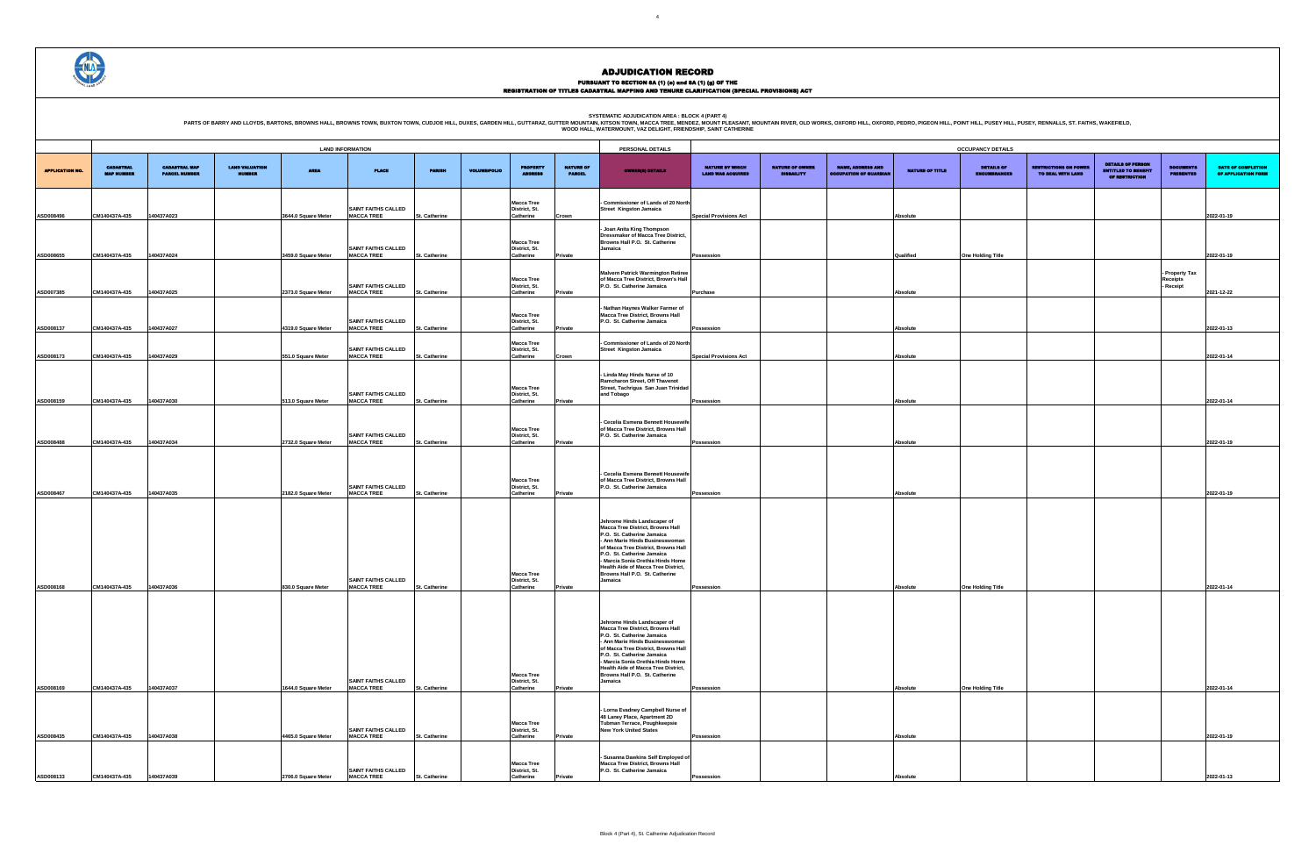### PURSUANT TO SECTION 8A (1) (0) and 8A (1) (g) OF THE<br>REGISTRATION OF TITLES CADASTRAL MAPPING AND TENURE CLARIFICATION (SPECIAL PROVISIONS) ACT

|                                             |                                             |                                                           |                 | <b>OCCUPANCY DETAILS</b>                 |                                                   |                                                                          |                                      |                                           |
|---------------------------------------------|---------------------------------------------|-----------------------------------------------------------|-----------------|------------------------------------------|---------------------------------------------------|--------------------------------------------------------------------------|--------------------------------------|-------------------------------------------|
| NATURE BY WHICH<br><b>LAND WAS ACQUIRED</b> | <b>NATURE OF OWNER</b><br><b>DISBAILITY</b> | <b>NAME, ADDRESS AND</b><br><b>OCCUPATION OF GUARDIAN</b> | NATURE OF TITLE | <b>DETAILS OF</b><br><b>ENCUMBRANCES</b> | <b>RESTRICTIONS ON POWER</b><br>TO DEAL WITH LAND | <b>DETAILS OF PERSON</b><br><b>ENTITLED TO BENEFIT</b><br>OF RESTRICTION | <b>DOCUMENTS</b><br><b>PRESENTED</b> | DATE OF COMPLETION<br>OF APPLICATION FORM |
| <b>Special Provisions Act</b>               |                                             |                                                           | Absolute        |                                          |                                                   |                                                                          |                                      | 2022-01-19                                |
|                                             |                                             |                                                           |                 |                                          |                                                   |                                                                          |                                      |                                           |
| Possession                                  |                                             |                                                           | Qualified       | One Holding Title                        |                                                   |                                                                          | - Property Tax<br>Receipts           | 2022-01-19                                |
| Purchase                                    |                                             |                                                           | Absolute        |                                          |                                                   |                                                                          | Receipt                              | 2021-12-22                                |
| Possession                                  |                                             |                                                           | Absolute        |                                          |                                                   |                                                                          |                                      | 2022-01-13                                |
| <b>Special Provisions Act</b>               |                                             |                                                           | Absolute        |                                          |                                                   |                                                                          |                                      | 2022-01-14                                |
|                                             |                                             |                                                           |                 |                                          |                                                   |                                                                          |                                      |                                           |
| Possession                                  |                                             |                                                           | Absolute        |                                          |                                                   |                                                                          |                                      | 2022-01-14                                |
| Possession                                  |                                             |                                                           | Absolute        |                                          |                                                   |                                                                          |                                      | 2022-01-19                                |
|                                             |                                             |                                                           |                 |                                          |                                                   |                                                                          |                                      |                                           |
| Possession                                  |                                             |                                                           | Absolute        |                                          |                                                   |                                                                          |                                      | 2022-01-19                                |
|                                             |                                             |                                                           |                 |                                          |                                                   |                                                                          |                                      |                                           |
|                                             |                                             |                                                           |                 |                                          |                                                   |                                                                          |                                      |                                           |
| Possession                                  |                                             |                                                           | Absolute        | One Holding Title                        |                                                   |                                                                          |                                      | 2022-01-14                                |
|                                             |                                             |                                                           |                 |                                          |                                                   |                                                                          |                                      |                                           |
|                                             |                                             |                                                           |                 |                                          |                                                   |                                                                          |                                      |                                           |
| Possession                                  |                                             |                                                           | Absolute        | One Holding Title                        |                                                   |                                                                          |                                      | 2022-01-14                                |
|                                             |                                             |                                                           |                 |                                          |                                                   |                                                                          |                                      |                                           |
| Possession                                  |                                             |                                                           | Absolute        |                                          |                                                   |                                                                          |                                      | 2022-01-19                                |
| Possession                                  |                                             |                                                           | Absolute        |                                          |                                                   |                                                                          |                                      | 2022-01-13                                |



#### ADJUDICATION RECORD

**SYSTEMATIC ADJUDICATION AREA : BLOCK 4 (PART 4)**

|                        |                                       |                                              |                                        |                     | <b>LAND INFORMATION</b>                         |                      |                     |                                                 |                                   | PERSONAL DETAILS                                                                                                                                                                                                                                                                                                                      |                                                    |                                             |                                                          |                 | <b>OCCUPANCY DETAILS</b>                 |                                                   |                                                                          |                                      |                              |
|------------------------|---------------------------------------|----------------------------------------------|----------------------------------------|---------------------|-------------------------------------------------|----------------------|---------------------|-------------------------------------------------|-----------------------------------|---------------------------------------------------------------------------------------------------------------------------------------------------------------------------------------------------------------------------------------------------------------------------------------------------------------------------------------|----------------------------------------------------|---------------------------------------------|----------------------------------------------------------|-----------------|------------------------------------------|---------------------------------------------------|--------------------------------------------------------------------------|--------------------------------------|------------------------------|
| <b>APPLICATION NO.</b> | <b>CADASTRAL</b><br><b>MAP NUMBER</b> | <b>CADASTRAL MAP</b><br><b>PARCEL NUMBER</b> | <b>LAND VALUATION</b><br><b>NUMBER</b> | <b>AREA</b>         | <b>PLACE</b>                                    | <b>PARISH</b>        | <b>VOLUME/FOLIO</b> | <b>PROPERTY</b>                                 | <b>NATURE OF</b><br><b>PARCEL</b> | <b>OWNER(8) DETAILS</b>                                                                                                                                                                                                                                                                                                               | <b>NATURE BY WHICH</b><br><b>LAND WAS ACQUIRED</b> | <b>NATURE OF OWNER</b><br><b>DISBAILITY</b> | <b>NAME, ADDRESS AND</b><br><b>OCCUPATION OF GUARDIA</b> | NATURE OF TITLE | <b>DETAILS OF</b><br><b>ENCUMBRANCES</b> | <b>RESTRICTIONS ON POWER</b><br>TO DEAL WITH LAND | <b>DETAILS OF PERSON</b><br><b>ENTITLED TO BENEFIT</b><br>OF RESTRICTION | <b>DOCUMENTS</b><br><b>PRESENTED</b> | <b>DATE</b><br><b>OF API</b> |
| ASD008496              | CM140437A-435                         | 140437A023                                   |                                        | 3644.0 Square Meter | <b>SAINT FAITHS CALLED</b><br><b>MACCA TREE</b> | <b>St. Catherine</b> |                     | <b>Macca Tree</b><br>District, St.<br>Catherine | Crown                             | Commissioner of Lands of 20 North<br>Street Kingston Jamaica                                                                                                                                                                                                                                                                          | <b>Special Provisions Act</b>                      |                                             |                                                          | <b>Absolute</b> |                                          |                                                   |                                                                          |                                      | 2022-01-19                   |
| ASD008655              | CM140437A-435                         | 140437A024                                   |                                        | 3459.0 Square Meter | <b>SAINT FAITHS CALLED</b><br><b>MACCA TREE</b> | St. Catherine        |                     | <b>Macca Tree</b><br>District, St.<br>Catherine | Private                           | - Joan Anita King Thompson<br><b>Dressmaker of Macca Tree District,</b><br>Browns Hall P.O. St. Catherine<br>Jamaica                                                                                                                                                                                                                  | Possession                                         |                                             |                                                          | Qualified       | One Holding Title                        |                                                   |                                                                          |                                      | 2022-01-19                   |
| ASD007385              | CM140437A-435                         | 140437A025                                   |                                        | 2373.0 Square Meter | <b>SAINT FAITHS CALLED</b><br><b>MACCA TREE</b> | <b>St. Catherine</b> |                     | <b>Macca Tree</b><br>District, St.<br>Catherine | Private                           | <b>Malvern Patrick Warmington Retiree</b><br>of Macca Tree District, Brown's Hall<br>P.O. St. Catherine Jamaica                                                                                                                                                                                                                       | Purchase                                           |                                             |                                                          | <b>Absolute</b> |                                          |                                                   |                                                                          | Property Tax<br>Receipts<br>Receipt  | 2021-12-22                   |
| ASD008137              | CM140437A-435                         | 140437A027                                   |                                        | 4319.0 Square Meter | SAINT FAITHS CALLED<br><b>MACCA TREE</b>        | St. Catherine        |                     | <b>Macca Tree</b><br>District, St.<br>Catherine | Private                           | - Nathan Haynes Walker Farmer of<br><b>Macca Tree District, Browns Hall</b><br>P.O. St. Catherine Jamaica                                                                                                                                                                                                                             | Possession                                         |                                             |                                                          | <b>Absolute</b> |                                          |                                                   |                                                                          |                                      | 2022-01-13                   |
| ASD008173              | CM140437A-435                         | 140437A029                                   |                                        | 551.0 Square Meter  | <b>SAINT FAITHS CALLED</b><br><b>MACCA TREE</b> | <b>St. Catherine</b> |                     | <b>Macca Tree</b><br>District, St.<br>Catherine | Crown                             | - Commissioner of Lands of 20 North<br><b>Street Kingston Jamaica</b>                                                                                                                                                                                                                                                                 | <b>Special Provisions Act</b>                      |                                             |                                                          | <b>Absolute</b> |                                          |                                                   |                                                                          |                                      | 2022-01-14                   |
| ASD008159              | CM140437A-435                         | 140437A030                                   |                                        | 513.0 Square Meter  | <b>SAINT FAITHS CALLED</b><br><b>MACCA TREE</b> | <b>St. Catherine</b> |                     | <b>Macca Tree</b><br>District, St.<br>Catherine | Private                           | - Linda May Hinds Nurse of 10<br>Ramcharon Street, Off Thavenot<br>Street, Tachrigua San Juan Trinidad<br>and Tobago                                                                                                                                                                                                                  | Possession                                         |                                             |                                                          | <b>Absolute</b> |                                          |                                                   |                                                                          |                                      | 2022-01-14                   |
|                        |                                       |                                              |                                        |                     | <b>SAINT FAITHS CALLED</b>                      |                      |                     | <b>Macca Tree</b><br>District, St.              |                                   | - Cecelia Esmena Bennett Housewife<br>of Macca Tree District, Browns Hall<br>P.O. St. Catherine Jamaica                                                                                                                                                                                                                               |                                                    |                                             |                                                          |                 |                                          |                                                   |                                                                          |                                      |                              |
| ASD008488              | CM140437A-435                         | 140437A034                                   |                                        | 2732.0 Square Meter | <b>MACCA TREE</b>                               | St. Catherine        |                     | Catherine                                       | Private                           |                                                                                                                                                                                                                                                                                                                                       | Possession                                         |                                             |                                                          | <b>Absolute</b> |                                          |                                                   |                                                                          |                                      | 2022-01-19                   |
| ASD008467              | CM140437A-435                         | 40437A035                                    |                                        | 2182.0 Square Meter | <b>SAINT FAITHS CALLED</b><br><b>MACCA TREE</b> | St. Catherine        |                     | <b>Macca Tree</b><br>District, St.<br>Catherine | Private                           | Cecelia Esmena Bennett Housewife<br>of Macca Tree District, Browns Hall<br>P.O. St. Catherine Jamaica                                                                                                                                                                                                                                 | Possession                                         |                                             |                                                          | <b>Absolute</b> |                                          |                                                   |                                                                          |                                      | 2022-01-19                   |
| ASD008168              | CM140437A-435                         | 140437A036                                   |                                        | 830.0 Square Meter  | <b>SAINT FAITHS CALLED</b><br><b>MACCA TREE</b> | St. Catherine        |                     | <b>Macca Tree</b><br>District, St.<br>Catherine | Private                           | Jehrome Hinds Landscaper of<br>Macca Tree District, Browns Hall<br>P.O. St. Catherine Jamaica<br>- Ann Marie Hinds Businesswoman<br>of Macca Tree District. Browns Hall<br>P.O. St. Catherine Jamaica<br>- Marcia Sonia Orethia Hinds Home<br><b>Health Aide of Macca Tree District,</b><br>Browns Hall P.O. St. Catherine<br>Jamaica | Possession                                         |                                             |                                                          | <b>Absolute</b> | One Holding Title                        |                                                   |                                                                          |                                      | 2022-01-14                   |
|                        |                                       |                                              |                                        |                     | <b>SAINT FAITHS CALLED</b>                      |                      |                     | <b>Macca Tree</b><br>District, St.              |                                   | Jehrome Hinds Landscaper of<br>Macca Tree District, Browns Hall<br>P.O. St. Catherine Jamaica<br>- Ann Marie Hinds Businesswoman<br>of Macca Tree District, Browns Hall<br>P.O. St. Catherine Jamaica<br>- Marcia Sonia Orethia Hinds Home<br>Health Aide of Macca Tree District,<br>Browns Hall P.O. St. Catherine<br>Jamaica        |                                                    |                                             |                                                          |                 |                                          |                                                   |                                                                          |                                      |                              |
| ASD008169              | CM140437A-435                         | 140437A037                                   |                                        | 1644.0 Square Meter | <b>MACCA TREE</b><br><b>SAINT FAITHS CALLED</b> | <b>St. Catherine</b> |                     | Catherine<br><b>Macca Tree</b><br>District, St. | Private                           | - Lorna Evadney Campbell Nurse of<br>48 Laney Place, Apartment 2D<br>Tubman Terrace, Poughkeepsie<br><b>New York United States</b>                                                                                                                                                                                                    | Possession                                         |                                             |                                                          | <b>Absolute</b> | One Holding Title                        |                                                   |                                                                          |                                      | 2022-01-14                   |
| ASD008435              | CM140437A-435                         | 140437A038                                   |                                        | 4465.0 Square Meter | <b>MACCA TREE</b><br><b>SAINT FAITHS CALLED</b> | <b>St. Catherine</b> |                     | Catherine<br><b>Macca Tree</b><br>District, St. | Private                           | Susanna Dawkins Self Employed of<br><b>Macca Tree District, Browns Hall</b><br>P.O. St. Catherine Jamaica                                                                                                                                                                                                                             | Possession                                         |                                             |                                                          | <b>Absolute</b> |                                          |                                                   |                                                                          |                                      | 2022-01-19                   |
| ASD008133              | CM140437A-435                         | 140437A039                                   |                                        | 2706.0 Square Meter | <b>MACCA TREE</b>                               | <b>St. Catherine</b> |                     | Catherine                                       | Private                           |                                                                                                                                                                                                                                                                                                                                       | Possession                                         |                                             |                                                          | <b>Absolute</b> |                                          |                                                   |                                                                          |                                      | 2022-01-13                   |

INT HILL, PUSEY HILL, PUSEY, RENNALLS, ST. FAITHS, WAKEFIELD,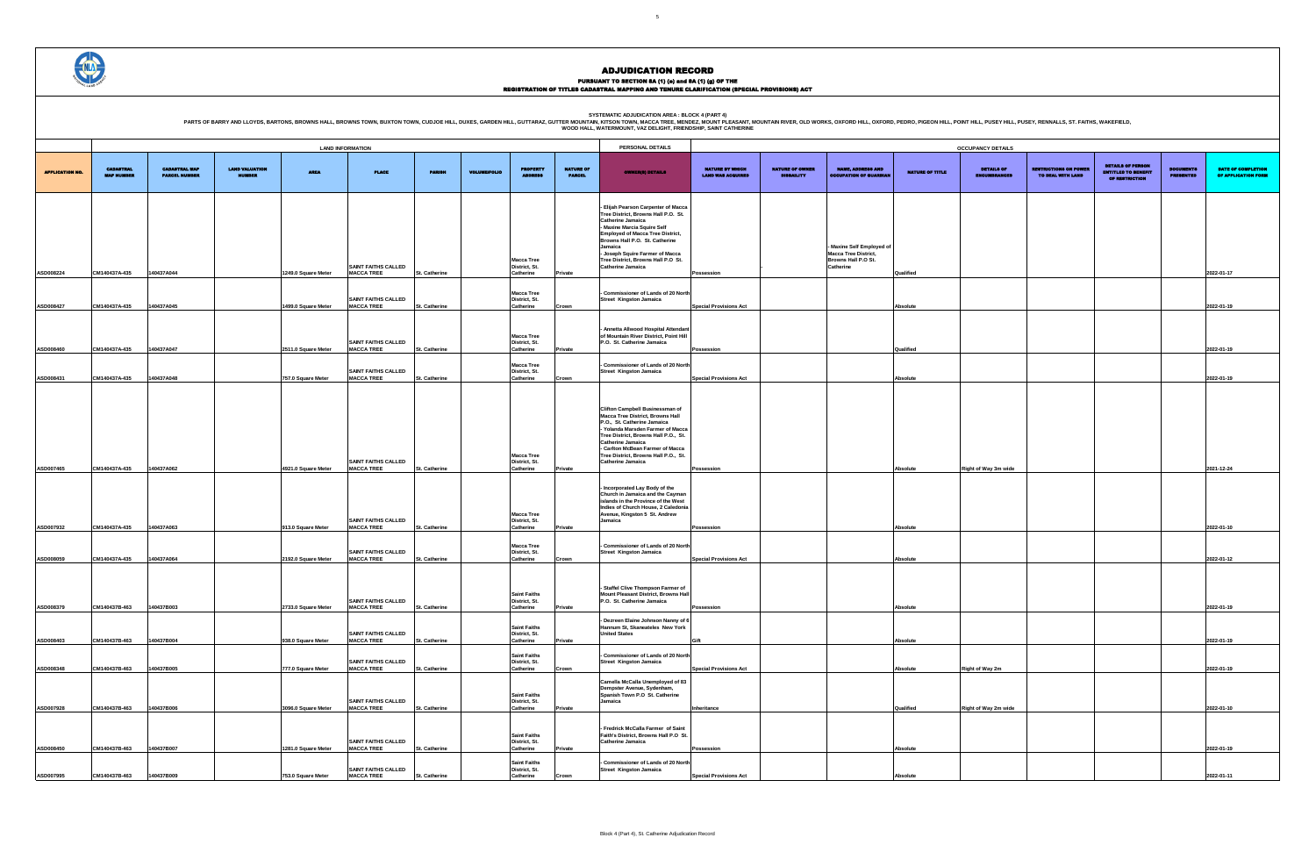PURSUANT TO SECTION 8A (1) (e) and 8A (1) (g) OF THE<br>REGISTRATION OF TITLES CADASTRAL MAPPING AND TENURE CLARIFICATION (SPECIAL PROVISIONS) ACT

|                 | <b>OCCUPANCY DETAILS</b>                 |                                                   |                                                                          |                                      |                                                  |
|-----------------|------------------------------------------|---------------------------------------------------|--------------------------------------------------------------------------|--------------------------------------|--------------------------------------------------|
| NATURE OF TITLE | <b>DETAILS OF</b><br><b>ENCUMBRANCES</b> | <b>RESTRICTIONS ON POWER</b><br>TO DEAL WITH LAND | <b>DETAILS OF PERSON</b><br><b>ENTITLED TO BENEFIT</b><br>OF RESTRICTION | <b>DOCUMENTS</b><br><b>PRESENTED</b> | <b>DATE OF COMPLETION</b><br>OF APPLICATION FORM |
|                 |                                          |                                                   |                                                                          |                                      |                                                  |
|                 |                                          |                                                   |                                                                          |                                      |                                                  |
|                 |                                          |                                                   |                                                                          |                                      |                                                  |
|                 |                                          |                                                   |                                                                          |                                      |                                                  |
| Qualified       |                                          |                                                   |                                                                          |                                      | 2022-01-17                                       |
| Absolute        |                                          |                                                   |                                                                          |                                      | 2022-01-19                                       |
|                 |                                          |                                                   |                                                                          |                                      |                                                  |
| Qualified       |                                          |                                                   |                                                                          |                                      | 2022-01-19                                       |
|                 |                                          |                                                   |                                                                          |                                      |                                                  |
| Absolute        |                                          |                                                   |                                                                          |                                      | 2022-01-19                                       |
|                 |                                          |                                                   |                                                                          |                                      |                                                  |
|                 |                                          |                                                   |                                                                          |                                      |                                                  |
|                 |                                          |                                                   |                                                                          |                                      |                                                  |
| Absolute        | Right of Way 3m wide                     |                                                   |                                                                          |                                      | 2021-12-24                                       |
|                 |                                          |                                                   |                                                                          |                                      |                                                  |
|                 |                                          |                                                   |                                                                          |                                      |                                                  |
| Absolute        |                                          |                                                   |                                                                          |                                      | 2022-01-10                                       |
|                 |                                          |                                                   |                                                                          |                                      |                                                  |
| Absolute        |                                          |                                                   |                                                                          |                                      | 2022-01-12                                       |
|                 |                                          |                                                   |                                                                          |                                      |                                                  |
| Absolute        |                                          |                                                   |                                                                          |                                      | 2022-01-19                                       |
|                 |                                          |                                                   |                                                                          |                                      |                                                  |
| Absolute        |                                          |                                                   |                                                                          |                                      | 2022-01-19                                       |
|                 |                                          |                                                   |                                                                          |                                      |                                                  |
| Absolute        | Right of Way 2m                          |                                                   |                                                                          |                                      | 2022-01-19                                       |
| Qualified       | Right of Way 2m wide                     |                                                   |                                                                          |                                      | 2022-01-10                                       |
|                 |                                          |                                                   |                                                                          |                                      |                                                  |
| Absolute        |                                          |                                                   |                                                                          |                                      | 2022-01-19                                       |
|                 |                                          |                                                   |                                                                          |                                      |                                                  |
| Absolute        |                                          |                                                   |                                                                          |                                      | 2022-01-11                                       |

|                         |                                       |                                              |                                 |                                           |                                                                               |                                       |                     |                                                                          |                                   | WOOD HALL, WATERMOUNT, VAZ DELIGHT, FRIENDSHIP, SAINT CATHERINE                                                                                                                                                                                                                                                                                              |                                                    |                                             |                                                                                            |                              |                                          |                                                   |                                                                   |                              |                               |
|-------------------------|---------------------------------------|----------------------------------------------|---------------------------------|-------------------------------------------|-------------------------------------------------------------------------------|---------------------------------------|---------------------|--------------------------------------------------------------------------|-----------------------------------|--------------------------------------------------------------------------------------------------------------------------------------------------------------------------------------------------------------------------------------------------------------------------------------------------------------------------------------------------------------|----------------------------------------------------|---------------------------------------------|--------------------------------------------------------------------------------------------|------------------------------|------------------------------------------|---------------------------------------------------|-------------------------------------------------------------------|------------------------------|-------------------------------|
|                         |                                       |                                              |                                 |                                           | <b>LAND INFORMATION</b>                                                       |                                       |                     |                                                                          |                                   | PERSONAL DETAILS                                                                                                                                                                                                                                                                                                                                             |                                                    |                                             |                                                                                            |                              | <b>OCCUPANCY DETAILS</b>                 |                                                   |                                                                   |                              |                               |
| <b>APPLICATION NO.</b>  | <b>CADASTRAL</b><br><b>MAP NUMBER</b> | <b>CADASTRAL MAP</b><br><b>PARCEL NUMBER</b> | LAND VALUATION<br><b>NUMBER</b> | <b>AREA</b>                               | <b>PLAGE</b>                                                                  | <b>PARISH</b>                         | <b>VOLUME/FOLIO</b> | <b>PROPERTY</b><br><b>ADDRESS</b>                                        | <b>NATURE OF</b><br><b>PARCEL</b> | <b>OWNER(8) DETAILS</b>                                                                                                                                                                                                                                                                                                                                      | <b>NATURE BY WHICH</b><br><b>LAND WAS ACQUIRED</b> | <b>NATURE OF OWNER</b><br><b>DISBAILITY</b> | <b>NAME, ADDRESS AND</b><br><b>OCCUPATION OF GUARDIAN</b>                                  | <b>NATURE OF TITLE</b>       | <b>DETAILS OF</b><br><b>ENCUMBRANCES</b> | <b>LESTRICTIONS ON POWER</b><br>TO DEAL WITH LAND | <b>DETAILS OF PERSON</b><br>ENTITLED TO BENEFIT<br>OF RESTRICTION | <b>OCUMENTS</b><br>PRESENTED | <b>DATE:</b><br><b>OF API</b> |
| ASD008224               | CM140437A-435                         | 140437A044                                   |                                 | 1249.0 Square Meter                       | <b>SAINT FAITHS CALLED</b><br><b>MACCA TREE</b>                               | St. Catherine                         |                     | <b>Macca Tree</b><br>District, St.<br>Catherine                          | Private                           | - Elijah Pearson Carpenter of Macca<br>Tree District, Browns Hall P.O. St.<br><b>Catherine Jamaica</b><br>- Maxine Marcia Squire Self<br><b>Employed of Macca Tree District,</b><br>Browns Hall P.O. St. Catherine<br>Jamaica<br>- Joseph Squire Farmer of Macca<br>Tree District, Browns Hall P.O St.<br>Catherine Jamaica                                  | Possession                                         |                                             | Maxine Self Employed of<br><b>Macca Tree District,</b><br>Browns Hall P.O St.<br>Catherine | Qualified                    |                                          |                                                   |                                                                   |                              | 2022-01-17                    |
| ASD008427               | CM140437A-435                         | 140437A045                                   |                                 | 1499.0 Square Meter                       | <b>SAINT FAITHS CALLED</b><br><b>MACCA TREE</b>                               | St. Catherine                         |                     | <b>Macca Tree</b><br>District, St.<br>Catherine                          | Crown                             | Commissioner of Lands of 20 North<br><b>Street Kingston Jamaica</b>                                                                                                                                                                                                                                                                                          | <b>Special Provisions Act</b>                      |                                             |                                                                                            | <b>Absolute</b>              |                                          |                                                   |                                                                   |                              | 2022-01-19                    |
| ASD008460               | CM140437A-435                         | 140437A047                                   |                                 | 2511.0 Square Meter                       | <b>SAINT FAITHS CALLED</b><br><b>MACCA TREE</b>                               | St. Catherine                         |                     | <b>Macca Tree</b><br>District, St.<br>Catherine                          | Private                           | - Annetta Allwood Hospital Attendant<br>of Mountain River District, Point Hill<br>P.O. St. Catherine Jamaica                                                                                                                                                                                                                                                 | Possession                                         |                                             |                                                                                            | Qualified                    |                                          |                                                   |                                                                   |                              | 2022-01-19                    |
| ASD008431               | CM140437A-435                         | 40437A048                                    |                                 | 757.0 Square Meter                        | <b>SAINT FAITHS CALLED</b><br><b>MACCA TREE</b>                               | St. Catherine                         |                     | <b>Macca Tree</b><br>District, St.<br>Catherine                          | Crown                             | - Commissioner of Lands of 20 North<br><b>Street Kingston Jamaica</b>                                                                                                                                                                                                                                                                                        | <b>Special Provisions Act</b>                      |                                             |                                                                                            | <b>Absolute</b>              |                                          |                                                   |                                                                   |                              | 2022-01-19                    |
| ASD007465               | CM140437A-435                         | 140437A062                                   |                                 | 4921.0 Square Meter                       | <b>SAINT FAITHS CALLED</b><br><b>MACCA TREE</b>                               | St. Catherine                         |                     | <b>Macca Tree</b><br>District, St.<br>Catherine                          | Private                           | <b>Clifton Campbell Businessman of</b><br><b>Macca Tree District, Browns Hall</b><br>P.O., St. Catherine Jamaica<br>- Yolanda Marsden Farmer of Macca<br>Tree District, Browns Hall P.O., St.<br>Catherine Jamaica<br>- Carlton McBean Farmer of Macca<br>Tree District, Browns Hall P.O., St.<br><b>Catherine Jamaica</b><br>- Incorporated Lay Body of the | Possession                                         |                                             |                                                                                            | <b>Absolute</b>              | Right of Way 3m wide                     |                                                   |                                                                   |                              | 2021-12-24                    |
| ASD007932               | CM140437A-435                         | 140437A063                                   |                                 | 913.0 Square Meter                        | <b>SAINT FAITHS CALLED</b><br><b>MACCA TREE</b>                               | St. Catherine                         |                     | <b>Macca Tree</b><br>District, St.<br>Catherine                          | Private                           | Church in Jamaica and the Cayman<br>islands in the Province of the West<br>Indies of Church House, 2 Caledonia<br>Avenue, Kingston 5 St. Andrew<br>Jamaica                                                                                                                                                                                                   | Possession                                         |                                             |                                                                                            | <b>Absolute</b>              |                                          |                                                   |                                                                   |                              | 2022-01-10                    |
| ASD008059               | CM140437A-435                         | 140437A064                                   |                                 | 2192.0 Square Meter                       | <b>SAINT FAITHS CALLED</b><br><b>MACCA TREE</b>                               | St. Catherine                         |                     | <b>Macca Tree</b><br>District, St.<br>Catherine                          | Crown                             | - Commissioner of Lands of 20 North<br><b>Street Kingston Jamaica</b>                                                                                                                                                                                                                                                                                        | <b>Special Provisions Act</b>                      |                                             |                                                                                            | <b>Absolute</b>              |                                          |                                                   |                                                                   |                              | 2022-01-12                    |
| ASD008379 CM140437B-463 |                                       | 140437B003                                   |                                 |                                           | SAINT FAITHS CALLED<br>2733.0 Square Meter MACCA TREE                         | <b>St. Catherine</b>                  |                     | <b>Saint Faiths</b><br>District, St.<br>Catherine<br><b>Saint Faiths</b> | <b>Private</b>                    | - Staffel Clive Thompson Farmer of<br>Mount Pleasant District, Browns Hall<br>P.O. St. Catherine Jamaica<br>- Dezreen Elaine Johnson Nanny of 6<br>Hannum St, Skaneateles New York                                                                                                                                                                           | Possession                                         |                                             |                                                                                            | <b>Absolute</b>              |                                          |                                                   |                                                                   |                              | 2022-01-19                    |
| ASD008403               | CM140437B-463                         | 140437B004                                   |                                 | 938.0 Square Meter                        | <b>SAINT FAITHS CALLED</b><br><b>MACCA TREE</b><br><b>SAINT FAITHS CALLED</b> | <b>St. Catherine</b>                  |                     | District, St.<br>Catherine<br><b>Saint Faiths</b><br>District, St.       | Private                           | <b>United States</b><br>Commissioner of Lands of 20 North<br><b>Street Kingston Jamaica</b>                                                                                                                                                                                                                                                                  | Gift                                               |                                             |                                                                                            | <b>Absolute</b>              |                                          |                                                   |                                                                   |                              | 2022-01-19                    |
| ASD008348<br>ASD007928  | CM140437B-463<br>CM140437B-463        | 140437B005<br>140437B006                     |                                 | 777.0 Square Meter<br>3096.0 Square Meter | <b>MACCA TREE</b><br><b>SAINT FAITHS CALLED</b><br><b>MACCA TREE</b>          | St. Catherine<br><b>St. Catherine</b> |                     | Catherine<br><b>Saint Faiths</b><br>District, St.<br>Catherine           | Crown<br>Private                  | Camella McCalla Unemployed of 83<br>Dempster Avenue, Sydenham,<br>Spanish Town P.O St. Catherine<br>Jamaica                                                                                                                                                                                                                                                  | <b>Special Provisions Act</b><br>Inheritance       |                                             |                                                                                            | <b>Absolute</b><br>Qualified | Right of Way 2m<br>Right of Way 2m wide  |                                                   |                                                                   |                              | 2022-01-19<br>2022-01-10      |
| ASD008450               | CM140437B-463                         | 140437B007                                   |                                 | 1281.0 Square Meter                       | <b>SAINT FAITHS CALLED</b><br><b>MACCA TREE</b>                               | <b>St. Catherine</b>                  |                     | <b>Saint Faiths</b><br>District, St.<br>Catherine                        | Private                           | - Fredrick McCalla Farmer of Saint<br>Faith's District, Browns Hall P.O St.<br>Catherine Jamaica                                                                                                                                                                                                                                                             | Possession                                         |                                             |                                                                                            | <b>Absolute</b>              |                                          |                                                   |                                                                   |                              | 2022-01-19                    |
| ASD007995               | CM140437B-463                         | 140437B009                                   |                                 | 753.0 Square Meter                        | <b>SAINT FAITHS CALLED</b><br><b>MACCA TREE</b>                               | St. Catherine                         |                     | <b>Saint Faiths</b><br>District, St.<br>Catherine                        | Crown                             | - Commissioner of Lands of 20 North<br><b>Street Kingston Jamaica</b>                                                                                                                                                                                                                                                                                        | <b>Special Provisions Act</b>                      |                                             |                                                                                            | <b>Absolute</b>              |                                          |                                                   |                                                                   |                              | 2022-01-11                    |

SYSTEMATIC ADJUDICATION AREA : BLOCK 4 (PART 4)<br>PARTS OF BARRY AND LLOYDS, BARTONS, BROWNS HALL, BROWNS HALL, BROWNS TOWN, BUXTON TOWN, CUDJOE HILL, DUXES, GARDEN HILL, GUTTARAZ, GUTTER MOUNTAIN (KITSON TOWN, MACCA TREE, M

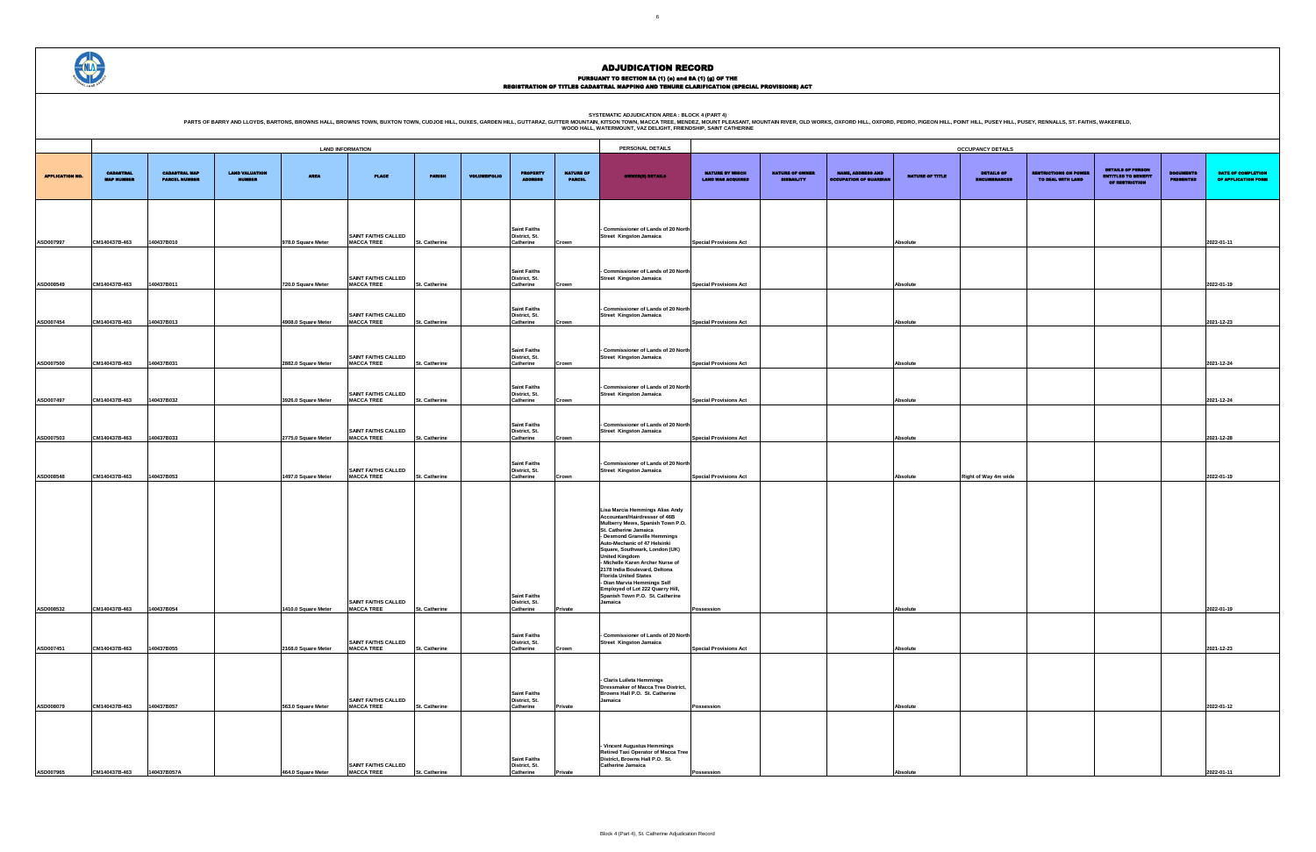PURSUANT TO SECTION 8A (1) (e) and 8A (1) (g) OF THE<br>REGISTRATION OF TITLES CADASTRAL MAPPING AND TENURE CLARIFICATION (SPECIAL PROVISIONS) ACT

|                                                    |                                             |                                                           |                 | <b>OCCUPANCY DETAILS</b>                 |                                                   |                                                                          |                                      |                                           |
|----------------------------------------------------|---------------------------------------------|-----------------------------------------------------------|-----------------|------------------------------------------|---------------------------------------------------|--------------------------------------------------------------------------|--------------------------------------|-------------------------------------------|
| <b>NATURE BY WHICH</b><br><b>LAND WAS ACQUIRED</b> | <b>NATURE OF OWNER</b><br><b>DISBAILITY</b> | <b>NAME, ADDRESS AND</b><br><b>OCCUPATION OF GUARDIAN</b> | NATURE OF TITLE | <b>DETAILS OF</b><br><b>ENCUMBRANCES</b> | <b>RESTRICTIONS ON POWER</b><br>TO DEAL WITH LAND | <b>DETAILS OF PERSON</b><br><b>ENTITLED TO BENEFIT</b><br>OF RESTRICTION | <b>DOCUMENTS</b><br><b>PRESENTED</b> | DATE OF COMPLETION<br>OF APPLICATION FORM |
|                                                    |                                             |                                                           |                 |                                          |                                                   |                                                                          |                                      |                                           |
| <b>Special Provisions Act</b>                      |                                             |                                                           | Absolute        |                                          |                                                   |                                                                          |                                      | 2022-01-11                                |
|                                                    |                                             |                                                           |                 |                                          |                                                   |                                                                          |                                      |                                           |
| <b>Special Provisions Act</b>                      |                                             |                                                           | Absolute        |                                          |                                                   |                                                                          |                                      | 2022-01-19                                |
| <b>Special Provisions Act</b>                      |                                             |                                                           | Absolute        |                                          |                                                   |                                                                          |                                      | 2021-12-23                                |
|                                                    |                                             |                                                           |                 |                                          |                                                   |                                                                          |                                      |                                           |
| <b>Special Provisions Act</b>                      |                                             |                                                           | Absolute        |                                          |                                                   |                                                                          |                                      | 2021-12-24                                |
| <b>Special Provisions Act</b>                      |                                             |                                                           | Absolute        |                                          |                                                   |                                                                          |                                      | 2021-12-24                                |
|                                                    |                                             |                                                           |                 |                                          |                                                   |                                                                          |                                      |                                           |
| <b>Special Provisions Act</b>                      |                                             |                                                           | Absolute        |                                          |                                                   |                                                                          |                                      | 2021-12-28                                |
| <b>Special Provisions Act</b>                      |                                             |                                                           | Absolute        | Right of Way 4m wide                     |                                                   |                                                                          |                                      | 2022-01-19                                |
|                                                    |                                             |                                                           |                 |                                          |                                                   |                                                                          |                                      |                                           |
|                                                    |                                             |                                                           |                 |                                          |                                                   |                                                                          |                                      |                                           |
|                                                    |                                             |                                                           |                 |                                          |                                                   |                                                                          |                                      |                                           |
|                                                    |                                             |                                                           |                 |                                          |                                                   |                                                                          |                                      |                                           |
|                                                    |                                             |                                                           |                 |                                          |                                                   |                                                                          |                                      |                                           |
|                                                    |                                             |                                                           |                 |                                          |                                                   |                                                                          |                                      |                                           |
|                                                    |                                             |                                                           |                 |                                          |                                                   |                                                                          |                                      |                                           |
| Possession                                         |                                             |                                                           | Absolute        |                                          |                                                   |                                                                          |                                      | 2022-01-19                                |
|                                                    |                                             |                                                           |                 |                                          |                                                   |                                                                          |                                      |                                           |
| <b>Special Provisions Act</b>                      |                                             |                                                           | Absolute        |                                          |                                                   |                                                                          |                                      | 2021-12-23                                |
|                                                    |                                             |                                                           |                 |                                          |                                                   |                                                                          |                                      |                                           |
| Possession                                         |                                             |                                                           | Absolute        |                                          |                                                   |                                                                          |                                      | 2022-01-12                                |
|                                                    |                                             |                                                           |                 |                                          |                                                   |                                                                          |                                      |                                           |
|                                                    |                                             |                                                           |                 |                                          |                                                   |                                                                          |                                      |                                           |
|                                                    |                                             |                                                           |                 |                                          |                                                   |                                                                          |                                      |                                           |
| Possession                                         |                                             |                                                           | Absolute        |                                          |                                                   |                                                                          |                                      | 2022-01-11                                |

|                        |                                       |                                              |                                        |                     | <b>LAND INFORMATION</b>                         |               |                     |                                                   |                                   | PERSONAL DETAILS                                                                                                                                                                                                                                                                                                                                                                                                                                                               |                                                    |                                             |                                                           |                        | <b>OCCUPANCY DETAILS</b>          |                                                  |                                                                   |                                     |                              |
|------------------------|---------------------------------------|----------------------------------------------|----------------------------------------|---------------------|-------------------------------------------------|---------------|---------------------|---------------------------------------------------|-----------------------------------|--------------------------------------------------------------------------------------------------------------------------------------------------------------------------------------------------------------------------------------------------------------------------------------------------------------------------------------------------------------------------------------------------------------------------------------------------------------------------------|----------------------------------------------------|---------------------------------------------|-----------------------------------------------------------|------------------------|-----------------------------------|--------------------------------------------------|-------------------------------------------------------------------|-------------------------------------|------------------------------|
| <b>APPLICATION NO.</b> | <b>CADASTRAL</b><br><b>MAP NUMBER</b> | <b>CADASTRAL MAP</b><br><b>PARCEL NUMBER</b> | <b>LAND VALUATION</b><br><b>NUMBER</b> | <b>AREA</b>         | <b>PLACE</b>                                    | <b>PARISE</b> | <b>VOLUME/FOLIO</b> | <b>PROPERTY</b><br><b>ADDRESS</b>                 | <b>NATURE OF</b><br><b>PARCEL</b> | <b>OWNER(8) DETAILS</b>                                                                                                                                                                                                                                                                                                                                                                                                                                                        | <b>NATURE BY WHICH</b><br><b>LAND WAS ACQUIRED</b> | <b>NATURE OF OWNER</b><br><b>DISBAILITY</b> | <b>NAME, ADDRESS AND</b><br><b>OCCUPATION OF GUARDIAN</b> | <b>NATURE OF TITLE</b> | <b>DETAILS OF</b><br>ENCUMBRANCES | <b>ESTRICTIONS ON POWER</b><br>TO DEAL WITH LAND | <b>DETAILS OF PERSON</b><br>ENTITLED TO BENEFIT<br>OF RESTRICTION | <b>OCUMENTS</b><br><b>PRESENTED</b> | <b>DATE</b><br><b>OF API</b> |
| ASD007997              | CM140437B-463                         | 140437B010                                   |                                        | 978.0 Square Meter  | <b>SAINT FAITHS CALLED</b><br><b>MACCA TREE</b> | St. Catherine |                     | <b>Saint Faiths</b><br>District, St.<br>Catherine | Crown                             | Commissioner of Lands of 20 North<br><b>Street Kingston Jamaica</b>                                                                                                                                                                                                                                                                                                                                                                                                            | <b>Special Provisions Act</b>                      |                                             |                                                           | Absolute               |                                   |                                                  |                                                                   |                                     | 2022-01-11                   |
| ASD008549              | CM140437B-463                         | 140437B011                                   |                                        | 720.0 Square Meter  | <b>SAINT FAITHS CALLED</b><br><b>MACCA TREE</b> | St. Catherine |                     | <b>Saint Faiths</b><br>District, St.<br>Catherine | Crown                             | Commissioner of Lands of 20 North<br>Street Kingston Jamaica                                                                                                                                                                                                                                                                                                                                                                                                                   | <b>Special Provisions Act</b>                      |                                             |                                                           | Absolute               |                                   |                                                  |                                                                   |                                     | 2022-01-19                   |
| ASD007454              | CM140437B-463                         | 140437B013                                   |                                        | 4908.0 Square Meter | <b>SAINT FAITHS CALLED</b><br><b>MACCA TREE</b> | St. Catherine |                     | <b>Saint Faiths</b><br>District, St.<br>Catherine | Crown                             | Commissioner of Lands of 20 North<br>Street Kingston Jamaica                                                                                                                                                                                                                                                                                                                                                                                                                   | <b>Special Provisions Act</b>                      |                                             |                                                           | Absolute               |                                   |                                                  |                                                                   |                                     | 2021-12-23                   |
| ASD007500              | CM140437B-463                         | 140437B031                                   |                                        | 2882.0 Square Meter | <b>SAINT FAITHS CALLED</b><br><b>MACCA TREE</b> | St. Catherine |                     | <b>Saint Faiths</b><br>District, St.<br>Catherine | Crown                             | Commissioner of Lands of 20 North<br>Street Kingston Jamaica                                                                                                                                                                                                                                                                                                                                                                                                                   | <b>Special Provisions Act</b>                      |                                             |                                                           | Absolute               |                                   |                                                  |                                                                   |                                     | 2021-12-24                   |
| ASD007497              | CM140437B-463                         | 140437B032                                   |                                        | 3926.0 Square Meter | <b>SAINT FAITHS CALLED</b><br><b>MACCA TREE</b> | St. Catherine |                     | <b>Saint Faiths</b><br>District, St.<br>Catherine | Crown                             | Commissioner of Lands of 20 North<br>Street Kingston Jamaica                                                                                                                                                                                                                                                                                                                                                                                                                   | <b>Special Provisions Act</b>                      |                                             |                                                           | Absolute               |                                   |                                                  |                                                                   |                                     | 2021-12-24                   |
| ASD007503              | CM140437B-463                         | 140437B033                                   |                                        | 2775.0 Square Meter | <b>SAINT FAITHS CALLED</b><br><b>MACCA TREE</b> | St. Catherine |                     | <b>Saint Faiths</b><br>District, St.<br>Catherine | Crown                             | Commissioner of Lands of 20 North<br><b>Street Kingston Jamaica</b>                                                                                                                                                                                                                                                                                                                                                                                                            | <b>Special Provisions Act</b>                      |                                             |                                                           | Absolute               |                                   |                                                  |                                                                   |                                     | 2021-12-28                   |
| ASD008548              | CM140437B-463                         | 140437B053                                   |                                        | 1497.0 Square Meter | <b>SAINT FAITHS CALLED</b><br><b>MACCA TREE</b> | St. Catherine |                     | <b>Saint Faiths</b><br>District, St.<br>Catherine | Crown                             | - Commissioner of Lands of 20 North<br>Street Kingston Jamaica                                                                                                                                                                                                                                                                                                                                                                                                                 | <b>Special Provisions Act</b>                      |                                             |                                                           | Absolute               | Right of Way 4m wide              |                                                  |                                                                   |                                     | 2022-01-19                   |
| ASD008532              | CM140437B-463                         | 140437B054                                   |                                        | 1410.0 Square Meter | <b>SAINT FAITHS CALLED</b><br><b>MACCA TREE</b> | St. Catherine |                     | <b>Saint Faiths</b><br>District, St.<br>Catherine | Private                           | Lisa Marcia Hemmings Alias Andy<br>Accountant/Hairdresser of 46B<br>Mulberry Mews, Spanish Town P.O.<br>St. Catherine Jamaica<br>- Desmond Granville Hemmings<br>Auto-Mechanic of 47 Helsinki<br>Square, Southwark, London (UK)<br><b>United Kingdom</b><br>- Michelle Karen Archer Nurse of<br>2178 India Boulevard, Deltona<br><b>Florida United States</b><br>- Dian Marvia Hemmings Self<br>Employed of Lot 222 Quarry Hill,<br>Spanish Town P.O. St. Catherine<br>Jamaica | Possession                                         |                                             |                                                           | Absolute               |                                   |                                                  |                                                                   |                                     | 2022-01-19                   |
| ASD007451              | CM140437B-463                         | 140437B055                                   |                                        | 2168.0 Square Meter | <b>SAINT FAITHS CALLED</b><br><b>MACCA TREE</b> | St. Catherine |                     | <b>Saint Faiths</b><br>District, St.<br>Catherine | Crown                             | Commissioner of Lands of 20 North<br><b>Street Kingston Jamaica</b>                                                                                                                                                                                                                                                                                                                                                                                                            | <b>Special Provisions Act</b>                      |                                             |                                                           | Absolute               |                                   |                                                  |                                                                   |                                     | 2021-12-23                   |
| ASD008079              | CM140437B-463                         | 140437B057                                   |                                        | 563.0 Square Meter  | <b>SAINT FAITHS CALLED</b><br><b>MACCA TREE</b> | St. Catherine |                     | <b>Saint Faiths</b><br>District, St.<br>Catherine | Private                           | - Claris Luileta Hemmings<br><b>Dressmaker of Macca Tree District,</b><br>Browns Hall P.O. St. Catherine<br>Jamaica                                                                                                                                                                                                                                                                                                                                                            | Possession                                         |                                             |                                                           | Absolute               |                                   |                                                  |                                                                   |                                     | 2022-01-12                   |
| ASD007965              | CM140437B-463                         | 140437B057A                                  |                                        | 464.0 Square Meter  | <b>SAINT FAITHS CALLED</b><br><b>MACCA TREE</b> | St. Catherine |                     | <b>Saint Faiths</b><br>District, St.<br>Catherine |                                   | - Vincent Augustus Hemmings<br>Retired Taxi Operator of Macca Tree<br>District, Browns Hall P.O. St.<br>Catherine Jamaica                                                                                                                                                                                                                                                                                                                                                      | ossession                                          |                                             |                                                           |                        |                                   |                                                  |                                                                   |                                     | 2022-01-11                   |



# ADJUDICATION RECORD

**SYSTEMATIC ADJUDICATION AREA : BLOCK 4 (PART 4)**

OINT HILL, PUSEY HILL, PUSEY, RENNALLS, ST. FAITHS, WAKEFIELD,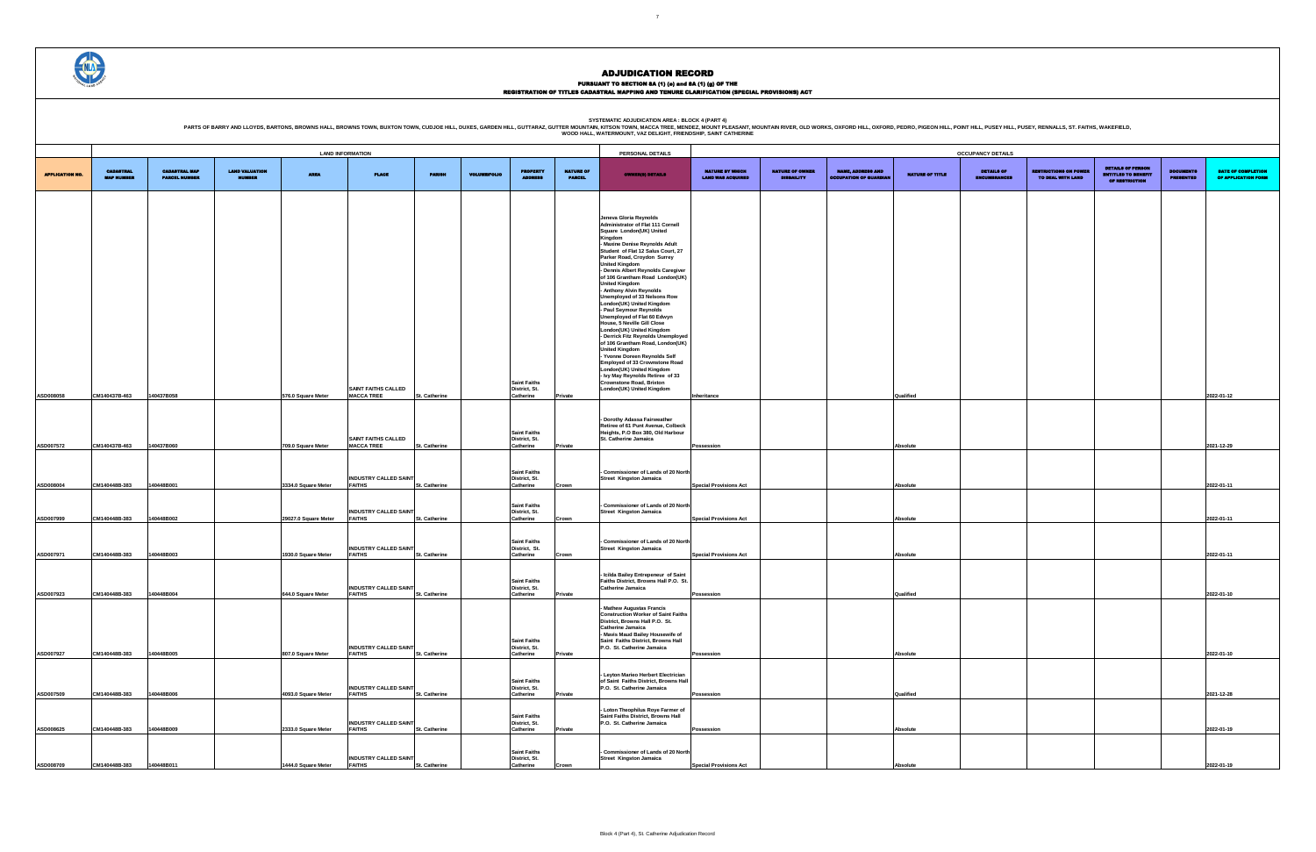### PURSUANT TO SECTION 8A (1) (0) and 8A (1) (g) OF THE<br>REGISTRATION OF TITLES CADASTRAL MAPPING AND TENURE CLARIFICATION (SPECIAL PROVISIONS) ACT

SYSTEMATIC ADJUDICATION AREA : BLOCK 4 (PART 4)<br>PARTS OF BARRY AND LLOYDS, BARTONS, BROWNS HALL, BROWNS HALL, BROWNS TOWN, BUXTON TOWN, CUDJOE HILL, DUXES, GARDEN HILL, GUTTARAZ, GUTTER MOUNTAIN (KITSON TOWN, MACCA TREE, M

|                        |                                       |                                              |                                        |                      | <b>LAND INFORMATION</b>                |                      |                     |                                      |                                   | PERSONAL DETAILS                                                             |                                                    |                                             |                                                          |                        | <b>OCCUPANCY DETAILS</b>                 |                                                   |                                              |                                      |                                                  |
|------------------------|---------------------------------------|----------------------------------------------|----------------------------------------|----------------------|----------------------------------------|----------------------|---------------------|--------------------------------------|-----------------------------------|------------------------------------------------------------------------------|----------------------------------------------------|---------------------------------------------|----------------------------------------------------------|------------------------|------------------------------------------|---------------------------------------------------|----------------------------------------------|--------------------------------------|--------------------------------------------------|
|                        |                                       |                                              |                                        |                      |                                        |                      |                     |                                      |                                   |                                                                              |                                                    |                                             |                                                          |                        |                                          |                                                   | <b>DETAILS OF PERSON</b>                     |                                      |                                                  |
| <b>APPLICATION NO.</b> | <b>CADASTRAL</b><br><b>MAP NUMBER</b> | <b>CADASTRAL MAP</b><br><b>PARCEL NUMBER</b> | <b>LAND VALUATION</b><br><b>NUMBER</b> | <b>AREA</b>          | <b>PLACE</b>                           | <b>PARISH</b>        | <b>VOLUME/FOLIO</b> | <b>PROPERTY</b><br><b>ADDRESS</b>    | <b>NATURE OF</b><br><b>PARCEL</b> | <b>OWNER(8) DETAILS</b>                                                      | <b>NATURE BY WHICH</b><br><b>LAND WAS ACQUIRED</b> | <b>NATURE OF OWNER</b><br><b>DISBAILITY</b> | <b>NAME, ADDRESS AND</b><br><b>DCCUPATION OF GUARDIA</b> | <b>NATURE OF TITLE</b> | <b>DETAILS OF</b><br><b>ENCUMBRANCES</b> | <b>RESTRICTIONS ON POWEI</b><br>TO DEAL WITH LAND | <b>ENTITLED TO BENEFIT</b><br>OF RESTRICTION | <b>DOCUMENTS</b><br><b>PRESENTED</b> | <b>DATE OF COMPLETION</b><br>OF APPLICATION FORM |
|                        |                                       |                                              |                                        |                      |                                        |                      |                     |                                      |                                   |                                                                              |                                                    |                                             |                                                          |                        |                                          |                                                   |                                              |                                      |                                                  |
|                        |                                       |                                              |                                        |                      |                                        |                      |                     |                                      |                                   |                                                                              |                                                    |                                             |                                                          |                        |                                          |                                                   |                                              |                                      |                                                  |
|                        |                                       |                                              |                                        |                      |                                        |                      |                     |                                      |                                   | Jeneva Gloria Reynolds                                                       |                                                    |                                             |                                                          |                        |                                          |                                                   |                                              |                                      |                                                  |
|                        |                                       |                                              |                                        |                      |                                        |                      |                     |                                      |                                   | Administrator of Flat 111 Cornell                                            |                                                    |                                             |                                                          |                        |                                          |                                                   |                                              |                                      |                                                  |
|                        |                                       |                                              |                                        |                      |                                        |                      |                     |                                      |                                   | Square London(UK) United<br>Kingdom                                          |                                                    |                                             |                                                          |                        |                                          |                                                   |                                              |                                      |                                                  |
|                        |                                       |                                              |                                        |                      |                                        |                      |                     |                                      |                                   | - Maxine Denise Reynolds Adult<br>Student of Flat 12 Salus Court, 27         |                                                    |                                             |                                                          |                        |                                          |                                                   |                                              |                                      |                                                  |
|                        |                                       |                                              |                                        |                      |                                        |                      |                     |                                      |                                   | Parker Road, Croydon Surrey<br><b>United Kingdom</b>                         |                                                    |                                             |                                                          |                        |                                          |                                                   |                                              |                                      |                                                  |
|                        |                                       |                                              |                                        |                      |                                        |                      |                     |                                      |                                   | - Dennis Albert Reynolds Caregiver                                           |                                                    |                                             |                                                          |                        |                                          |                                                   |                                              |                                      |                                                  |
|                        |                                       |                                              |                                        |                      |                                        |                      |                     |                                      |                                   | of 106 Grantham Road London(UK)<br><b>United Kingdom</b>                     |                                                    |                                             |                                                          |                        |                                          |                                                   |                                              |                                      |                                                  |
|                        |                                       |                                              |                                        |                      |                                        |                      |                     |                                      |                                   | - Anthony Alvin Reynolds<br>Unemployed of 33 Nelsons Row                     |                                                    |                                             |                                                          |                        |                                          |                                                   |                                              |                                      |                                                  |
|                        |                                       |                                              |                                        |                      |                                        |                      |                     |                                      |                                   | London(UK) United Kingdom<br>- Paul Seymour Reynolds                         |                                                    |                                             |                                                          |                        |                                          |                                                   |                                              |                                      |                                                  |
|                        |                                       |                                              |                                        |                      |                                        |                      |                     |                                      |                                   | Unemployed of Flat 60 Edwyn                                                  |                                                    |                                             |                                                          |                        |                                          |                                                   |                                              |                                      |                                                  |
|                        |                                       |                                              |                                        |                      |                                        |                      |                     |                                      |                                   | House, 5 Neville Gill Close<br>London(UK) United Kingdom                     |                                                    |                                             |                                                          |                        |                                          |                                                   |                                              |                                      |                                                  |
|                        |                                       |                                              |                                        |                      |                                        |                      |                     |                                      |                                   | - Derrick Fitz Reynolds Unemployed<br>of 106 Grantham Road, London(UK)       |                                                    |                                             |                                                          |                        |                                          |                                                   |                                              |                                      |                                                  |
|                        |                                       |                                              |                                        |                      |                                        |                      |                     |                                      |                                   | <b>United Kingdom</b><br>- Yvonne Doreen Reynolds Self                       |                                                    |                                             |                                                          |                        |                                          |                                                   |                                              |                                      |                                                  |
|                        |                                       |                                              |                                        |                      |                                        |                      |                     |                                      |                                   | Employed of 33 Crownstone Road<br>London(UK) United Kingdom                  |                                                    |                                             |                                                          |                        |                                          |                                                   |                                              |                                      |                                                  |
|                        |                                       |                                              |                                        |                      |                                        |                      |                     |                                      |                                   | - Ivy May Reynolds Retiree of 33                                             |                                                    |                                             |                                                          |                        |                                          |                                                   |                                              |                                      |                                                  |
|                        |                                       |                                              |                                        |                      | <b>SAINT FAITHS CALLED</b>             |                      |                     | <b>Saint Faiths</b><br>District, St. |                                   | <b>Crownstone Road, Brixton</b><br>London(UK) United Kingdom                 |                                                    |                                             |                                                          |                        |                                          |                                                   |                                              |                                      |                                                  |
| ASD008058              | CM140437B-463                         | 140437B058                                   |                                        | 576.0 Square Meter   | <b>MACCA TREE</b>                      | <b>St. Catherine</b> |                     | Catherine                            | Private                           |                                                                              | Inheritance                                        |                                             |                                                          | Qualified              |                                          |                                                   |                                              |                                      | 2022-01-12                                       |
|                        |                                       |                                              |                                        |                      |                                        |                      |                     |                                      |                                   |                                                                              |                                                    |                                             |                                                          |                        |                                          |                                                   |                                              |                                      |                                                  |
|                        |                                       |                                              |                                        |                      |                                        |                      |                     |                                      |                                   | - Dorothy Adassa Fairweather<br>Retiree of 61 Punt Avenue, Colbeck           |                                                    |                                             |                                                          |                        |                                          |                                                   |                                              |                                      |                                                  |
|                        |                                       |                                              |                                        |                      | <b>SAINT FAITHS CALLED</b>             |                      |                     | <b>Saint Faiths</b><br>District, St. |                                   | Heights, P.O Box 380, Old Harbour<br>St. Catherine Jamaica                   |                                                    |                                             |                                                          |                        |                                          |                                                   |                                              |                                      |                                                  |
| ASD007572              | CM140437B-463                         | 140437B060                                   |                                        | 709.0 Square Meter   | <b>MACCA TREE</b>                      | <b>St. Catherine</b> |                     | Catherine                            | <b>Private</b>                    |                                                                              | Possession                                         |                                             |                                                          | Absolute               |                                          |                                                   |                                              |                                      | 2021-12-29                                       |
|                        |                                       |                                              |                                        |                      |                                        |                      |                     |                                      |                                   |                                                                              |                                                    |                                             |                                                          |                        |                                          |                                                   |                                              |                                      |                                                  |
|                        |                                       |                                              |                                        |                      | <b>INDUSTRY CALLED SAINT</b>           |                      |                     | <b>Saint Faiths</b><br>District, St. |                                   | Commissioner of Lands of 20 North<br><b>Street Kingston Jamaica</b>          |                                                    |                                             |                                                          |                        |                                          |                                                   |                                              |                                      |                                                  |
| ASD008004              | CM140448B-383                         | 140448B001                                   |                                        | 3334.0 Square Meter  | <b>FAITHS</b>                          | St. Catherine        |                     | Catherine                            | Crown                             |                                                                              | <b>Special Provisions Act</b>                      |                                             |                                                          | Absolute               |                                          |                                                   |                                              |                                      | 2022-01-11                                       |
|                        |                                       |                                              |                                        |                      |                                        |                      |                     |                                      |                                   |                                                                              |                                                    |                                             |                                                          |                        |                                          |                                                   |                                              |                                      |                                                  |
|                        |                                       |                                              |                                        |                      | <b>INDUSTRY CALLED SAINT</b>           |                      |                     | <b>Saint Faiths</b><br>District, St. |                                   | - Commissioner of Lands of 20 North<br><b>Street Kingston Jamaica</b>        |                                                    |                                             |                                                          |                        |                                          |                                                   |                                              |                                      |                                                  |
| ASD007999              | CM140448B-383                         | 140448B002                                   |                                        | 29027.0 Square Meter | <b>FAITHS</b>                          | St. Catherine        |                     | Catherine                            | Crown                             |                                                                              | <b>Special Provisions Act</b>                      |                                             |                                                          | Absolute               |                                          |                                                   |                                              |                                      | 2022-01-11                                       |
|                        |                                       |                                              |                                        |                      |                                        |                      |                     | <b>Saint Faiths</b>                  |                                   | - Commissioner of Lands of 20 North                                          |                                                    |                                             |                                                          |                        |                                          |                                                   |                                              |                                      |                                                  |
|                        |                                       |                                              |                                        |                      | <b>INDUSTRY CALLED SAINT</b>           |                      |                     | District, St.                        |                                   | <b>Street Kingston Jamaica</b>                                               |                                                    |                                             |                                                          |                        |                                          |                                                   |                                              |                                      |                                                  |
| ASD007971              | CM140448B-383                         | 140448B003                                   |                                        | 1930.0 Square Meter  | <b>FAITHS</b>                          | <b>St. Catherine</b> |                     | Catherine                            | Crown                             |                                                                              | <b>Special Provisions Act</b>                      |                                             |                                                          | Absolute               |                                          |                                                   |                                              |                                      | 2022-01-11                                       |
|                        |                                       |                                              |                                        |                      |                                        |                      |                     |                                      |                                   | - Icilda Bailey Entrepeneur of Saint                                         |                                                    |                                             |                                                          |                        |                                          |                                                   |                                              |                                      |                                                  |
|                        |                                       |                                              |                                        |                      | <b>INDUSTRY CALLED SAINT</b>           |                      |                     | <b>Saint Faiths</b><br>District, St. |                                   | Faiths District, Browns Hall P.O. St.<br><b>Catherine Jamaica</b>            |                                                    |                                             |                                                          |                        |                                          |                                                   |                                              |                                      |                                                  |
| ASD007923              | CM140448B-383                         | 140448B004                                   |                                        | 644.0 Square Meter   | <b>FAITHS</b>                          | <b>St. Catherine</b> |                     | Catherine                            | Private                           |                                                                              | Possession                                         |                                             |                                                          | Qualified              |                                          |                                                   |                                              |                                      | 2022-01-10                                       |
|                        |                                       |                                              |                                        |                      |                                        |                      |                     |                                      |                                   | <b>Mathew Augustas Francis</b><br><b>Construction Worker of Saint Faiths</b> |                                                    |                                             |                                                          |                        |                                          |                                                   |                                              |                                      |                                                  |
|                        |                                       |                                              |                                        |                      |                                        |                      |                     |                                      |                                   | District, Browns Hall P.O. St.<br><b>Catherine Jamaica</b>                   |                                                    |                                             |                                                          |                        |                                          |                                                   |                                              |                                      |                                                  |
|                        |                                       |                                              |                                        |                      |                                        |                      |                     |                                      |                                   | - Mavis Maud Bailey Housewife of                                             |                                                    |                                             |                                                          |                        |                                          |                                                   |                                              |                                      |                                                  |
|                        |                                       |                                              |                                        |                      | <b>INDUSTRY CALLED SAINT</b>           |                      |                     | <b>Saint Faiths</b><br>District, St. |                                   | Saint Faiths District, Browns Hall<br>P.O. St. Catherine Jamaica             |                                                    |                                             |                                                          |                        |                                          |                                                   |                                              |                                      |                                                  |
| ASD007927              | CM140448B-383                         | 140448B005                                   |                                        | 807.0 Square Meter   | <b>FAITHS</b>                          | St. Catherine        |                     | Catherine                            | Private                           |                                                                              | Possession                                         |                                             |                                                          | Absolute               |                                          |                                                   |                                              |                                      | 2022-01-10                                       |
|                        |                                       |                                              |                                        |                      |                                        |                      |                     |                                      |                                   | - Leyton Marieo Herbert Electrician                                          |                                                    |                                             |                                                          |                        |                                          |                                                   |                                              |                                      |                                                  |
|                        |                                       |                                              |                                        |                      | <b>INDUSTRY CALLED SAINT</b>           |                      |                     | <b>Saint Faiths</b><br>District, St. |                                   | of Saint Faiths District, Browns Hall<br>P.O. St. Catherine Jamaica          |                                                    |                                             |                                                          |                        |                                          |                                                   |                                              |                                      |                                                  |
| ASD007509              | CM140448B-383                         | 140448B006                                   |                                        | 4093.0 Square Meter  | <b>FAITHS</b>                          | St. Catherine        |                     | Catherine                            | <b>Private</b>                    |                                                                              | Possession                                         |                                             |                                                          | Qualified              |                                          |                                                   |                                              |                                      | 2021-12-28                                       |
|                        |                                       |                                              |                                        |                      |                                        |                      |                     |                                      |                                   | - Loton Theophilus Roye Farmer of                                            |                                                    |                                             |                                                          |                        |                                          |                                                   |                                              |                                      |                                                  |
|                        |                                       |                                              |                                        |                      |                                        |                      |                     | <b>Saint Faiths</b><br>District, St. |                                   | Saint Faiths District, Browns Hall<br>P.O. St. Catherine Jamaica             |                                                    |                                             |                                                          |                        |                                          |                                                   |                                              |                                      |                                                  |
| ASD008625              | CM140448B-383                         | 140448B009                                   |                                        | 2333.0 Square Meter  | <b>INDUSTRY CALLED SAINT</b><br>FAITHS | St. Catherine        |                     | Catherine                            | Private                           |                                                                              | Possession                                         |                                             |                                                          | Absolute               |                                          |                                                   |                                              |                                      | 2022-01-19                                       |
|                        |                                       |                                              |                                        |                      |                                        |                      |                     |                                      |                                   |                                                                              |                                                    |                                             |                                                          |                        |                                          |                                                   |                                              |                                      |                                                  |
|                        |                                       |                                              |                                        |                      | <b>INDUSTRY CALLED SAINT</b>           |                      |                     | <b>Saint Faiths</b><br>District, St. |                                   | Commissioner of Lands of 20 North<br><b>Street Kingston Jamaica</b>          |                                                    |                                             |                                                          |                        |                                          |                                                   |                                              |                                      |                                                  |
| ASD008709              | CM140448B-383                         | 140448B011                                   |                                        | 1444.0 Square Meter  | <b>FAITHS</b>                          | St. Catherine        |                     | Catherine                            | Crown                             |                                                                              | <b>Special Provisions Act</b>                      |                                             |                                                          | Absolute               |                                          |                                                   |                                              |                                      | 2022-01-19                                       |

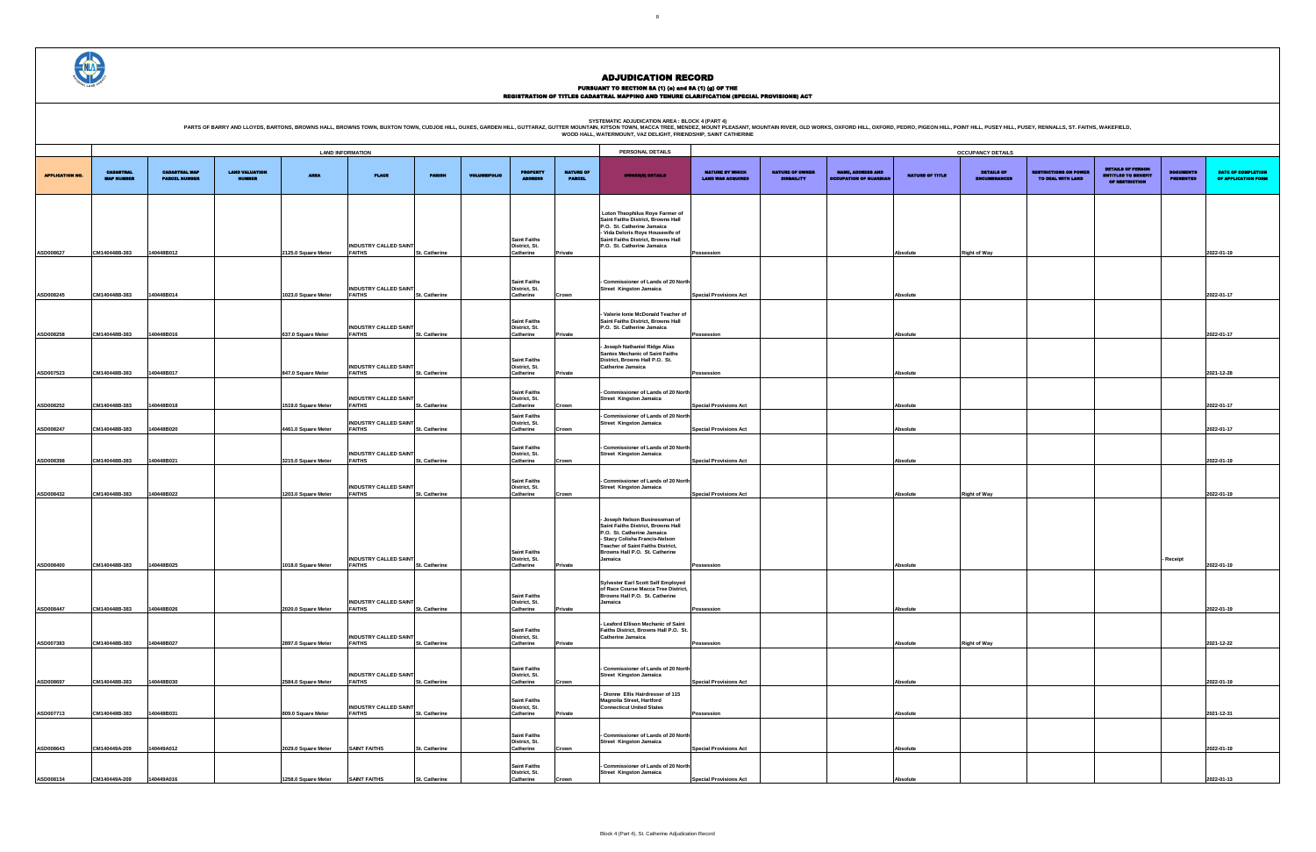PURSUANT TO SECTION 8A (1) (e) and 8A (1) (g) OF THE<br>REGISTRATION OF TITLES CADASTRAL MAPPING AND TENURE CLARIFICATION (SPECIAL PROVISIONS) ACT

SYSTEMATIC ADJUDICATION AREA : BLOCK 4 (PART 4)<br>PARTS OF BARRY AND LLOYDS, BARTONS, BROWNS HALL, BROWNS HALL, BROWNS TOWN, BUXTON TOWN, CUDJOE HILL, DUXES, GARDEN HILL, GUTTARAZ, GUTTER MOUNTAIN (KITSON TOWN, MACCA TREE, M

| UPANCY DETAILS                           |                                                   |                                                                          |                                      |                                           |
|------------------------------------------|---------------------------------------------------|--------------------------------------------------------------------------|--------------------------------------|-------------------------------------------|
| <b>DETAILS OF</b><br><b>ENCUMBRANCES</b> | <b>RESTRICTIONS ON POWER</b><br>TO DEAL WITH LAND | <b>DETAILS OF PERSON</b><br><b>ENTITLED TO BENEFIT</b><br>OF RESTRICTION | <b>DOCUMENTS</b><br><b>PRESENTED</b> | DATE OF COMPLETION<br>OF APPLICATION FORM |
|                                          |                                                   |                                                                          |                                      |                                           |
|                                          |                                                   |                                                                          |                                      |                                           |
|                                          |                                                   |                                                                          |                                      |                                           |
| ght of Way                               |                                                   |                                                                          |                                      | 2022-01-19                                |
|                                          |                                                   |                                                                          |                                      |                                           |
|                                          |                                                   |                                                                          |                                      | 2022-01-17                                |
|                                          |                                                   |                                                                          |                                      |                                           |
|                                          |                                                   |                                                                          |                                      |                                           |
|                                          |                                                   |                                                                          |                                      | 2022-01-17                                |
|                                          |                                                   |                                                                          |                                      |                                           |
|                                          |                                                   |                                                                          |                                      | 2021-12-28                                |
|                                          |                                                   |                                                                          |                                      |                                           |
|                                          |                                                   |                                                                          |                                      | 2022-01-17                                |
|                                          |                                                   |                                                                          |                                      | 2022-01-17                                |
|                                          |                                                   |                                                                          |                                      |                                           |
|                                          |                                                   |                                                                          |                                      | 2022-01-19                                |
|                                          |                                                   |                                                                          |                                      |                                           |
| ght of Way                               |                                                   |                                                                          |                                      | 2022-01-19                                |
|                                          |                                                   |                                                                          |                                      |                                           |
|                                          |                                                   |                                                                          |                                      |                                           |
|                                          |                                                   |                                                                          | - Receipt                            |                                           |
|                                          |                                                   |                                                                          |                                      | 2022-01-19                                |
|                                          |                                                   |                                                                          |                                      |                                           |
|                                          |                                                   |                                                                          |                                      | 2022-01-19                                |
|                                          |                                                   |                                                                          |                                      |                                           |
| ght of Way                               |                                                   |                                                                          |                                      | 2021-12-22                                |
|                                          |                                                   |                                                                          |                                      |                                           |
|                                          |                                                   |                                                                          |                                      | 2022-01-19                                |
|                                          |                                                   |                                                                          |                                      |                                           |
|                                          |                                                   |                                                                          |                                      | 2021-12-31                                |
|                                          |                                                   |                                                                          |                                      |                                           |
|                                          |                                                   |                                                                          |                                      | 2022-01-19                                |
|                                          |                                                   |                                                                          |                                      |                                           |
|                                          |                                                   |                                                                          |                                      | 2022-01-13                                |



|                        |                                       |                                              |                                        |                     | <b>LAND INFORMATION</b>                       |                      |                     |                                                                          |                                   | PERSONAL DETAILS                                                                                                                                                                                                       |                                             |                               |                                                           |                 | <b>OCCUPANCY DETAILS</b>   |                                                   |                                                                          |                               |                              |
|------------------------|---------------------------------------|----------------------------------------------|----------------------------------------|---------------------|-----------------------------------------------|----------------------|---------------------|--------------------------------------------------------------------------|-----------------------------------|------------------------------------------------------------------------------------------------------------------------------------------------------------------------------------------------------------------------|---------------------------------------------|-------------------------------|-----------------------------------------------------------|-----------------|----------------------------|---------------------------------------------------|--------------------------------------------------------------------------|-------------------------------|------------------------------|
| <b>APPLICATION NO.</b> | <b>CADASTRAL</b><br><b>MAP MUMBER</b> | <b>CADASTRAL MAP</b><br><b>PARCEL NUMBER</b> | <b>LAND VALUATION</b><br><b>NUMBER</b> | <b>AREA</b>         | PLACE                                         | <b>PARISH</b>        | <b>VOLUME/FOLIO</b> | <b>PROPERTY</b>                                                          | <b>NATURE OF</b><br><b>PARCEL</b> | <b>OWNER(8) DETAILS</b>                                                                                                                                                                                                | NATURE BY WHICH<br><b>LAND WAS ACQUIRED</b> | NATURE OF OWNER<br>DISBAILITY | <b>NAME, ADDRESS AND</b><br><b>OCCUPATION OF GUARDIAL</b> | NATURE OF TITLE | DETAILS OF<br>ENCUMBRANCES | <b>RESTRICTIONS ON POWER</b><br>TO DEAL WITH LAND | <b>DETAILS OF PERSON</b><br><b>ENTITLED TO BENEFIT</b><br>OF RESTRICTION | <b>DOCUMENTS</b><br>PRESENTED | <b>DATE</b><br><b>OF API</b> |
|                        |                                       |                                              |                                        |                     | <b>INDUSTRY CALLED SAINT</b>                  |                      |                     | <b>Saint Faiths</b><br>District, St.                                     |                                   | Loton Theophilus Roye Farmer of<br>Saint Faiths District, Browns Hall<br>P.O. St. Catherine Jamaica<br>- Vida Deloris Roye Housewife of<br>Saint Faiths District, Browns Hall<br>P.O. St. Catherine Jamaica            |                                             |                               |                                                           |                 |                            |                                                   |                                                                          |                               |                              |
| ASD008627              | CM140448B-383                         | 140448B012                                   |                                        | 2125.0 Square Meter | <b>FAITHS</b>                                 | St. Catherine        |                     | Catherine                                                                | Private                           |                                                                                                                                                                                                                        | Possession                                  |                               |                                                           | Absolute        | <b>Right of Way</b>        |                                                   |                                                                          |                               | 2022-01-19                   |
| ASD008245              | CM140448B-383                         | 140448B014                                   |                                        | 1023.0 Square Meter | <b>INDUSTRY CALLED SAINT</b><br><b>FAITHS</b> | <b>St. Catherine</b> |                     | <b>Saint Faiths</b><br>District, St.<br>Catherine                        | Crown                             | - Commissioner of Lands of 20 North<br><b>Street Kingston Jamaica</b>                                                                                                                                                  | <b>Special Provisions Act</b>               |                               |                                                           | Absolute        |                            |                                                   |                                                                          |                               | 2022-01-17                   |
| ASD008258              | CM140448B-383                         | 140448B016                                   |                                        | 637.0 Square Meter  | <b>INDUSTRY CALLED SAINT</b><br><b>FAITHS</b> | St. Catherine        |                     | <b>Saint Faiths</b><br>District, St.<br>Catherine                        | Private                           | - Valerie Ionie McDonald Teacher of<br>Saint Faiths District, Browns Hall<br>P.O. St. Catherine Jamaica                                                                                                                | Possession                                  |                               |                                                           | Absolute        |                            |                                                   |                                                                          |                               | 2022-01-17                   |
| ASD007523              | CM140448B-383                         | 140448B017                                   |                                        | 847.0 Square Meter  | <b>INDUSTRY CALLED SAINT</b><br><b>FAITHS</b> | St. Catherine        |                     | <b>Saint Faiths</b><br>District, St.<br>Catherine                        | Private                           | Joseph Nathaniel Ridge Alias<br><b>Santos Mechanic of Saint Faiths</b><br>District, Browns Hall P.O. St.<br>Catherine Jamaica                                                                                          | Possession                                  |                               |                                                           | Absolute        |                            |                                                   |                                                                          |                               | 2021-12-28                   |
| ASD008252              | CM140448B-383                         | 140448B018                                   |                                        | 1519.0 Square Meter | <b>INDUSTRY CALLED SAINT</b><br><b>FAITHS</b> | St. Catherine        |                     | <b>Saint Faiths</b><br>District, St.<br>Catherine<br><b>Saint Faiths</b> | Crown                             | - Commissioner of Lands of 20 North<br><b>Street Kingston Jamaica</b><br>Commissioner of Lands of 20 North                                                                                                             | <b>Special Provisions Act</b>               |                               |                                                           | Absolute        |                            |                                                   |                                                                          |                               | 2022-01-17                   |
| ASD008247              | CM140448B-383                         | 140448B020                                   |                                        | 4461.0 Square Meter | <b>INDUSTRY CALLED SAINT</b><br><b>FAITHS</b> | St. Catherine        |                     | District, St.<br>Catherine                                               | Crown                             | <b>Street Kingston Jamaica</b>                                                                                                                                                                                         | <b>Special Provisions Act</b>               |                               |                                                           | Absolute        |                            |                                                   |                                                                          |                               | 2022-01-17                   |
| ASD008398              | CM140448B-383                         | 140448B021                                   |                                        | 3215.0 Square Meter | <b>INDUSTRY CALLED SAINT</b><br><b>FAITHS</b> | <b>St. Catherine</b> |                     | <b>Saint Faiths</b><br>District, St.<br>Catherine                        | Crown                             | - Commissioner of Lands of 20 North<br><b>Street Kingston Jamaica</b>                                                                                                                                                  | <b>Special Provisions Act</b>               |                               |                                                           | Absolute        |                            |                                                   |                                                                          |                               | 2022-01-19                   |
| ASD008432              | CM140448B-383                         | 140448B022                                   |                                        | 1203.0 Square Meter | <b>INDUSTRY CALLED SAINT</b><br><b>FAITHS</b> | St. Catherine        |                     | <b>Saint Faiths</b><br>District, St.<br>Catherine                        | Crown                             | - Commissioner of Lands of 20 North<br><b>Street Kingston Jamaica</b>                                                                                                                                                  | <b>Special Provisions Act</b>               |                               |                                                           | Absolute        | <b>Right of Way</b>        |                                                   |                                                                          |                               | 2022-01-19                   |
| ASD008400              | CM140448B-383                         | 140448B025                                   |                                        | 1018.0 Square Meter | <b>INDUSTRY CALLED SAINT</b><br><b>FAITHS</b> | St. Catherine        |                     | <b>Saint Faiths</b><br>District, St.<br>Catherine                        | Private                           | - Joseph Nelson Businessman of<br>Saint Faiths District, Browns Hall<br>P.O. St. Catherine Jamaica<br>- Stacy Colisha Francis-Nelson<br>Teacher of Saint Faiths District,<br>Browns Hall P.O. St. Catherine<br>Jamaica | Possession                                  |                               |                                                           | Absolute        |                            |                                                   |                                                                          | - Receipt                     | 2022-01-19                   |
| ASD008447              | CM140448B-383                         | 140448B026                                   |                                        | 2020.0 Square Meter | <b>INDUSTRY CALLED SAINT</b><br><b>FAITHS</b> | St. Catherine        |                     | <b>Saint Faiths</b><br>District, St.<br>Catherine                        | Private                           | Sylvester Earl Scott Self Employed<br>of Race Course Macca Tree District,<br>Browns Hall P.O. St. Catherine<br>Jamaica                                                                                                 | Possession                                  |                               |                                                           | Absolute        |                            |                                                   |                                                                          |                               | 2022-01-19                   |
| ASD007383              | CM140448B-383                         | 140448B027                                   |                                        | 2897.0 Square Meter | <b>INDUSTRY CALLED SAINT</b><br><b>FAITHS</b> | St. Catherine        |                     | <b>Saint Faiths</b><br>District, St.<br>Catherine                        | Private                           | Leaford Ellison Mechanic of Saint<br>Faiths District, Browns Hall P.O. St.<br><b>Catherine Jamaica</b>                                                                                                                 | Possession                                  |                               |                                                           | Absolute        | <b>Right of Way</b>        |                                                   |                                                                          |                               | 2021-12-22                   |
| ASD008697              | CM140448B-383                         | 140448B030                                   |                                        | 2584.0 Square Meter | <b>INDUSTRY CALLED SAINT</b><br><b>FAITHS</b> | St. Catherine        |                     | <b>Saint Faiths</b><br>District, St.<br>Catherine                        | Crown                             | - Commissioner of Lands of 20 North<br><b>Street Kingston Jamaica</b>                                                                                                                                                  | <b>Special Provisions Act</b>               |                               |                                                           | Absolute        |                            |                                                   |                                                                          |                               | 2022-01-19                   |
| ASD007713              | CM140448B-383                         | 140448B031                                   |                                        | 809.0 Square Meter  | <b>INDUSTRY CALLED SAINT</b><br><b>FAITHS</b> | St. Catherine        |                     | <b>Saint Faiths</b><br>District, St.<br>Catherine                        | Private                           | Dionne Ellis Hairdresser of 115<br>Magnolia Street, Hartford<br><b>Connecticut United States</b>                                                                                                                       | Possession                                  |                               |                                                           | Absolute        |                            |                                                   |                                                                          |                               | 2021-12-31                   |
| ASD008643              | CM140449A-209                         | 140449A012                                   |                                        | 2029.0 Square Meter | <b>SAINT FAITHS</b>                           | St. Catherine        |                     | <b>Saint Faiths</b><br>District, St.<br>Catherine                        | Crown                             | - Commissioner of Lands of 20 North<br><b>Street Kingston Jamaica</b>                                                                                                                                                  | <b>Special Provisions Act</b>               |                               |                                                           | Absolute        |                            |                                                   |                                                                          |                               | 2022-01-19                   |
| ASD008134              | CM140449A-209                         | 140449A016                                   |                                        | 1258.0 Square Meter | <b>SAINT FAITHS</b>                           | St. Catherine        |                     | <b>Saint Faiths</b><br>District, St.<br>Catherine                        | Crown                             | - Commissioner of Lands of 20 North<br><b>Street Kingston Jamaica</b>                                                                                                                                                  | <b>Special Provisions Act</b>               |                               |                                                           | Absolute        |                            |                                                   |                                                                          |                               | 2022-01-13                   |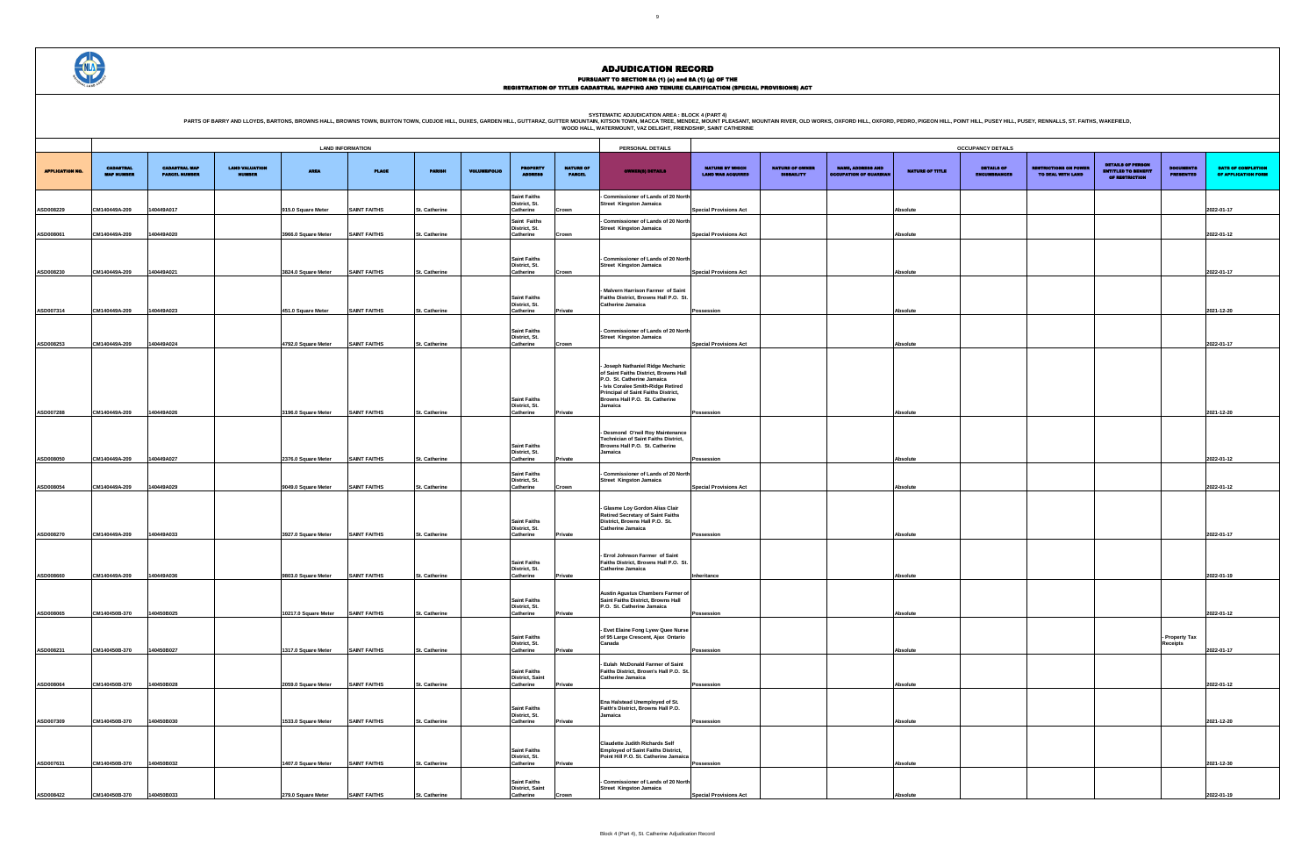PURSUANT TO SECTION 8A (1) (e) and 8A (1) (g) OF THE<br>REGISTRATION OF TITLES CADASTRAL MAPPING AND TENURE CLARIFICATION (SPECIAL PROVISIONS) ACT

| <b>CUPANCY DETAILS</b>                   |                                                   |                                                                          |                                      |                                           |
|------------------------------------------|---------------------------------------------------|--------------------------------------------------------------------------|--------------------------------------|-------------------------------------------|
| <b>DETAILS OF</b><br><b>ENCUMBRANCES</b> | <b>RESTRICTIONS ON POWER</b><br>TO DEAL WITH LAND | <b>DETAILS OF PERSON</b><br><b>ENTITLED TO BENEFIT</b><br>OF RESTRICTION | <b>DOCUMENTS</b><br><b>PRESENTED</b> | DATE OF COMPLETION<br>OF APPLICATION FORM |
|                                          |                                                   |                                                                          |                                      | 2022-01-17                                |
|                                          |                                                   |                                                                          |                                      | 2022-01-12                                |
|                                          |                                                   |                                                                          |                                      |                                           |
|                                          |                                                   |                                                                          |                                      | 2022-01-17                                |
|                                          |                                                   |                                                                          |                                      |                                           |
|                                          |                                                   |                                                                          |                                      | 2021-12-20                                |
|                                          |                                                   |                                                                          |                                      | 2022-01-17                                |
|                                          |                                                   |                                                                          |                                      |                                           |
|                                          |                                                   |                                                                          |                                      |                                           |
|                                          |                                                   |                                                                          |                                      | 2021-12-20                                |
|                                          |                                                   |                                                                          |                                      |                                           |
|                                          |                                                   |                                                                          |                                      | 2022-01-12                                |
|                                          |                                                   |                                                                          |                                      | 2022-01-12                                |
|                                          |                                                   |                                                                          |                                      |                                           |
|                                          |                                                   |                                                                          |                                      | 2022-01-17                                |
|                                          |                                                   |                                                                          |                                      |                                           |
|                                          |                                                   |                                                                          |                                      | 2022-01-19                                |
|                                          |                                                   |                                                                          |                                      | 2022-01-12                                |
|                                          |                                                   |                                                                          | - Property Tax<br>Receipts           |                                           |
|                                          |                                                   |                                                                          |                                      | 2022-01-17                                |
|                                          |                                                   |                                                                          |                                      | 2022-01-12                                |
|                                          |                                                   |                                                                          |                                      |                                           |
|                                          |                                                   |                                                                          |                                      | 2021-12-20                                |
|                                          |                                                   |                                                                          |                                      | 2021-12-30                                |
|                                          |                                                   |                                                                          |                                      | 2022-01-19                                |

|                        |                                       |                                              |                                        |                      |                     |                      |                     |                                                            |                                   | WOOD HALL, WATERMOUNT, VAZ DELIGHT, FRIENDSHIP, SAINT CATHERINE                                                                                                                                                         |                                                    |                                             |                                                           |                 |                                          |                                                  |                                                                          |                                      |                              |
|------------------------|---------------------------------------|----------------------------------------------|----------------------------------------|----------------------|---------------------|----------------------|---------------------|------------------------------------------------------------|-----------------------------------|-------------------------------------------------------------------------------------------------------------------------------------------------------------------------------------------------------------------------|----------------------------------------------------|---------------------------------------------|-----------------------------------------------------------|-----------------|------------------------------------------|--------------------------------------------------|--------------------------------------------------------------------------|--------------------------------------|------------------------------|
|                        | <b>LAND INFORMATION</b>               |                                              |                                        |                      |                     |                      |                     |                                                            |                                   | PERSONAL DETAILS                                                                                                                                                                                                        |                                                    |                                             |                                                           |                 | <b>OCCUPANCY DETAILS</b>                 |                                                  |                                                                          |                                      |                              |
| <b>APPLICATION NO.</b> | <b>CADASTRAL</b><br><b>MAP NUMBER</b> | <b>CADASTRAL MAP</b><br><b>PARCEL NUMBER</b> | <b>LAND VALUATION</b><br><b>NUMBER</b> | <b>AREA</b>          | <b>PLACE</b>        | <b>PARISH</b>        | <b>VOLUME/FOLIO</b> | <b>PROPERTY</b><br><b>ADDRESS</b>                          | <b>NATURE OF</b><br><b>PARCEL</b> | <b>OWNER(8) DETAILS</b>                                                                                                                                                                                                 | <b>NATURE BY WHICH</b><br><b>LAND WAS ACQUIRED</b> | <b>NATURE OF OWNER</b><br><b>DISBAILITY</b> | <b>NAME, ADDRESS AND</b><br><b>OCCUPATION OF GUARDIAN</b> | NATURE OF TITLE | <b>DETAILS OF</b><br><b>ENCUMBRANCES</b> | <b>USTRICTIONS ON POWER</b><br>TO DEAL WITH LAND | <b>DETAILS OF PERSON</b><br><b>ENTITLED TO BENEFIT</b><br>OF RESTRICTION | <b>DOCUMENTS</b><br><b>PRESENTED</b> | <b>DATE</b><br><b>OF API</b> |
| ASD008229              | CM140449A-209                         | 140449A017                                   |                                        | 915.0 Square Meter   | <b>SAINT FAITHS</b> | St. Catherine        |                     | <b>Saint Faiths</b><br>District, St.<br>Catherine          | Crown                             | <b>Commissioner of Lands of 20 North</b><br><b>Street Kingston Jamaica</b>                                                                                                                                              | <b>Special Provisions Act</b>                      |                                             |                                                           | Absolute        |                                          |                                                  |                                                                          |                                      | 2022-01-17                   |
| ASD008061              | CM140449A-209                         | 140449A020                                   |                                        | 3966.0 Square Meter  | <b>SAINT FAITHS</b> | St. Catherine        |                     | <b>Saint Faiths</b><br>District, St.<br>Catherine          | Crown                             | - Commissioner of Lands of 20 North<br>Street Kingston Jamaica                                                                                                                                                          | <b>Special Provisions Act</b>                      |                                             |                                                           | <b>Absolute</b> |                                          |                                                  |                                                                          |                                      | 2022-01-12                   |
|                        |                                       |                                              |                                        |                      |                     |                      |                     | <b>Saint Faiths</b><br>District, St.                       |                                   | <b>Commissioner of Lands of 20 North</b><br>Street Kingston Jamaica                                                                                                                                                     |                                                    |                                             |                                                           |                 |                                          |                                                  |                                                                          |                                      |                              |
| ASD008230              | CM140449A-209                         | 140449A021                                   |                                        | 3824.0 Square Meter  | <b>SAINT FAITHS</b> | St. Catherine        |                     | Catherine                                                  | Crown                             | Malvern Harrison Farmer of Saint                                                                                                                                                                                        | <b>Special Provisions Act</b>                      |                                             |                                                           | <b>Absolute</b> |                                          |                                                  |                                                                          |                                      | 2022-01-17                   |
| ASD007314              | CM140449A-209                         | 140449A023                                   |                                        | 451.0 Square Meter   | <b>SAINT FAITHS</b> | St. Catherine        |                     | <b>Saint Faiths</b><br>District, St.<br>Catherine          | Private                           | Faiths District, Browns Hall P.O. St.<br>Catherine Jamaica                                                                                                                                                              | Possession                                         |                                             |                                                           | Absolute        |                                          |                                                  |                                                                          |                                      | 2021-12-20                   |
| ASD008253              | CM140449A-209                         | 140449A024                                   |                                        | 4792.0 Square Meter  | <b>SAINT FAITHS</b> | St. Catherine        |                     | <b>Saint Faiths</b><br>District, St.<br>Catherine          | Crown                             | Commissioner of Lands of 20 North<br>Street Kingston Jamaica                                                                                                                                                            | <b>Special Provisions Act</b>                      |                                             |                                                           | <b>Absolute</b> |                                          |                                                  |                                                                          |                                      | 2022-01-17                   |
|                        |                                       |                                              |                                        |                      |                     |                      |                     | <b>Saint Faiths</b>                                        |                                   | - Joseph Nathaniel Ridge Mechanic<br>of Saint Faiths District, Browns Hall<br>P.O. St. Catherine Jamaica<br>- Ivis Coralee Smith-Ridge Retired<br>Principal of Saint Faiths District,<br>Browns Hall P.O. St. Catherine |                                                    |                                             |                                                           |                 |                                          |                                                  |                                                                          |                                      |                              |
| ASD007288              | CM140449A-209                         | 140449A026                                   |                                        | 3196.0 Square Meter  | <b>SAINT FAITHS</b> | St. Catherine        |                     | District, St.<br>Catherine                                 | Private                           | Jamaica                                                                                                                                                                                                                 | Possession                                         |                                             |                                                           | <b>Absolute</b> |                                          |                                                  |                                                                          |                                      | 2021-12-20                   |
| ASD008050              | CM140449A-209                         | 140449A027                                   |                                        | 2376.0 Square Meter  | <b>SAINT FAITHS</b> | St. Catherine        |                     | <b>Saint Faiths</b><br>District, St.<br>Catherine          | Private                           | Desmond O'neil Roy Maintenance<br><b>Technician of Saint Faiths District,</b><br>Browns Hall P.O. St. Catherine<br>Jamaica                                                                                              | Possession                                         |                                             |                                                           | <b>Absolute</b> |                                          |                                                  |                                                                          |                                      | 2022-01-12                   |
| ASD008054              | CM140449A-209                         | 140449A029                                   |                                        | 9049.0 Square Meter  | <b>SAINT FAITHS</b> | St. Catherine        |                     | <b>Saint Faiths</b><br>District, St.<br>Catherine          | Crown                             | - Commissioner of Lands of 20 North<br>Street Kingston Jamaica                                                                                                                                                          | <b>Special Provisions Act</b>                      |                                             |                                                           | <b>Absolute</b> |                                          |                                                  |                                                                          |                                      | 2022-01-12                   |
| ASD008270              | CM140449A-209                         | 140449A033                                   |                                        | 3927.0 Square Meter  | <b>SAINT FAITHS</b> | St. Catherine        |                     | <b>Saint Faiths</b><br>District, St.<br>Catherine          | Private                           | - Glasme Loy Gordon Alias Clair<br><b>Retired Secretary of Saint Faiths</b><br>District, Browns Hall P.O. St.<br>Catherine Jamaica                                                                                      | Possession                                         |                                             |                                                           | Absolute        |                                          |                                                  |                                                                          |                                      | 2022-01-17                   |
| ASD008660              | CM140449A-209                         | 140449A036                                   |                                        | 9803.0 Square Meter  | <b>SAINT FAITHS</b> | St. Catherine        |                     | <b>Saint Faiths</b><br>District, St.<br>Catherine          | Private                           | Errol Johnson Farmer of Saint<br>Faiths District, Browns Hall P.O. St.<br>Catherine Jamaica                                                                                                                             | Inheritance                                        |                                             |                                                           | Absolute        |                                          |                                                  |                                                                          |                                      | 2022-01-19                   |
|                        |                                       |                                              |                                        |                      |                     |                      |                     | <b>Saint Faiths</b><br>District, St.                       |                                   | Austin Agustus Chambers Farmer of<br>Saint Faiths District, Browns Hall<br>P.O. St. Catherine Jamaica                                                                                                                   |                                                    |                                             |                                                           |                 |                                          |                                                  |                                                                          |                                      |                              |
| ASD008065              | CM140450B-370                         | 140450B025                                   |                                        | 10217.0 Square Meter | <b>SAINT FAITHS</b> | St. Catherine        |                     | Catherine<br><b>Saint Faiths</b>                           | Private                           | - Evet Elaine Fong Lyew Quee Nurse<br>of 95 Large Crescent, Ajax Ontario                                                                                                                                                | Possession                                         |                                             |                                                           | <b>Absolute</b> |                                          |                                                  |                                                                          | Property Tax                         | 2022-01-12                   |
| ASD008231              | CM140450B-370                         | 140450B027                                   |                                        | 1317.0 Square Meter  | <b>SAINT FAITHS</b> | St. Catherine        |                     | District, St.<br>Catherine                                 | Private                           | Canada                                                                                                                                                                                                                  | Possession                                         |                                             |                                                           | Absolute        |                                          |                                                  |                                                                          | <b>Receipts</b>                      | 2022-01-17                   |
| ASD008064              | CM140450B-370                         | 140450B028                                   |                                        | 2059.0 Square Meter  | <b>SAINT FAITHS</b> | <b>St. Catherine</b> |                     | <b>Saint Faiths</b><br><b>District, Saint</b><br>Catherine | Private                           | Eulah McDonald Farmer of Saint<br>Faiths District, Brown's Hall P.O. St<br>Catherine Jamaica                                                                                                                            | Possession                                         |                                             |                                                           | Absolute        |                                          |                                                  |                                                                          |                                      | 2022-01-12                   |
|                        |                                       |                                              |                                        |                      |                     |                      |                     | <b>Saint Faiths</b><br>District, St.                       |                                   | Ena Halstead Unemployed of St.<br>Faith's District, Browns Hall P.O.<br>Jamaica                                                                                                                                         |                                                    |                                             |                                                           |                 |                                          |                                                  |                                                                          |                                      |                              |
| ASD007309              | CM140450B-370                         | 140450B030                                   |                                        | 1533.0 Square Meter  | <b>SAINT FAITHS</b> | St. Catherine        |                     | Catherine                                                  | Private                           | <b>Claudette Judith Richards Self</b>                                                                                                                                                                                   | Possession                                         |                                             |                                                           | <b>Absolute</b> |                                          |                                                  |                                                                          |                                      | 2021-12-20                   |
| ASD007631              | CM140450B-370                         | 140450B032                                   |                                        | 1407.0 Square Meter  | <b>SAINT FAITHS</b> | St. Catherine        |                     | <b>Saint Faiths</b><br>District, St.<br>Catherine          | Private                           | <b>Employed of Saint Faiths District,</b><br>Point Hill P.O. St. Catherine Jamaica                                                                                                                                      | Possession                                         |                                             |                                                           | <b>Absolute</b> |                                          |                                                  |                                                                          |                                      | 2021-12-30                   |
| ASD008422              | CM140450B-370                         | 140450B033                                   |                                        | 279.0 Square Meter   | <b>SAINT FAITHS</b> | <b>St. Catherine</b> |                     | <b>Saint Faiths</b><br><b>District, Saint</b><br>Catherine | Crown                             | Commissioner of Lands of 20 North<br>Street Kingston Jamaica                                                                                                                                                            | <b>Special Provisions Act</b>                      |                                             |                                                           | <b>Absolute</b> |                                          |                                                  |                                                                          |                                      | 2022-01-19                   |

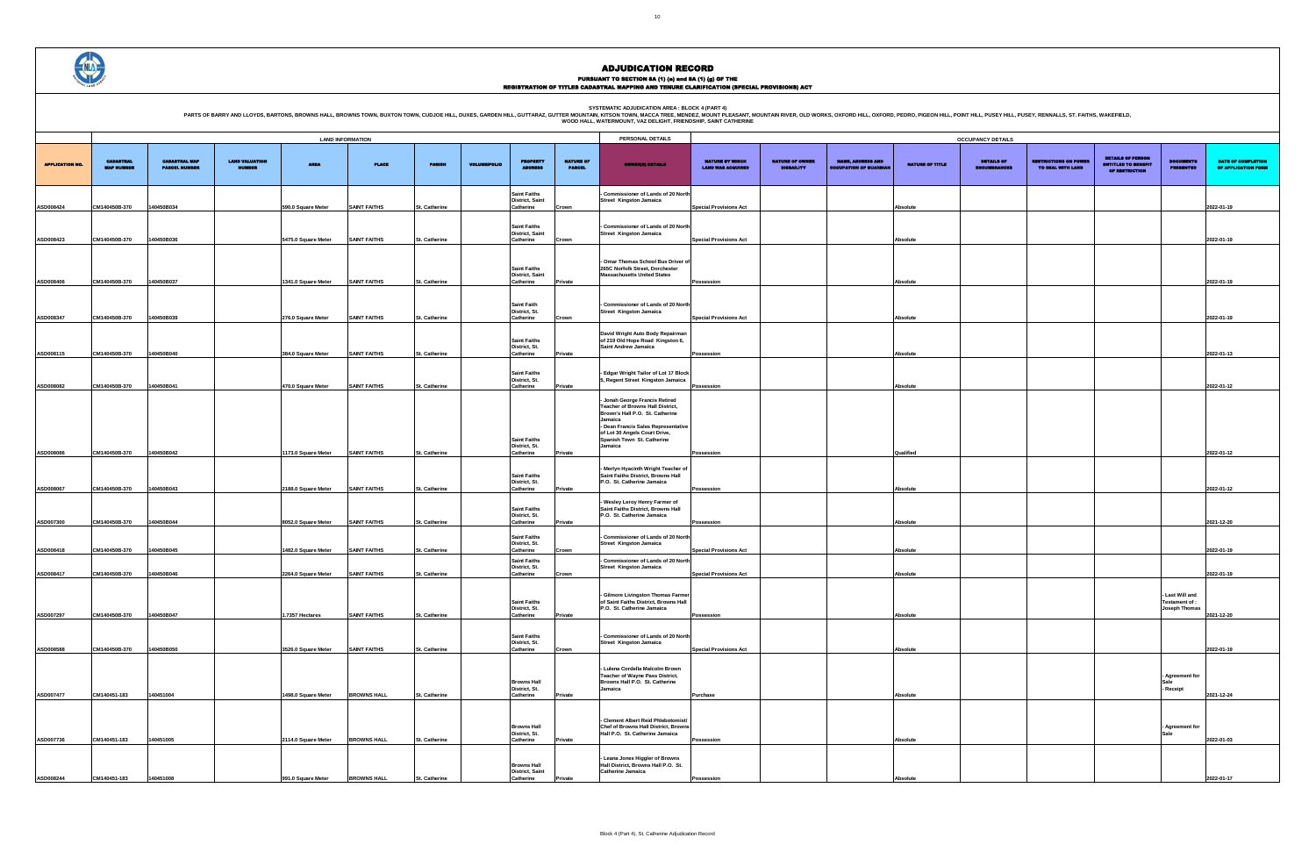PURSUANT TO SECTION 8A (1) (0) and 8A (1) (g) OF THE<br>REGISTRATION OF TITLES CADASTRAL MAPPING AND TENURE CLARIFICATION (SPECIAL PROVISIONS) ACT

SYSTEMATIC ADJUDICATION AREA : BLOCK 4 (PART 4)<br>PARTS OF BARRY AND LLOYDS, BARTONS, BROWNS HALL, BROWNS HALL, BROWNS TOWN, BUXTON TOWN, CUDJOE HILL, DUXES, GARDEN HILL, GUTTARAZ, GUTTER MOUNTIL, WATER MOUNT, VAZ DELIGHT, F

|                                                    |                                             |                                                           |                      | <b>OCCUPANCY DETAILS</b>                 |                                                   |                                                                          |                                                    |                                                  |
|----------------------------------------------------|---------------------------------------------|-----------------------------------------------------------|----------------------|------------------------------------------|---------------------------------------------------|--------------------------------------------------------------------------|----------------------------------------------------|--------------------------------------------------|
| <b>NATURE BY WHICH</b><br><b>LAND WAS ACQUIRED</b> | <b>NATURE OF OWNER</b><br><b>DISBAILITY</b> | <b>NAME, ADDRESS AND</b><br><b>OCCUPATION OF GUARDIAN</b> | NATURE OF TITLE      | <b>DETAILS OF</b><br><b>ENCUMBRANCES</b> | <b>RESTRICTIONS ON POWER</b><br>TO DEAL WITH LAND | <b>DETAILS OF PERSON</b><br><b>ENTITLED TO BENEFIT</b><br>OF RESTRICTION | <b>DOCUMENTS</b><br><b>PRESENTED</b>               | <b>DATE OF COMPLETION</b><br>OF APPLICATION FORM |
| <b>Special Provisions Act</b>                      |                                             |                                                           | Absolute             |                                          |                                                   |                                                                          |                                                    | 2022-01-19                                       |
|                                                    |                                             |                                                           |                      |                                          |                                                   |                                                                          |                                                    |                                                  |
| <b>Special Provisions Act</b>                      |                                             |                                                           | Absolute             |                                          |                                                   |                                                                          |                                                    | 2022-01-19                                       |
| Possession                                         |                                             |                                                           | Absolute             |                                          |                                                   |                                                                          |                                                    | 2022-01-19                                       |
|                                                    |                                             |                                                           |                      |                                          |                                                   |                                                                          |                                                    |                                                  |
| <b>Special Provisions Act</b>                      |                                             |                                                           | Absolute             |                                          |                                                   |                                                                          |                                                    | 2022-01-19                                       |
| Possession                                         |                                             |                                                           | Absolute             |                                          |                                                   |                                                                          |                                                    | 2022-01-13                                       |
| Possession                                         |                                             |                                                           | Absolute             |                                          |                                                   |                                                                          |                                                    | 2022-01-12                                       |
|                                                    |                                             |                                                           |                      |                                          |                                                   |                                                                          |                                                    |                                                  |
|                                                    |                                             |                                                           |                      |                                          |                                                   |                                                                          |                                                    |                                                  |
| Possession                                         |                                             |                                                           | Qualified            |                                          |                                                   |                                                                          |                                                    | 2022-01-12                                       |
| Possession                                         |                                             |                                                           | Absolute             |                                          |                                                   |                                                                          |                                                    | 2022-01-12                                       |
| Possession                                         |                                             |                                                           | Absolute             |                                          |                                                   |                                                                          |                                                    | 2021-12-20                                       |
| <b>Special Provisions Act</b>                      |                                             |                                                           |                      |                                          |                                                   |                                                                          |                                                    | 2022-01-19                                       |
| <b>Special Provisions Act</b>                      |                                             |                                                           | Absolute<br>Absolute |                                          |                                                   |                                                                          |                                                    | 2022-01-19                                       |
|                                                    |                                             |                                                           |                      |                                          |                                                   |                                                                          | - Last Will and<br>Testament of :<br>Joseph Thomas |                                                  |
| Possession                                         |                                             |                                                           | Absolute             |                                          |                                                   |                                                                          |                                                    | 2021-12-20                                       |
| <b>Special Provisions Act</b>                      |                                             |                                                           | Absolute             |                                          |                                                   |                                                                          |                                                    | 2022-01-19                                       |
|                                                    |                                             |                                                           |                      |                                          |                                                   |                                                                          | Agreement for<br>Sale<br>- Receipt                 |                                                  |
| Purchase                                           |                                             |                                                           | Absolute             |                                          |                                                   |                                                                          |                                                    | 2021-12-24                                       |
| Possession                                         |                                             |                                                           | Absolute             |                                          |                                                   |                                                                          | Agreement for<br>Sale                              | 2022-01-03                                       |
|                                                    |                                             |                                                           |                      |                                          |                                                   |                                                                          |                                                    |                                                  |
| Possession                                         |                                             |                                                           | Absolute             |                                          |                                                   |                                                                          |                                                    | 2022-01-17                                       |

|                        |                                       |                                              |                                 |                                            | <b>LAND INFORMATION</b>                    |                                |                     |                                                                |                                   | PERSONAL DETAILS                                                                                                                                                                                                                  |                                                    |                                             |                                                           |                        | <b>OCCUPANCY DETAILS</b>                 |                                                   |                                                                          |                                                           |                               |
|------------------------|---------------------------------------|----------------------------------------------|---------------------------------|--------------------------------------------|--------------------------------------------|--------------------------------|---------------------|----------------------------------------------------------------|-----------------------------------|-----------------------------------------------------------------------------------------------------------------------------------------------------------------------------------------------------------------------------------|----------------------------------------------------|---------------------------------------------|-----------------------------------------------------------|------------------------|------------------------------------------|---------------------------------------------------|--------------------------------------------------------------------------|-----------------------------------------------------------|-------------------------------|
| <b>APPLICATION NO.</b> | <b>CADASTRAL</b><br><b>MAP NUMBER</b> | <b>CADASTRAL MAP</b><br><b>PARCEL NUMBER</b> | <b>LAND VALUATION</b><br>NUMBER | <b>AREA</b>                                | <b>PLACE</b>                               | <b>PARISH</b>                  | <b>VOLUME/FOLIO</b> | <b>PROPERTY</b>                                                | <b>NATURE OF</b><br><b>PARCEL</b> | <b>OWNER(8) DETAILS</b>                                                                                                                                                                                                           | <b>NATURE BY WHICH</b><br><b>LAND WAS ACQUIRED</b> | <b>NATURE OF OWNER</b><br><b>DISBAILITY</b> | <b>NAME, ADDRESS AND</b><br><b>OCCUPATION OF GUARDIAL</b> | <b>NATURE OF TITLE</b> | <b>DETAILS OF</b><br><b>ENCUMBRANCES</b> | <b>RESTRICTIONS ON POWER</b><br>TO DEAL WITH LAND | <b>DETAILS OF PERSON</b><br><b>ENTITLED TO BENEFIT</b><br>OF RESTRICTION | <b>DOCUMENTS</b><br><b>PRESENTED</b>                      | <b>DATE:</b><br><b>OF API</b> |
| ASD008424              | CM140450B-370                         | 140450B034                                   |                                 | 590.0 Square Meter                         | <b>SAINT FAITHS</b>                        | St. Catherine                  |                     | <b>Saint Faiths</b><br>District, Saint<br>Catherine            | Crown                             | - Commissioner of Lands of 20 North<br><b>Street Kingston Jamaica</b>                                                                                                                                                             | <b>Special Provisions Act</b>                      |                                             |                                                           | Absolute               |                                          |                                                   |                                                                          |                                                           | 2022-01-19                    |
| ASD008423              | CM140450B-370                         | 140450B036                                   |                                 | 5475.0 Square Meter                        | <b>SAINT FAITHS</b>                        | St. Catherine                  |                     | <b>Saint Faiths</b><br><b>District, Saint</b><br>Catherine     |                                   | - Commissioner of Lands of 20 North<br>Street Kingston Jamaica                                                                                                                                                                    | <b>Special Provisions Act</b>                      |                                             |                                                           | Absolute               |                                          |                                                   |                                                                          |                                                           | 2022-01-19                    |
|                        |                                       |                                              |                                 |                                            |                                            |                                |                     | <b>Saint Faiths</b>                                            | Crown                             | - Omar Thomas School Bus Driver of<br>265C Norfolk Street. Dorchester                                                                                                                                                             |                                                    |                                             |                                                           |                        |                                          |                                                   |                                                                          |                                                           |                               |
| ASD008406              | CM140450B-370                         | 140450B037                                   |                                 | 1341.0 Square Meter                        | <b>SAINT FAITHS</b>                        | St. Catherine                  |                     | <b>District, Saint</b><br>Catherine                            | Private                           | <b>Massachusetts United States</b>                                                                                                                                                                                                | Possession                                         |                                             |                                                           | Absolute               |                                          |                                                   |                                                                          |                                                           | 2022-01-19                    |
| ASD008347              | CM140450B-370                         | 140450B039                                   |                                 | 276.0 Square Meter                         | <b>SAINT FAITHS</b>                        | St. Catherine                  |                     | <b>Saint Faith</b><br>District, St.<br>Catherine               | Crown                             | - Commissioner of Lands of 20 North<br><b>Street Kingston Jamaica</b>                                                                                                                                                             | <b>Special Provisions Act</b>                      |                                             |                                                           | Absolute               |                                          |                                                   |                                                                          |                                                           | 2022-01-19                    |
| ASD008115              | CM140450B-370                         | 140450B040                                   |                                 | 384.0 Square Meter                         | <b>SAINT FAITHS</b>                        | St. Catherine                  |                     | <b>Saint Faiths</b><br>District, St.<br>Catherine              | Private                           | David Wright Auto Body Repairman<br>of 219 Old Hope Road Kingston 6,<br>Saint Andrew Jamaica                                                                                                                                      | Possession                                         |                                             |                                                           | Absolute               |                                          |                                                   |                                                                          |                                                           | 2022-01-13                    |
|                        |                                       |                                              |                                 |                                            |                                            |                                |                     | <b>Saint Faiths</b><br>District, St.                           |                                   | - Edgar Wright Tailor of Lot 17 Block<br>5, Regent Street Kingston Jamaica                                                                                                                                                        |                                                    |                                             |                                                           |                        |                                          |                                                   |                                                                          |                                                           |                               |
| ASD008082<br>ASD008086 | CM140450B-370<br>CM140450B-370        | 140450B041<br>140450B042                     |                                 | 470.0 Square Meter<br>1173.0 Square Meter  | <b>SAINT FAITHS</b><br><b>SAINT FAITHS</b> | St. Catherine<br>St. Catherine |                     | Catherine<br><b>Saint Faiths</b><br>District, St.<br>Catherine | Private<br>Private                | - Jonah George Francis Retired<br>Teacher of Browns Hall District,<br>Brown's Hall P.O. St. Catherine<br>Jamaica<br>- Dean Francis Sales Representative<br>of Lot 30 Angels Court Drive,<br>Spanish Town St. Catherine<br>Jamaica | Possession<br>Possession                           |                                             |                                                           | Absolute<br>Qualified  |                                          |                                                   |                                                                          |                                                           | 2022-01-12<br>2022-01-12      |
|                        |                                       |                                              |                                 |                                            |                                            |                                |                     | <b>Saint Faiths</b><br>District, St.                           |                                   | - Merlyn Hyacinth Wright Teacher of<br>Saint Faiths District, Browns Hall<br>P.O. St. Catherine Jamaica                                                                                                                           |                                                    |                                             |                                                           |                        |                                          |                                                   |                                                                          |                                                           |                               |
| ASD008067              | CM140450B-370                         | 140450B043                                   |                                 | 2188.0 Square Meter                        | <b>SAINT FAITHS</b>                        | St. Catherine                  |                     | Catherine<br><b>Saint Faiths</b><br>District, St.              | Private                           | Wesley Leroy Henry Farmer of<br>Saint Faiths District, Browns Hall<br>P.O. St. Catherine Jamaica                                                                                                                                  | Possession                                         |                                             |                                                           | Absolute               |                                          |                                                   |                                                                          |                                                           | 2022-01-12                    |
| ASD007300<br>ASD008418 | CM140450B-370<br>CM140450B-370        | 140450B044<br>140450B045                     |                                 | 8052.0 Square Meter<br>1482.0 Square Meter | <b>SAINT FAITHS</b><br><b>SAINT FAITHS</b> | St. Catherine<br>St. Catherine |                     | Catherine<br><b>Saint Faiths</b><br>District, St.<br>Catherine | rivate<br>Crown                   | - Commissioner of Lands of 20 North<br><b>Street Kingston Jamaica</b>                                                                                                                                                             | Possession<br><b>Special Provisions Act</b>        |                                             |                                                           | Absolute<br>Absolute   |                                          |                                                   |                                                                          |                                                           | 2021-12-20<br>2022-01-19      |
| ASD008417              | CM140450B-370                         | 140450B046                                   |                                 | 2264.0 Square Meter                        | <b>SAINT FAITHS</b>                        | St. Catherine                  |                     | <b>Saint Faiths</b><br>District, St.<br>Catherine              | Crown                             | - Commissioner of Lands of 20 North<br>Street Kingston Jamaica                                                                                                                                                                    | <b>Special Provisions Act</b>                      |                                             |                                                           | Absolute               |                                          |                                                   |                                                                          |                                                           | 2022-01-19                    |
| ASD007297              | CM140450B-370                         | 140450B047                                   |                                 | 1.7357 Hectares                            | <b>SAINT FAITHS</b>                        | St. Catherine                  |                     | <b>Saint Faiths</b><br>DISTRICT, ST.<br>Catherine              | Private                           | - Gilmore Livingston Thomas Farmer<br>of Saint Faiths District, Browns Hall<br>P.O. St. Catherine Jamaica                                                                                                                         | Possession                                         |                                             |                                                           | Absolute               |                                          |                                                   |                                                                          | - Last Will and<br>Testament of :<br><b>Joseph Inomas</b> | 2021-12-20                    |
| ASD008588              | CM140450B-370                         | 140450B050                                   |                                 | 3526.0 Square Meter                        | <b>SAINT FAITHS</b>                        | St. Catherine                  |                     | <b>Saint Faiths</b><br>District, St.<br>Catherine              | Crown                             | - Commissioner of Lands of 20 North<br><b>Street Kingston Jamaica</b>                                                                                                                                                             | <b>Special Provisions Act</b>                      |                                             |                                                           | Absolute               |                                          |                                                   |                                                                          |                                                           | 2022-01-19                    |
| ASD007477              | CM140451-183                          | 140451004                                    |                                 | 1498.0 Square Meter                        | <b>BROWNS HALL</b>                         | St. Catherine                  |                     | <b>Browns Hall</b><br>District, St.<br>Catherine               | Private                           | - Lulena Cordella Malcolm Brown<br>Teacher of Wayne Pass District,<br>Browns Hall P.O. St. Catherine<br>Jamaica                                                                                                                   | Purchase                                           |                                             |                                                           | Absolute               |                                          |                                                   |                                                                          | Agreement for<br>Sale<br>- Receipt                        | 2021-12-24                    |
| ASD007736              | CM140451-183                          | 140451005                                    |                                 | 2114.0 Square Meter                        | <b>BROWNS HALL</b>                         | St. Catherine                  |                     | <b>Browns Hall</b><br>District, St.<br>Catherine               | Private                           | - Clement Albert Reid Phlebotomist/<br>Chef of Browns Hall District, Browns<br>Hall P.O. St. Catherine Jamaica                                                                                                                    | Possession                                         |                                             |                                                           | Absolute               |                                          |                                                   |                                                                          | - Agreement for<br>Sale                                   | 2022-01-03                    |
| ASD008244              | CM140451-183                          | 140451008                                    |                                 | 991.0 Square Meter                         | <b>BROWNS HALL</b>                         | St. Catherine                  |                     | <b>Browns Hall</b><br><b>District, Saint</b><br>Catherine      |                                   | - Leana Jones Higgler of Browns<br>Hall District, Browns Hall P.O. St.<br>Catherine Jamaica                                                                                                                                       | Possession                                         |                                             |                                                           | Absolute               |                                          |                                                   |                                                                          |                                                           | 2022-01-17                    |

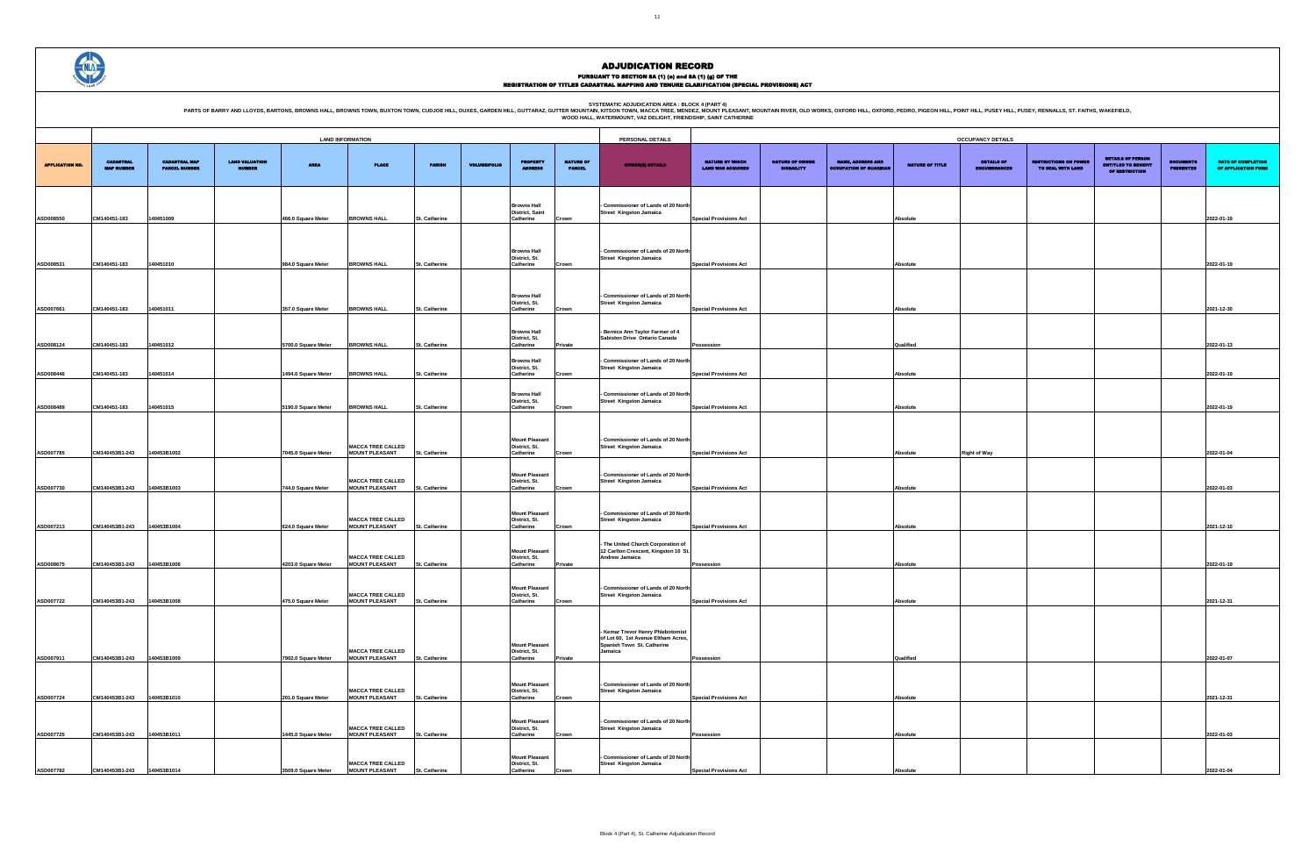PURSUANT TO SECTION 8A (1) (0) and 8A (1) (g) OF THE<br>REGISTRATION OF TITLES CADASTRAL MAPPING AND TENURE CLARIFICATION (SPECIAL PROVISIONS) ACT

SYSTEMATIC ADJUDICATION AREA : BLOCK 4 (PART 4)<br>PARTS OF BARRY AND LLOYDS, BARTONS, BROWNS HALL, BROWNS HALL, BROWNS TOWN, BUXTON TOWN, CUDJOE HILL, DUXES, GARDEN HILL, GUTTARAZ, GUTTER MOUNTAIN (KITSON TOWN, MACCA TREE, M

| <b>UPANCY DETAILS</b>                    |                                                   |                                                                          |                               |                                           |
|------------------------------------------|---------------------------------------------------|--------------------------------------------------------------------------|-------------------------------|-------------------------------------------|
| <b>DETAILS OF</b><br><b>ENCUMBRANCES</b> | <b>RESTRICTIONS ON POWER</b><br>TO DEAL WITH LAND | <b>DETAILS OF PERSON</b><br><b>ENTITLED TO BENEFIT</b><br>OF RESTRICTION | <b>DOCUMENTS</b><br>PRESENTED | DATE OF COMPLETION<br>OF APPLICATION FORM |
|                                          |                                                   |                                                                          |                               |                                           |
|                                          |                                                   |                                                                          |                               | 2022-01-19                                |
|                                          |                                                   |                                                                          |                               | 2022-01-19                                |
|                                          |                                                   |                                                                          |                               |                                           |
|                                          |                                                   |                                                                          |                               | 2021-12-30                                |
|                                          |                                                   |                                                                          |                               | 2022-01-13                                |
|                                          |                                                   |                                                                          |                               | 2022-01-19                                |
|                                          |                                                   |                                                                          |                               | 2022-01-19                                |
|                                          |                                                   |                                                                          |                               |                                           |
| ght of Way                               |                                                   |                                                                          |                               | 2022-01-04                                |
|                                          |                                                   |                                                                          |                               | 2022-01-03                                |
|                                          |                                                   |                                                                          |                               | 2021-12-10                                |
|                                          |                                                   |                                                                          |                               | 2022-01-19                                |
|                                          |                                                   |                                                                          |                               |                                           |
|                                          |                                                   |                                                                          |                               | 2021-12-31                                |
|                                          |                                                   |                                                                          |                               |                                           |
|                                          |                                                   |                                                                          |                               | 2022-01-07                                |
|                                          |                                                   |                                                                          |                               | 2021-12-31                                |
|                                          |                                                   |                                                                          |                               | 2022-01-03                                |
|                                          |                                                   |                                                                          |                               | 2022-01-04                                |

|                        | <b>LAND INFORMATION</b>               |                                              |                                        |                     |                                                   |                      |                     |                                                                        | PERSONAL DETAILS                  |                                                                                                          |                                                    |                                             |                                                           | <b>OCCUPANCY DETAILS</b> |                                          |                                                   |                                                                          |                                      |                              |
|------------------------|---------------------------------------|----------------------------------------------|----------------------------------------|---------------------|---------------------------------------------------|----------------------|---------------------|------------------------------------------------------------------------|-----------------------------------|----------------------------------------------------------------------------------------------------------|----------------------------------------------------|---------------------------------------------|-----------------------------------------------------------|--------------------------|------------------------------------------|---------------------------------------------------|--------------------------------------------------------------------------|--------------------------------------|------------------------------|
| <b>APPLICATION NO.</b> | <b>CADASTRAL</b><br><b>MAP NUMBER</b> | <b>CADASTRAL MAP</b><br><b>PARCEL NUMBER</b> | <b>LAND VALUATION</b><br><b>NUMBER</b> | <b>AREA</b>         | <b>PLACE</b>                                      | <b>PARISH</b>        | <b>VOLUME/FOLIO</b> | <b>PROPERTY</b><br><b>BRA</b>                                          | <b>NATURE OF</b><br><b>PARCEL</b> | <b>OWNER(8) DETAILS</b>                                                                                  | <b>NATURE BY WHICH</b><br><b>LAND WAS ACQUIRED</b> | <b>NATURE OF OWNER</b><br><b>DISBAILITY</b> | <b>NAME, ADDRESS AND</b><br><b>OCCUPATION OF GUARDIAL</b> | NATURE OF TITLE          | <b>DETAILS OF</b><br><b>ENCUMBRANCES</b> | <b>RESTRICTIONS ON POWER</b><br>TO DEAL WITH LAND | <b>DETAILS OF PERSON</b><br><b>ENTITLED TO BENEFIT</b><br>OF RESTRICTION | <b>DOCUMENTS</b><br><b>PRESENTED</b> | <b>DATE</b><br><b>OF API</b> |
| ASD008550              | CM140451-183                          | 140451009                                    |                                        | 466.0 Square Meter  | <b>BROWNS HALL</b>                                | St. Catherine        |                     | <b>Browns Hall</b><br>District, Saint<br>Catherine                     | Crown                             | - Commissioner of Lands of 20 North<br>Street Kingston Jamaica                                           | <b>Special Provisions Act</b>                      |                                             |                                                           | Absolute                 |                                          |                                                   |                                                                          |                                      | 2022-01-19                   |
|                        |                                       |                                              |                                        |                     |                                                   |                      |                     | <b>Browns Hall</b><br>District, St.                                    |                                   | - Commissioner of Lands of 20 North<br><b>Street Kingston Jamaica</b>                                    |                                                    |                                             |                                                           |                          |                                          |                                                   |                                                                          |                                      |                              |
| ASD008531              | CM140451-183                          | 140451010                                    |                                        | 984.0 Square Meter  | <b>BROWNS HALL</b>                                | St. Catherine        |                     | Catherine                                                              | Crown                             |                                                                                                          | <b>Special Provisions Act</b>                      |                                             |                                                           | Absolute                 |                                          |                                                   |                                                                          |                                      | 2022-01-19                   |
| ASD007661              | CM140451-183                          | 140451011                                    |                                        | 357.0 Square Meter  | <b>BROWNS HALL</b>                                | St. Catherine        |                     | <b>Browns Hall</b><br>District, St.<br>Catherine                       | Crown                             | - Commissioner of Lands of 20 North<br><b>Street Kingston Jamaica</b>                                    | <b>Special Provisions Act</b>                      |                                             |                                                           | Absolute                 |                                          |                                                   |                                                                          |                                      | 2021-12-30                   |
| ASD008124              | CM140451-183                          | 140451012                                    |                                        | 5700.0 Square Meter | <b>BROWNS HALL</b>                                | St. Catherine        |                     | <b>Browns Hall</b><br>District, St.<br>Catherine<br><b>Browns Hall</b> | Private                           | - Bernice Ann Taylor Farmer of 4<br>Sabiston Drive Ontario Canada<br>- Commissioner of Lands of 20 North | Possession                                         |                                             |                                                           | Qualified                |                                          |                                                   |                                                                          |                                      | 2022-01-13                   |
| ASD008446              | CM140451-183                          | 140451014                                    |                                        | 1494.0 Square Meter | <b>BROWNS HALL</b>                                | St. Catherine        |                     | District, St.<br>Catherine<br><b>Browns Hall</b>                       | Crown                             | Street Kingston Jamaica<br>- Commissioner of Lands of 20 North                                           | <b>Special Provisions Act</b>                      |                                             |                                                           | Absolute                 |                                          |                                                   |                                                                          |                                      | 2022-01-19                   |
| ASD008489              | CM140451-183                          | 140451015                                    |                                        | 5190.0 Square Meter | <b>BROWNS HALL</b>                                | St. Catherine        |                     | District, St.<br>Catherine                                             | Crown                             | Street Kingston Jamaica                                                                                  | <b>Special Provisions Act</b>                      |                                             |                                                           | Absolute                 |                                          |                                                   |                                                                          |                                      | 2022-01-19                   |
| ASD007785              | CM140453B1-243                        | 140453B1002                                  |                                        | 7045.0 Square Meter | <b>MACCA TREE CALLED</b><br><b>MOUNT PLEASANT</b> | St. Catherine        |                     | <b>Mount Pleasant</b><br>District, St.<br>Catherine                    | Crown                             | - Commissioner of Lands of 20 North<br>Street Kingston Jamaica                                           | <b>Special Provisions Act</b>                      |                                             |                                                           | Absolute                 | <b>Right of Way</b>                      |                                                   |                                                                          |                                      | 2022-01-04                   |
| ASD007730              | CM140453B1-243                        | 140453B1003                                  |                                        | 744.0 Square Meter  | <b>MACCA TREE CALLED</b><br><b>MOUNT PLEASANT</b> | St. Catherine        |                     | <b>Mount Pleasant</b><br>District, St.<br>Catherine                    | Crown                             | - Commissioner of Lands of 20 North<br><b>Street Kingston Jamaica</b>                                    | <b>Special Provisions Act</b>                      |                                             |                                                           | Absolute                 |                                          |                                                   |                                                                          |                                      | 2022-01-03                   |
| ASD007213              | CM140453B1-243                        | 140453B1004                                  |                                        | 624.0 Square Meter  | <b>MACCA TREE CALLED</b><br><b>MOUNT PLEASANT</b> | St. Catherine        |                     | <b>Mount Pleasant</b><br>District, St.<br>Catherine                    | Crown                             | Commissioner of Lands of 20 North<br>Street Kingston Jamaica                                             | <b>Special Provisions Act</b>                      |                                             |                                                           | Absolute                 |                                          |                                                   |                                                                          |                                      | 2021-12-10                   |
| ASD008675              | CM140453B1-243                        | 140453B1006                                  |                                        | 4203.0 Square Meter | <b>MACCA TREE CALLED</b><br><b>MOUNT PLEASANT</b> | St. Catherine        |                     | <b>Mount Pleasant</b><br>District, St.<br>Catherine                    | <b>Private</b>                    | - The United Church Corporation of<br>12 Carlton Crescent, Kingston 10 St.<br>Andrew Jamaica             | Possession                                         |                                             |                                                           | Absolute                 |                                          |                                                   |                                                                          |                                      | 2022-01-19                   |
| ASD007722              | CM140453B1-243 140453B1008            |                                              |                                        | 475.0 Square Meter  | <b>MACCA TREE CALLED</b><br><b>MOUNT PLEASANT</b> | St. Catherine        |                     | <b>Mount Pleasant</b><br>District, St.<br>Catherine                    | Crown                             | - Commissioner of Lands of 20 North<br>Street Kingston Jamaica                                           | <b>Special Provisions Act</b>                      |                                             |                                                           | Absolute                 |                                          |                                                   |                                                                          |                                      | 2021-12-31                   |
|                        |                                       |                                              |                                        |                     |                                                   |                      |                     |                                                                        |                                   | - Kemar Trevor Henry Phlebotomist<br>of Lot 60, 1st Avenue Eltham Acres,                                 |                                                    |                                             |                                                           |                          |                                          |                                                   |                                                                          |                                      |                              |
| ASD007911              | CM140453B1-243                        | 140453B1009                                  |                                        | 7902.0 Square Meter | <b>MACCA TREE CALLED</b><br><b>MOUNT PLEASANT</b> | St. Catherine        |                     | <b>Mount Pleasant</b><br>District, St.<br>Catherine                    | Private                           | Spanish Town St. Catherine<br>Jamaica                                                                    | Possession                                         |                                             |                                                           | Qualified                |                                          |                                                   |                                                                          |                                      | 2022-01-07                   |
| ASD007724              | CM140453B1-243                        | 140453B1010                                  |                                        | 201.0 Square Meter  | <b>MACCA TREE CALLED</b><br><b>MOUNT PLEASANT</b> | St. Catherine        |                     | <b>Mount Pleasant</b><br>District, St.<br>Catherine                    | Crown                             | - Commissioner of Lands of 20 North<br><b>Street Kingston Jamaica</b>                                    | <b>Special Provisions Act</b>                      |                                             |                                                           | Absolute                 |                                          |                                                   |                                                                          |                                      | 2021-12-31                   |
| ASD007725              | CM140453B1-243                        | 140453B1011                                  |                                        | 1445.0 Square Meter | <b>MACCA TREE CALLED</b><br><b>MOUNT PLEASANT</b> | <b>St. Catherine</b> |                     | <b>Mount Pleasant</b><br>District, St.<br>Catherine                    | Crown                             | - Commissioner of Lands of 20 North<br><b>Street Kingston Jamaica</b>                                    | Possession                                         |                                             |                                                           | Absolute                 |                                          |                                                   |                                                                          |                                      | 2022-01-03                   |
| ASD007782              | CM140453B1-243                        | 140453B1014                                  |                                        | 3509.0 Square Meter | <b>MACCA TREE CALLED</b><br><b>MOUNT PLEASANT</b> | St. Catherine        |                     | <b>Mount Pleasant</b><br>District, St.<br>Catherine                    | Crown                             | - Commissioner of Lands of 20 North<br><b>Street Kingston Jamaica</b>                                    | <b>Special Provisions Act</b>                      |                                             |                                                           | Absolute                 |                                          |                                                   |                                                                          |                                      | 2022-01-04                   |

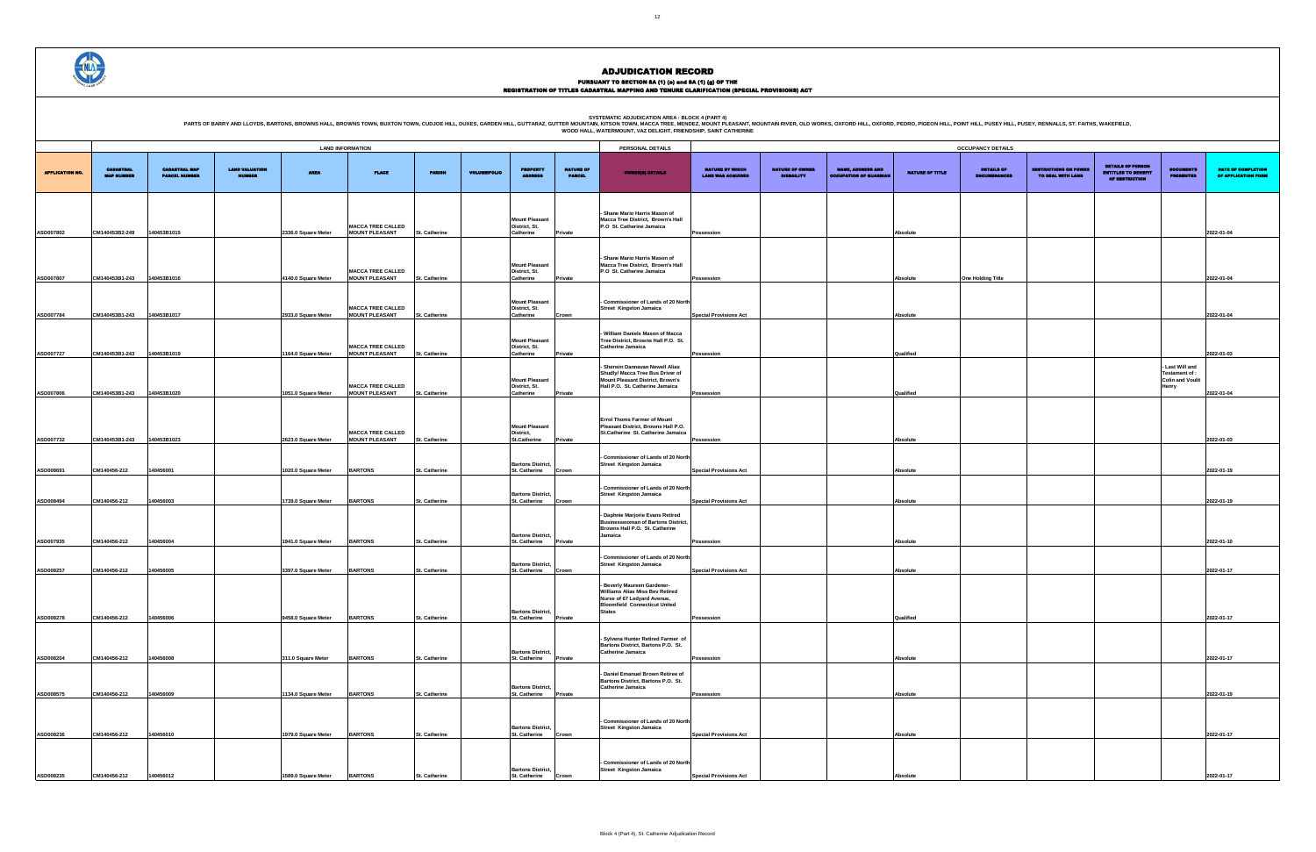### PURSUANT TO SECTION 8A (1) (e) and 8A (1) (g) OF THE<br>REGISTRATION OF TITLES CADASTRAL MAPPING AND TENURE CLARIFICATION (SPECIAL PROVISIONS) ACT

| <b>CUPANCY DETAILS</b> |                              |                            |                                           |                     |
|------------------------|------------------------------|----------------------------|-------------------------------------------|---------------------|
|                        |                              |                            |                                           |                     |
|                        |                              | <b>DETAILS OF PERSON</b>   |                                           |                     |
| <b>DETAILS OF</b>      | <b>RESTRICTIONS ON POWER</b> | <b>ENTITLED TO BENEFIT</b> | <b>DOCUMENTS</b>                          | DATE OF COMPLETION  |
| <b>ENCUMBRANCES</b>    | TO DEAL WITH LAND            | OF RESTRICTION             | <b>PRESENTED</b>                          | OF APPLICATION FORM |
|                        |                              |                            |                                           |                     |
|                        |                              |                            |                                           |                     |
|                        |                              |                            |                                           |                     |
|                        |                              |                            |                                           |                     |
|                        |                              |                            |                                           |                     |
|                        |                              |                            |                                           |                     |
|                        |                              |                            |                                           | 2022-01-04          |
|                        |                              |                            |                                           |                     |
|                        |                              |                            |                                           |                     |
|                        |                              |                            |                                           |                     |
|                        |                              |                            |                                           |                     |
| e Holding Title        |                              |                            |                                           | 2022-01-04          |
|                        |                              |                            |                                           |                     |
|                        |                              |                            |                                           |                     |
|                        |                              |                            |                                           |                     |
|                        |                              |                            |                                           | 2022-01-04          |
|                        |                              |                            |                                           |                     |
|                        |                              |                            |                                           |                     |
|                        |                              |                            |                                           |                     |
|                        |                              |                            |                                           |                     |
|                        |                              |                            |                                           | 2022-01-03          |
|                        |                              |                            |                                           |                     |
|                        |                              |                            | - Last Will and                           |                     |
|                        |                              |                            | Testament of :<br><b>Colin and Voulit</b> |                     |
|                        |                              |                            | Henry                                     |                     |
|                        |                              |                            |                                           | 2022-01-04          |
|                        |                              |                            |                                           |                     |
|                        |                              |                            |                                           |                     |
|                        |                              |                            |                                           |                     |
|                        |                              |                            |                                           |                     |
|                        |                              |                            |                                           |                     |
|                        |                              |                            |                                           | 2022-01-03          |
|                        |                              |                            |                                           |                     |
|                        |                              |                            |                                           |                     |
|                        |                              |                            |                                           | 2022-01-19          |
|                        |                              |                            |                                           |                     |
|                        |                              |                            |                                           |                     |
|                        |                              |                            |                                           |                     |
|                        |                              |                            |                                           | 2022-01-19          |
|                        |                              |                            |                                           |                     |
|                        |                              |                            |                                           |                     |
|                        |                              |                            |                                           |                     |
|                        |                              |                            |                                           |                     |
|                        |                              |                            |                                           | 2022-01-10          |
|                        |                              |                            |                                           |                     |
|                        |                              |                            |                                           |                     |
|                        |                              |                            |                                           | 2022-01-17          |
|                        |                              |                            |                                           |                     |
|                        |                              |                            |                                           |                     |
|                        |                              |                            |                                           |                     |
|                        |                              |                            |                                           |                     |
|                        |                              |                            |                                           |                     |
|                        |                              |                            |                                           | 2022-01-17          |
|                        |                              |                            |                                           |                     |
|                        |                              |                            |                                           |                     |
|                        |                              |                            |                                           |                     |
|                        |                              |                            |                                           |                     |
|                        |                              |                            |                                           | 2022-01-17          |
|                        |                              |                            |                                           |                     |
|                        |                              |                            |                                           |                     |
|                        |                              |                            |                                           |                     |
|                        |                              |                            |                                           | 2022-01-19          |
|                        |                              |                            |                                           |                     |
|                        |                              |                            |                                           |                     |
|                        |                              |                            |                                           |                     |
|                        |                              |                            |                                           |                     |
|                        |                              |                            |                                           | 2022-01-17          |
|                        |                              |                            |                                           |                     |
|                        |                              |                            |                                           |                     |
|                        |                              |                            |                                           |                     |
|                        |                              |                            |                                           |                     |
|                        |                              |                            |                                           | 2022-01-17          |



#### ADJUDICATION RECORD

**SYSTEMATIC ADJUDICATION AREA : BLOCK 4 (PART 4)**

|                       |                                       |                                              |                                        |                     | <b>LAND INFORMATION</b>                           |                      |                     |                                                     |                                   | PERSONAL DETAILS                                                                                                                           |                                                    |                                             |                                                           |                 | <b>OCCUPANCY DETAILS</b>                 |                                                   |                                                                   |                                                              |                               |
|-----------------------|---------------------------------------|----------------------------------------------|----------------------------------------|---------------------|---------------------------------------------------|----------------------|---------------------|-----------------------------------------------------|-----------------------------------|--------------------------------------------------------------------------------------------------------------------------------------------|----------------------------------------------------|---------------------------------------------|-----------------------------------------------------------|-----------------|------------------------------------------|---------------------------------------------------|-------------------------------------------------------------------|--------------------------------------------------------------|-------------------------------|
| <b>APPLICATION NO</b> | <b>CADASTRAL</b><br><b>MAP NUMBER</b> | <b>CADASTRAL MAP</b><br><b>PARCEL NUMBER</b> | <b>LAND VALUATION</b><br><b>NUMBER</b> | <b>AREA</b>         | <b>PLACE</b>                                      | <b>PARISH</b>        | <b>VOLUME/FOLIO</b> | <b>PROPERTY</b>                                     | <b>NATURE OF</b><br><b>PARCEL</b> | <b>OWNER(8) DETAILS</b>                                                                                                                    | <b>NATURE BY WHICH</b><br><b>LAND WAS ACQUIRED</b> | <b>NATURE OF OWNER</b><br><b>DISBAILITY</b> | <b>NAME, ADDRESS AND</b><br><b>OCCUPATION OF GUARDIAL</b> | NATURE OF TITLE | <b>DETAILS OF</b><br><b>ENCUMBRANCES</b> | <b>LESTRICTIONS ON POWER</b><br>TO DEAL WITH LAND | <b>DETAILS OF PERSON</b><br>ENTITLED TO BENEFIT<br>OF RESTRICTION | <b>CUMENTS</b><br><b>PRESENTED</b>                           | <b>DATE:</b><br><b>OF API</b> |
|                       |                                       |                                              |                                        |                     |                                                   |                      |                     |                                                     |                                   |                                                                                                                                            |                                                    |                                             |                                                           |                 |                                          |                                                   |                                                                   |                                                              |                               |
| ASD007802             | CM140453B2-249                        | 140453B1015                                  |                                        | 2336.0 Square Meter | <b>MACCA TREE CALLED</b><br><b>MOUNT PLEASANT</b> | St. Catherine        |                     | <b>Mount Pleasant</b><br>District, St.<br>Catherine | rivate                            | Shane Mario Harris Mason of<br>Macca Tree District, Brown's Hall<br>P.O St. Catherine Jamaica                                              | Possession                                         |                                             |                                                           | <b>Absolute</b> |                                          |                                                   |                                                                   |                                                              | 2022-01-04                    |
|                       |                                       |                                              |                                        |                     |                                                   |                      |                     | <b>Mount Pleasant</b>                               |                                   | - Shane Mario Harris Mason of<br>Macca Tree District, Brown's Hall                                                                         |                                                    |                                             |                                                           |                 |                                          |                                                   |                                                                   |                                                              |                               |
| ASD007807             | CM140453B1-243                        | 140453B1016                                  |                                        | 4140.0 Square Meter | <b>MACCA TREE CALLED</b><br><b>MOUNT PLEASANT</b> | St. Catherine        |                     | District, St.<br>Catherine                          | Private                           | P.O St. Catherine Jamaica                                                                                                                  | Possession                                         |                                             |                                                           | <b>Absolute</b> | <b>One Holding Title</b>                 |                                                   |                                                                   |                                                              | 2022-01-04                    |
| ASD007784             | CM140453B1-243                        | 140453B1017                                  |                                        | 2933.0 Square Meter | <b>MACCA TREE CALLED</b><br><b>MOUNT PLEASANT</b> | St. Catherine        |                     | <b>Mount Pleasant</b><br>District, St.<br>Catherine | Crown                             | Commissioner of Lands of 20 North<br>Street Kingston Jamaica                                                                               | <b>Special Provisions Act</b>                      |                                             |                                                           | <b>Absolute</b> |                                          |                                                   |                                                                   |                                                              | 2022-01-04                    |
|                       |                                       |                                              |                                        |                     |                                                   |                      |                     |                                                     |                                   | William Daniels Mason of Macca                                                                                                             |                                                    |                                             |                                                           |                 |                                          |                                                   |                                                                   |                                                              |                               |
| ASD007727             | CM140453B1-243                        | 140453B1019                                  |                                        | 1164.0 Square Meter | <b>MACCA TREE CALLED</b><br><b>MOUNT PLEASANT</b> | <b>St. Catherine</b> |                     | <b>Mount Pleasant</b><br>District, St.<br>Catherine | Private                           | Tree District, Browns Hall P.O. St.<br><b>Catherine Jamaica</b>                                                                            | Possession                                         |                                             |                                                           | Qualified       |                                          |                                                   |                                                                   |                                                              | 2022-01-03                    |
|                       |                                       |                                              |                                        |                     | <b>MACCA TREE CALLED</b>                          |                      |                     | <b>Mount Pleasant</b><br>District, St.              |                                   | - Sherwin Dannavan Newell Alias<br>Shudly/ Macca Tree Bus Driver of<br>Mount Pleasant District, Brown's<br>Hall P.O. St. Catherine Jamaica |                                                    |                                             |                                                           |                 |                                          |                                                   |                                                                   | - Last Will and<br>Testament of :<br><b>Colin and Voulit</b> |                               |
| ASD007806             | CM140453B1-243                        | 140453B1020                                  |                                        | 1051.0 Square Meter | <b>MOUNT PLEASANT</b>                             | St. Catherine        |                     | Catherine                                           | Private                           |                                                                                                                                            | Possession                                         |                                             |                                                           | Qualified       |                                          |                                                   |                                                                   | Henry                                                        | 2022-01-04                    |
|                       |                                       |                                              |                                        |                     | <b>MACCA TREE CALLED</b>                          |                      |                     | <b>Mount Pleasant</b><br>District,                  |                                   | <b>Errol Thoms Farmer of Mount</b><br>Pleasant District, Browns Hall P.O.<br>St.Catherine St. Catherine Jamaica                            |                                                    |                                             |                                                           |                 |                                          |                                                   |                                                                   |                                                              |                               |
| ASD007732             | CM140453B1-243                        | 140453B1023                                  |                                        | 2623.0 Square Meter | <b>MOUNT PLEASANT</b>                             | <b>St. Catherine</b> |                     | <b>St.Catherine</b>                                 | Private                           |                                                                                                                                            | Possession                                         |                                             |                                                           | <b>Absolute</b> |                                          |                                                   |                                                                   |                                                              | 2022-01-03                    |
| ASD008691             | CM140456-212                          | 140456001                                    |                                        | 1020.0 Square Meter | <b>BARTONS</b>                                    | <b>St. Catherine</b> |                     | <b>Bartons District,</b><br><b>St. Catherine</b>    | Crown                             | - Commissioner of Lands of 20 North<br><b>Street Kingston Jamaica</b>                                                                      | <b>Special Provisions Act</b>                      |                                             |                                                           | <b>Absolute</b> |                                          |                                                   |                                                                   |                                                              | 2022-01-19                    |
|                       |                                       |                                              |                                        |                     |                                                   |                      |                     |                                                     |                                   | Commissioner of Lands of 20 North                                                                                                          |                                                    |                                             |                                                           |                 |                                          |                                                   |                                                                   |                                                              |                               |
| ASD008494             | CM140456-212                          | 140456003                                    |                                        | 1739.0 Square Meter | <b>BARTONS</b>                                    | St. Catherine        |                     | <b>Bartons District,</b><br>St. Catherine           | Crown                             | <b>Street Kingston Jamaica</b>                                                                                                             | Special Provisions Act                             |                                             |                                                           | <b>Absolute</b> |                                          |                                                   |                                                                   |                                                              | 2022-01-19                    |
|                       |                                       |                                              |                                        |                     |                                                   |                      |                     | <b>Bartons District,</b>                            |                                   | - Daphnie Marjorie Evans Retired<br><b>Businesswoman of Bartons District,</b><br>Browns Hall P.O. St. Catherine<br>Jamaica                 |                                                    |                                             |                                                           |                 |                                          |                                                   |                                                                   |                                                              |                               |
| ASD007935             | CM140456-212                          | 140456004                                    |                                        | 1941.0 Square Meter | <b>BARTONS</b>                                    | <b>St. Catherine</b> |                     | St. Catherine                                       | Private                           |                                                                                                                                            | Possession                                         |                                             |                                                           | <b>Absolute</b> |                                          |                                                   |                                                                   |                                                              | 2022-01-10                    |
| ASD008257             | CM140456-212                          | 140456005                                    |                                        | 3397.0 Square Meter | <b>BARTONS</b>                                    | St. Catherine        |                     | <b>Bartons District,</b><br>St. Catherine           | Crown                             | - Commissioner of Lands of 20 North<br><b>Street Kingston Jamaica</b>                                                                      | <b>Special Provisions Act</b>                      |                                             |                                                           | <b>Absolute</b> |                                          |                                                   |                                                                   |                                                              | 2022-01-17                    |
|                       |                                       |                                              |                                        |                     |                                                   |                      |                     |                                                     |                                   | - Beverly Maureen Gardener-<br>Williams Alias Miss Bev Retired<br>Nurse of 67 Ledyard Avenue,<br><b>Bloomfield Connecticut United</b>      |                                                    |                                             |                                                           |                 |                                          |                                                   |                                                                   |                                                              |                               |
| ASD008278             | CM140456-212                          | 140456006                                    |                                        | 9458.0 Square Meter | <b>BARTONS</b>                                    | St. Catherine        |                     | <b>Bartons District,</b><br>St. Catherine           | Private                           | <b>States</b>                                                                                                                              | Possession                                         |                                             |                                                           | Qualified       |                                          |                                                   |                                                                   |                                                              | 2022-01-17                    |
|                       |                                       |                                              |                                        |                     |                                                   |                      |                     | <b>Bartons District,</b>                            |                                   | - Sylvena Hunter Retired Farmer of<br>Bartons District, Bartons P.O. St.<br><b>Catherine Jamaica</b>                                       |                                                    |                                             |                                                           |                 |                                          |                                                   |                                                                   |                                                              |                               |
| ASD008204             | CM140456-212                          | 140456008                                    |                                        | 311.0 Square Meter  | <b>BARTONS</b>                                    | St. Catherine        |                     | St. Catherine                                       | Private                           |                                                                                                                                            | Possession                                         |                                             |                                                           | <b>Absolute</b> |                                          |                                                   |                                                                   |                                                              | 2022-01-17                    |
| ASD008575             | CM140456-212                          | 140456009                                    |                                        | 1134.0 Square Meter | <b>BARTONS</b>                                    | St. Catherine        |                     | <b>Bartons District,</b><br><b>St. Catherine</b>    | Private                           | - Daniel Emanuel Brown Retiree of<br>Bartons District, Bartons P.O. St.<br><b>Catherine Jamaica</b>                                        | Possession                                         |                                             |                                                           | <b>Absolute</b> |                                          |                                                   |                                                                   |                                                              | 2022-01-19                    |
|                       |                                       |                                              |                                        |                     |                                                   |                      |                     |                                                     |                                   |                                                                                                                                            |                                                    |                                             |                                                           |                 |                                          |                                                   |                                                                   |                                                              |                               |
| ASD008236             | CM140456-212                          | 140456010                                    |                                        | 1979.0 Square Meter | <b>BARTONS</b>                                    | St. Catherine        |                     | <b>Bartons District,</b><br>St. Catherine           | Crown                             | - Commissioner of Lands of 20 North<br><b>Street Kingston Jamaica</b>                                                                      | <b>Special Provisions Act</b>                      |                                             |                                                           | Absolute        |                                          |                                                   |                                                                   |                                                              | 2022-01-17                    |
|                       |                                       |                                              |                                        |                     |                                                   |                      |                     |                                                     |                                   |                                                                                                                                            |                                                    |                                             |                                                           |                 |                                          |                                                   |                                                                   |                                                              |                               |
|                       | CM140456-212                          | 140456012                                    |                                        | 1589.0 Square Meter | <b>BARTONS</b>                                    | St. Catherine        |                     | <b>Bartons District,</b><br>St. Catherine           |                                   | - Commissioner of Lands of 20 North<br>Street Kingston Jamaica                                                                             | <b>Special Provisions Act</b>                      |                                             |                                                           |                 |                                          |                                                   |                                                                   |                                                              | 2022-01-17                    |
| ASD008235             |                                       |                                              |                                        |                     |                                                   |                      |                     |                                                     | Crown                             |                                                                                                                                            |                                                    |                                             |                                                           | <b>Absolute</b> |                                          |                                                   |                                                                   |                                                              |                               |

.<br>DINT HILL, PUSEY HILL, PUSEY, RENNALLS, ST. FAITHS, WAKEFIELD,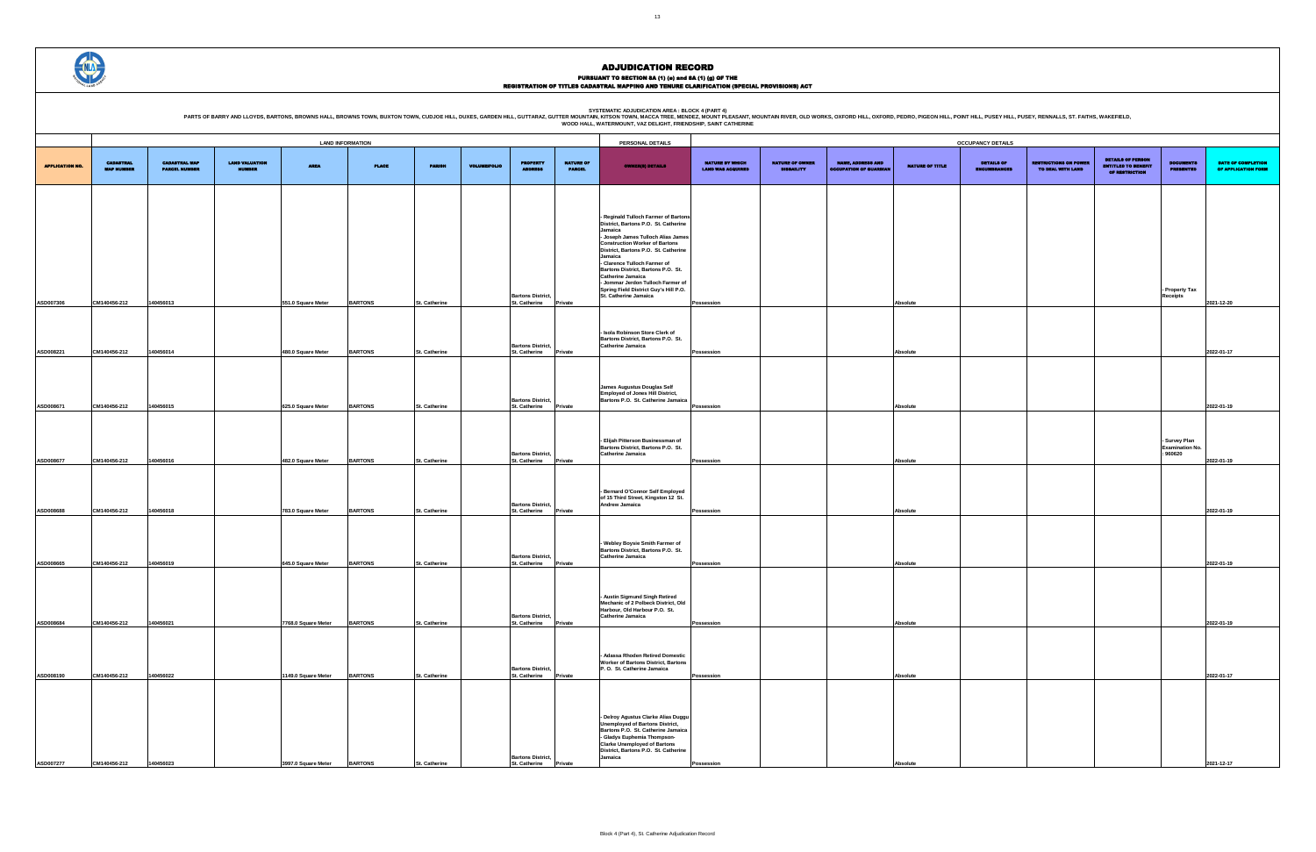PURSUANT TO SECTION 8A (1) (e) and 8A (1) (g) OF THE<br>REGISTRATION OF TITLES CADASTRAL MAPPING AND TENURE CLARIFICATION (SPECIAL PROVISIONS) ACT

SYSTEMATIC ADJUDICATION AREA : BLOCK 4 (PART 4)<br>PARTS OF BARRY AND LLOYDS, BARTONS, BROWNS HALL, BROWNS HALL, BROWNS TOWN, BUXTON TOWN, CUDJOE HILL, DUXES, GARDEN HILL, GUTTARAZ, GUTTER MOUNTAIN (KITSON TOWN, MACCA TREE, M

| <b>CUPANCY DETAILS</b>            |                                                   |                                                                          |                                                    |                                           |
|-----------------------------------|---------------------------------------------------|--------------------------------------------------------------------------|----------------------------------------------------|-------------------------------------------|
| DETAILS OF<br><b>ENCUMBRANCES</b> | <b>RESTRICTIONS ON POWER</b><br>TO DEAL WITH LAND | <b>DETAILS OF PERSON</b><br><b>ENTITLED TO BENEFIT</b><br>OF RESTRICTION | <b>DOCUMENTS</b><br><b>PRESENTED</b>               | DATE OF COMPLETION<br>OF APPLICATION FORM |
|                                   |                                                   |                                                                          |                                                    |                                           |
|                                   |                                                   |                                                                          |                                                    |                                           |
|                                   |                                                   |                                                                          |                                                    |                                           |
|                                   |                                                   |                                                                          | - Property Tax<br>Receipts                         | 2021-12-20                                |
|                                   |                                                   |                                                                          |                                                    |                                           |
|                                   |                                                   |                                                                          |                                                    | 2022-01-17                                |
|                                   |                                                   |                                                                          |                                                    | 2022-01-19                                |
|                                   |                                                   |                                                                          |                                                    |                                           |
|                                   |                                                   |                                                                          | - Survey Plan<br><b>Examination No.</b><br>:960620 | 2022-01-19                                |
|                                   |                                                   |                                                                          |                                                    |                                           |
|                                   |                                                   |                                                                          |                                                    | 2022-01-19                                |
|                                   |                                                   |                                                                          |                                                    | 2022-01-19                                |
|                                   |                                                   |                                                                          |                                                    |                                           |
|                                   |                                                   |                                                                          |                                                    | 2022-01-19                                |
|                                   |                                                   |                                                                          |                                                    |                                           |
|                                   |                                                   |                                                                          |                                                    | 2022-01-17                                |
|                                   |                                                   |                                                                          |                                                    |                                           |
|                                   |                                                   |                                                                          |                                                    |                                           |
|                                   |                                                   |                                                                          |                                                    |                                           |

|                        | <b>LAND INFORMATION</b><br>PERSONAL DETAILS                       |                      |               |                     |                |               |                     |                                                                              |                                   | <b>OCCUPANCY DETAILS</b>                                                                     |                          |                          |                               |                 |                                          |                                                   |                                              |                                         |                       |
|------------------------|-------------------------------------------------------------------|----------------------|---------------|---------------------|----------------|---------------|---------------------|------------------------------------------------------------------------------|-----------------------------------|----------------------------------------------------------------------------------------------|--------------------------|--------------------------|-------------------------------|-----------------|------------------------------------------|---------------------------------------------------|----------------------------------------------|-----------------------------------------|-----------------------|
|                        | <b>CADASTRAL</b><br><b>CADASTRAL MAP</b><br><b>LAND VALUATION</b> |                      |               |                     |                |               |                     | <b>NATURE OF OWNER</b><br><b>NATURE BY WHICH</b><br><b>NAME, ADDRESS AND</b> |                                   |                                                                                              |                          | <b>DETAILS OF PERSON</b> |                               |                 |                                          |                                                   |                                              |                                         |                       |
| <b>APPLICATION NO.</b> | <b>MAP NUMBER</b>                                                 | <b>PARCEL NUMBER</b> | <b>NUMBER</b> | <b>AREA</b>         | <b>PLACE</b>   | <b>PARISH</b> | <b>VOLUME/FOLIO</b> | <b>PROPERTY</b><br>ADDRESS                                                   | <b>NATURE OF</b><br><b>PARCEL</b> | <b>OWNER(8) DETAILS</b>                                                                      | <b>LAND WAS ACQUIRED</b> | <b>DISBAILITY</b>        | <b>OCCUPATION OF GUARDIAN</b> | NATURE OF TITLE | <b>DETAILS OF</b><br><b>ENCUMBRANCES</b> | <b>RESTRICTIONS ON POWER</b><br>TO DEAL WITH LAND | <b>ENTITLED TO BENEFIT</b><br>OF RESTRICTION | <b>DOCUMENTS</b><br><b>PRESENTED</b>    | <b>DATE</b><br>OF API |
|                        |                                                                   |                      |               |                     |                |               |                     |                                                                              |                                   |                                                                                              |                          |                          |                               |                 |                                          |                                                   |                                              |                                         |                       |
|                        |                                                                   |                      |               |                     |                |               |                     |                                                                              |                                   |                                                                                              |                          |                          |                               |                 |                                          |                                                   |                                              |                                         |                       |
|                        |                                                                   |                      |               |                     |                |               |                     |                                                                              |                                   | - Reginald Tulloch Farmer of Bartons<br>District, Bartons P.O. St. Catherine                 |                          |                          |                               |                 |                                          |                                                   |                                              |                                         |                       |
|                        |                                                                   |                      |               |                     |                |               |                     |                                                                              |                                   | Jamaica<br>- Joseph James Tulloch Alias James                                                |                          |                          |                               |                 |                                          |                                                   |                                              |                                         |                       |
|                        |                                                                   |                      |               |                     |                |               |                     |                                                                              |                                   | <b>Construction Worker of Bartons</b><br>District, Bartons P.O. St. Catherine                |                          |                          |                               |                 |                                          |                                                   |                                              |                                         |                       |
|                        |                                                                   |                      |               |                     |                |               |                     |                                                                              |                                   | Jamaica<br>- Clarence Tulloch Farmer of                                                      |                          |                          |                               |                 |                                          |                                                   |                                              |                                         |                       |
|                        |                                                                   |                      |               |                     |                |               |                     |                                                                              |                                   | Bartons District, Bartons P.O. St.<br>Catherine Jamaica<br>- Jommar Jerdon Tulloch Farmer of |                          |                          |                               |                 |                                          |                                                   |                                              |                                         |                       |
|                        |                                                                   |                      |               |                     |                |               |                     | <b>Bartons District,</b>                                                     |                                   | Spring Field District Guy's Hill P.O.<br>St. Catherine Jamaica                               |                          |                          |                               |                 |                                          |                                                   |                                              | - Property Tax<br>Receipts              |                       |
| ASD007306              | CM140456-212                                                      | 140456013            |               | 551.0 Square Meter  | <b>BARTONS</b> | St. Catherine |                     | St. Catherine                                                                | Private                           |                                                                                              | Possession               |                          |                               | Absolute        |                                          |                                                   |                                              |                                         | 2021-12-20            |
|                        |                                                                   |                      |               |                     |                |               |                     |                                                                              |                                   |                                                                                              |                          |                          |                               |                 |                                          |                                                   |                                              |                                         |                       |
|                        |                                                                   |                      |               |                     |                |               |                     |                                                                              |                                   | - Isola Robinson Store Clerk of<br>Bartons District, Bartons P.O. St.                        |                          |                          |                               |                 |                                          |                                                   |                                              |                                         |                       |
| ASD008221              | CM140456-212                                                      | 140456014            |               | 480.0 Square Meter  | <b>BARTONS</b> | St. Catherine |                     | <b>Bartons District,</b><br>St. Catherine                                    | Private                           | Catherine Jamaica                                                                            | Possession               |                          |                               | Absolute        |                                          |                                                   |                                              |                                         | 2022-01-17            |
|                        |                                                                   |                      |               |                     |                |               |                     |                                                                              |                                   |                                                                                              |                          |                          |                               |                 |                                          |                                                   |                                              |                                         |                       |
|                        |                                                                   |                      |               |                     |                |               |                     |                                                                              |                                   | <b>James Augustus Douglas Self</b>                                                           |                          |                          |                               |                 |                                          |                                                   |                                              |                                         |                       |
|                        |                                                                   |                      |               |                     |                |               |                     | <b>Bartons District,</b>                                                     |                                   | Employed of Jones Hill District,<br>Bartons P.O. St. Catherine Jamaica                       |                          |                          |                               |                 |                                          |                                                   |                                              |                                         |                       |
| ASD008671              | CM140456-212                                                      | 140456015            |               | 625.0 Square Meter  | <b>BARTONS</b> | St. Catherine |                     | St. Catherine                                                                | Private                           |                                                                                              | Possession               |                          |                               | Absolute        |                                          |                                                   |                                              |                                         | 2022-01-19            |
|                        |                                                                   |                      |               |                     |                |               |                     |                                                                              |                                   |                                                                                              |                          |                          |                               |                 |                                          |                                                   |                                              |                                         |                       |
|                        |                                                                   |                      |               |                     |                |               |                     |                                                                              |                                   | - Elijah Pitterson Businessman of<br>Bartons District, Bartons P.O. St.                      |                          |                          |                               |                 |                                          |                                                   |                                              | - Survey Plan<br><b>Examination No.</b> |                       |
| ASD008677              | CM140456-212                                                      | 140456016            |               | 482.0 Square Meter  | <b>BARTONS</b> | St. Catherine |                     | <b>Bartons District,</b><br>St. Catherine                                    | Private                           | <b>Catherine Jamaica</b>                                                                     | Possession               |                          |                               | Absolute        |                                          |                                                   |                                              | 960620                                  | 2022-01-19            |
|                        |                                                                   |                      |               |                     |                |               |                     |                                                                              |                                   |                                                                                              |                          |                          |                               |                 |                                          |                                                   |                                              |                                         |                       |
|                        |                                                                   |                      |               |                     |                |               |                     |                                                                              |                                   | - Bernard O'Connor Self Employed                                                             |                          |                          |                               |                 |                                          |                                                   |                                              |                                         |                       |
|                        |                                                                   |                      |               |                     |                |               |                     | <b>Bartons District,</b>                                                     |                                   | of 15 Third Street, Kingston 12 St.<br>Andrew Jamaica                                        |                          |                          |                               |                 |                                          |                                                   |                                              |                                         |                       |
| ASD008688              | CM140456-212                                                      | 140456018            |               | 783.0 Square Meter  | <b>BARTONS</b> | St. Catherine |                     | St. Catherine                                                                | Private                           |                                                                                              | Possession               |                          |                               | Absolute        |                                          |                                                   |                                              |                                         | 2022-01-19            |
|                        |                                                                   |                      |               |                     |                |               |                     |                                                                              |                                   |                                                                                              |                          |                          |                               |                 |                                          |                                                   |                                              |                                         |                       |
|                        |                                                                   |                      |               |                     |                |               |                     |                                                                              |                                   | - Webley Boysie Smith Farmer of<br>Bartons District, Bartons P.O. St.                        |                          |                          |                               |                 |                                          |                                                   |                                              |                                         |                       |
| ASD008665              | CM140456-212                                                      | 140456019            |               | 645.0 Square Meter  | <b>BARTONS</b> | St. Catherine |                     | <b>Bartons District,</b><br>St. Catherine                                    | Private                           | Catherine Jamaica                                                                            | Possession               |                          |                               | Absolute        |                                          |                                                   |                                              |                                         | 2022-01-19            |
|                        |                                                                   |                      |               |                     |                |               |                     |                                                                              |                                   |                                                                                              |                          |                          |                               |                 |                                          |                                                   |                                              |                                         |                       |
|                        |                                                                   |                      |               |                     |                |               |                     |                                                                              |                                   | - Austin Sigmund Singh Retired                                                               |                          |                          |                               |                 |                                          |                                                   |                                              |                                         |                       |
|                        |                                                                   |                      |               |                     |                |               |                     |                                                                              |                                   | Mechanic of 2 Polbeck District, Old<br>Harbour, Old Harbour P.O. St.                         |                          |                          |                               |                 |                                          |                                                   |                                              |                                         |                       |
| ASD008684              | CM140456-212                                                      | 140456021            |               | 7768.0 Square Meter | <b>BARTONS</b> | St. Catherine |                     | <b>Bartons District,</b><br>St. Catherine Private                            |                                   | Catherine Jamaica                                                                            | Possession               |                          |                               | Absolute        |                                          |                                                   |                                              |                                         | 2022-01-19            |
|                        |                                                                   |                      |               |                     |                |               |                     |                                                                              |                                   |                                                                                              |                          |                          |                               |                 |                                          |                                                   |                                              |                                         |                       |
|                        |                                                                   |                      |               |                     |                |               |                     |                                                                              |                                   | - Adassa Rhoden Retired Domestic                                                             |                          |                          |                               |                 |                                          |                                                   |                                              |                                         |                       |
|                        |                                                                   |                      |               |                     |                |               |                     | <b>Bartons District,</b>                                                     |                                   | <b>Worker of Bartons District, Bartons</b><br>P.O. St. Catherine Jamaica                     |                          |                          |                               |                 |                                          |                                                   |                                              |                                         |                       |
| ASD008190              | CM140456-212                                                      | 140456022            |               | 1149.0 Square Meter | <b>BARTONS</b> | St. Catherine |                     | St. Catherine                                                                | Private                           |                                                                                              | Possession               |                          |                               | Absolute        |                                          |                                                   |                                              |                                         | 2022-01-17            |
|                        |                                                                   |                      |               |                     |                |               |                     |                                                                              |                                   |                                                                                              |                          |                          |                               |                 |                                          |                                                   |                                              |                                         |                       |
|                        |                                                                   |                      |               |                     |                |               |                     |                                                                              |                                   | - Delroy Agustus Clarke Alias Duggu                                                          |                          |                          |                               |                 |                                          |                                                   |                                              |                                         |                       |
|                        |                                                                   |                      |               |                     |                |               |                     |                                                                              |                                   | Unemployed of Bartons District,<br>Bartons P.O. St. Catherine Jamaica                        |                          |                          |                               |                 |                                          |                                                   |                                              |                                         |                       |
|                        |                                                                   |                      |               |                     |                |               |                     |                                                                              |                                   | - Gladys Euphemia Thompson-<br><b>Clarke Unemployed of Bartons</b>                           |                          |                          |                               |                 |                                          |                                                   |                                              |                                         |                       |
| ASD007277              | CM140456-212                                                      | 140456023            |               | 3997.0 Square Meter | <b>BARTONS</b> | St. Catherine |                     | <b>Bartons District,</b><br>St. Catherine Private                            |                                   | District, Bartons P.O. St. Catherine<br>Jamaica                                              | Possession               |                          |                               | Absolute        |                                          |                                                   |                                              |                                         |                       |
|                        |                                                                   |                      |               |                     |                |               |                     |                                                                              |                                   |                                                                                              |                          |                          |                               |                 |                                          |                                                   |                                              |                                         | 2021-12-17            |